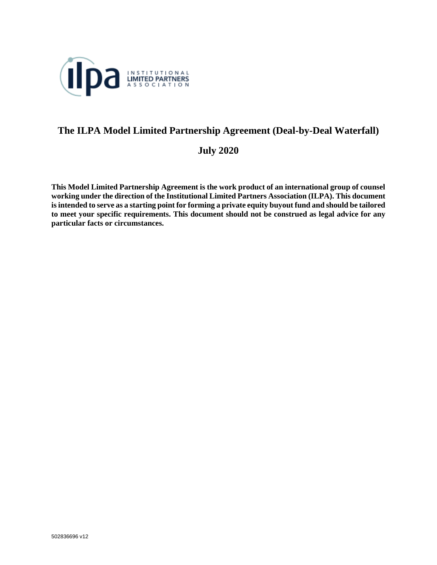

# **The ILPA Model Limited Partnership Agreement (Deal-by-Deal Waterfall)**

**July 2020**

**This Model Limited Partnership Agreement is the work product of an international group of counsel working under the direction of the Institutional Limited Partners Association (ILPA). This document is intended to serve as a starting point for forming a private equity buyout fund and should be tailored to meet your specific requirements. This document should not be construed as legal advice for any particular facts or circumstances.**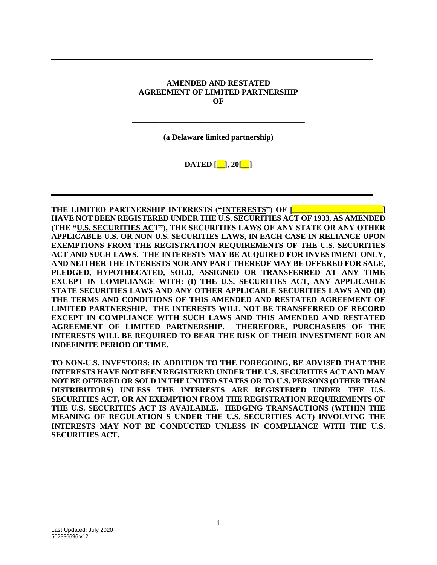#### **AMENDED AND RESTATED AGREEMENT OF LIMITED PARTNERSHIP OF**

**(a Delaware limited partnership)**

**\_\_\_\_\_\_\_\_\_\_\_\_\_\_\_\_\_\_\_\_\_\_\_\_\_\_\_\_\_\_\_\_\_\_\_\_\_\_\_\_\_\_\_\_**

**DATED [\_\_], 20[\_\_]**

**THE LIMITED PARTNERSHIP INTERESTS ("INTERESTS") OF [ HAVE NOT BEEN REGISTERED UNDER THE U.S. SECURITIES ACT OF 1933, AS AMENDED (THE "U.S. SECURITIES ACT"), THE SECURITIES LAWS OF ANY STATE OR ANY OTHER APPLICABLE U.S. OR NON-U.S. SECURITIES LAWS, IN EACH CASE IN RELIANCE UPON EXEMPTIONS FROM THE REGISTRATION REQUIREMENTS OF THE U.S. SECURITIES ACT AND SUCH LAWS. THE INTERESTS MAY BE ACQUIRED FOR INVESTMENT ONLY, AND NEITHER THE INTERESTS NOR ANY PART THEREOF MAY BE OFFERED FOR SALE, PLEDGED, HYPOTHECATED, SOLD, ASSIGNED OR TRANSFERRED AT ANY TIME EXCEPT IN COMPLIANCE WITH: (I) THE U.S. SECURITIES ACT, ANY APPLICABLE STATE SECURITIES LAWS AND ANY OTHER APPLICABLE SECURITIES LAWS AND (II) THE TERMS AND CONDITIONS OF THIS AMENDED AND RESTATED AGREEMENT OF LIMITED PARTNERSHIP. THE INTERESTS WILL NOT BE TRANSFERRED OF RECORD EXCEPT IN COMPLIANCE WITH SUCH LAWS AND THIS AMENDED AND RESTATED AGREEMENT OF LIMITED PARTNERSHIP. THEREFORE, PURCHASERS OF THE INTERESTS WILL BE REQUIRED TO BEAR THE RISK OF THEIR INVESTMENT FOR AN INDEFINITE PERIOD OF TIME.** 

**TO NON-U.S. INVESTORS: IN ADDITION TO THE FOREGOING, BE ADVISED THAT THE INTERESTS HAVE NOT BEEN REGISTERED UNDER THE U.S. SECURITIES ACT AND MAY NOT BE OFFERED OR SOLD IN THE UNITED STATES OR TO U.S. PERSONS (OTHER THAN DISTRIBUTORS) UNLESS THE INTERESTS ARE REGISTERED UNDER THE U.S. SECURITIES ACT, OR AN EXEMPTION FROM THE REGISTRATION REQUIREMENTS OF THE U.S. SECURITIES ACT IS AVAILABLE. HEDGING TRANSACTIONS (WITHIN THE MEANING OF REGULATION S UNDER THE U.S. SECURITIES ACT) INVOLVING THE INTERESTS MAY NOT BE CONDUCTED UNLESS IN COMPLIANCE WITH THE U.S. SECURITIES ACT.**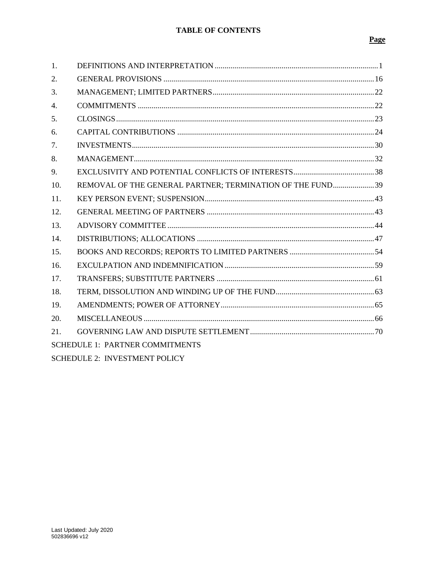# **TABLE OF CONTENTS**

# Page

| 1.                                     |                                                           |  |
|----------------------------------------|-----------------------------------------------------------|--|
| 2.                                     |                                                           |  |
| 3.                                     |                                                           |  |
| $\overline{4}$ .                       |                                                           |  |
| 5.                                     |                                                           |  |
| 6.                                     |                                                           |  |
| 7.                                     |                                                           |  |
| 8.                                     |                                                           |  |
| 9.                                     |                                                           |  |
| 10.                                    | REMOVAL OF THE GENERAL PARTNER; TERMINATION OF THE FUND39 |  |
| 11.                                    |                                                           |  |
| 12.                                    |                                                           |  |
| 13.                                    |                                                           |  |
| 14.                                    |                                                           |  |
| 15.                                    |                                                           |  |
| 16.                                    |                                                           |  |
| 17.                                    |                                                           |  |
| 18.                                    |                                                           |  |
| 19.                                    |                                                           |  |
| 20.                                    |                                                           |  |
| 21.                                    |                                                           |  |
| <b>SCHEDULE 1: PARTNER COMMITMENTS</b> |                                                           |  |
| <b>SCHEDULE 2: INVESTMENT POLICY</b>   |                                                           |  |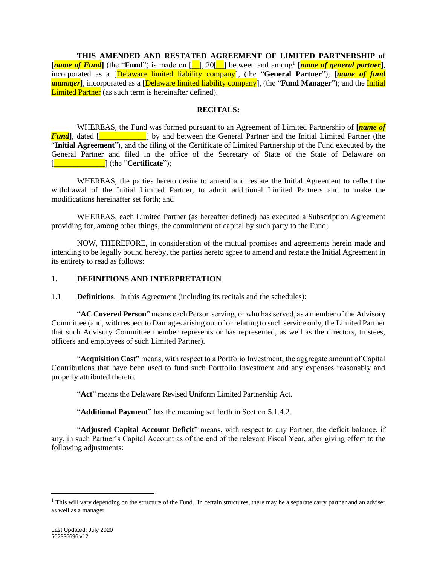**THIS AMENDED AND RESTATED AGREEMENT OF LIMITED PARTNERSHIP of [***name of Fund*] (the "Fund") is made on [1, 20[1] between and among<sup>1</sup> [*name of general partner*], incorporated as a [Delaware limited liability company], (the "**General Partner**"); **[***name of fund manager*], incorporated as a *[Delaware limited liability company]*, (the "**Fund Manager**"); and the *Initial* Limited Partner (as such term is hereinafter defined).

#### **RECITALS:**

WHEREAS, the Fund was formed pursuant to an Agreement of Limited Partnership of **[***name of Fund*, dated [\_\_\_\_\_\_\_\_\_\_\_\_] by and between the General Partner and the Initial Limited Partner (the "**Initial Agreement**"), and the filing of the Certificate of Limited Partnership of the Fund executed by the General Partner and filed in the office of the Secretary of State of the State of Delaware on [\_\_\_\_\_\_\_\_\_\_\_\_\_] (the "**Certificate**");

WHEREAS, the parties hereto desire to amend and restate the Initial Agreement to reflect the withdrawal of the Initial Limited Partner, to admit additional Limited Partners and to make the modifications hereinafter set forth; and

WHEREAS, each Limited Partner (as hereafter defined) has executed a Subscription Agreement providing for, among other things, the commitment of capital by such party to the Fund;

NOW, THEREFORE, in consideration of the mutual promises and agreements herein made and intending to be legally bound hereby, the parties hereto agree to amend and restate the Initial Agreement in its entirety to read as follows:

#### <span id="page-3-0"></span>**1. DEFINITIONS AND INTERPRETATION**

1.1 **Definitions**. In this Agreement (including its recitals and the schedules):

"**AC Covered Person**" means each Person serving, or who has served, as a member of the Advisory Committee (and, with respect to Damages arising out of or relating to such service only, the Limited Partner that such Advisory Committee member represents or has represented, as well as the directors, trustees, officers and employees of such Limited Partner).

"**Acquisition Cost**" means, with respect to a Portfolio Investment, the aggregate amount of Capital Contributions that have been used to fund such Portfolio Investment and any expenses reasonably and properly attributed thereto.

"**Act**" means the Delaware Revised Uniform Limited Partnership Act.

"**Additional Payment**" has the meaning set forth in Section [5.1.4.2.](#page-26-1)

"**Adjusted Capital Account Deficit**" means, with respect to any Partner, the deficit balance, if any, in such Partner's Capital Account as of the end of the relevant Fiscal Year, after giving effect to the following adjustments:

 $<sup>1</sup>$  This will vary depending on the structure of the Fund. In certain structures, there may be a separate carry partner and an adviser</sup> as well as a manager.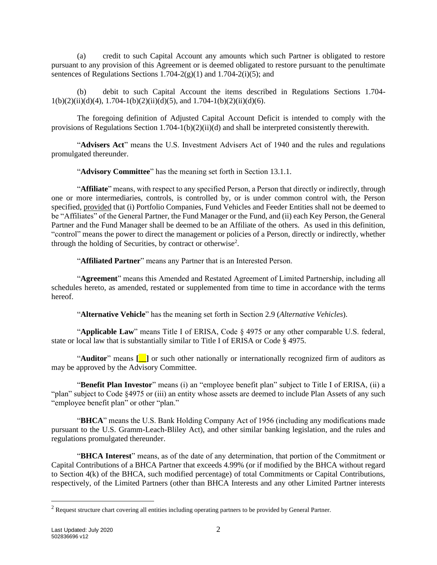(a) credit to such Capital Account any amounts which such Partner is obligated to restore pursuant to any provision of this Agreement or is deemed obligated to restore pursuant to the penultimate sentences of Regulations Sections 1.704-2(g)(1) and 1.704-2(i)(5); and

(b) debit to such Capital Account the items described in Regulations Sections 1.704-  $1(b)(2)(ii)(d)(4)$ ,  $1.704-1(b)(2)(ii)(d)(5)$ , and  $1.704-1(b)(2)(ii)(d)(6)$ .

The foregoing definition of Adjusted Capital Account Deficit is intended to comply with the provisions of Regulations Section 1.704-1(b)(2)(ii)(d) and shall be interpreted consistently therewith.

"**Advisers Act**" means the U.S. Investment Advisers Act of 1940 and the rules and regulations promulgated thereunder.

"**Advisory Committee**" has the meaning set forth in Section [13.1.1.](#page-46-1)

"**Affiliate**" means, with respect to any specified Person, a Person that directly or indirectly, through one or more intermediaries, controls, is controlled by, or is under common control with, the Person specified, provided that (i) Portfolio Companies, Fund Vehicles and Feeder Entities shall not be deemed to be "Affiliates" of the General Partner, the Fund Manager or the Fund, and (ii) each Key Person, the General Partner and the Fund Manager shall be deemed to be an Affiliate of the others. As used in this definition, "control" means the power to direct the management or policies of a Person, directly or indirectly, whether through the holding of Securities, by contract or otherwise<sup>2</sup>.

"**Affiliated Partner**" means any Partner that is an Interested Person.

"**Agreement**" means this Amended and Restated Agreement of Limited Partnership, including all schedules hereto, as amended, restated or supplemented from time to time in accordance with the terms hereof.

"**Alternative Vehicle**" has the meaning set forth in Section [2.9](#page-22-0) (*Alternative Vehicles*).

"**Applicable Law**" means Title I of ERISA, Code § 4975 or any other comparable U.S. federal, state or local law that is substantially similar to Title I of ERISA or Code § 4975.

"**Auditor**" means **[\_\_]** or such other nationally or internationally recognized firm of auditors as may be approved by the Advisory Committee.

"**Benefit Plan Investor**" means (i) an "employee benefit plan" subject to Title I of ERISA, (ii) a "plan" subject to Code §4975 or (iii) an entity whose assets are deemed to include Plan Assets of any such "employee benefit plan" or other "plan."

"**BHCA**" means the U.S. Bank Holding Company Act of 1956 (including any modifications made pursuant to the U.S. Gramm-Leach-Bliley Act), and other similar banking legislation, and the rules and regulations promulgated thereunder.

"**BHCA Interest**" means, as of the date of any determination, that portion of the Commitment or Capital Contributions of a BHCA Partner that exceeds 4.99% (or if modified by the BHCA without regard to Section 4(k) of the BHCA, such modified percentage) of total Commitments or Capital Contributions, respectively, of the Limited Partners (other than BHCA Interests and any other Limited Partner interests

<sup>&</sup>lt;sup>2</sup> Request structure chart covering all entities including operating partners to be provided by General Partner.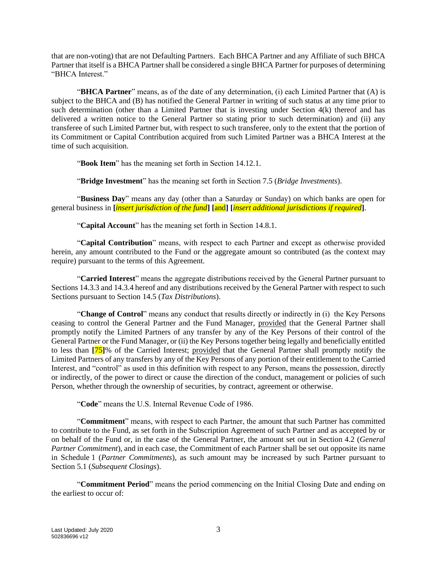that are non-voting) that are not Defaulting Partners. Each BHCA Partner and any Affiliate of such BHCA Partner that itself is a BHCA Partner shall be considered a single BHCA Partner for purposes of determining "BHCA Interest."

"**BHCA Partner**" means, as of the date of any determination, (i) each Limited Partner that (A) is subject to the BHCA and (B) has notified the General Partner in writing of such status at any time prior to such determination (other than a Limited Partner that is investing under Section 4(k) thereof and has delivered a written notice to the General Partner so stating prior to such determination) and (ii) any transferee of such Limited Partner but, with respect to such transferee, only to the extent that the portion of its Commitment or Capital Contribution acquired from such Limited Partner was a BHCA Interest at the time of such acquisition.

"**Book Item**" has the meaning set forth in Section [14.12.1.](#page-55-0)

"**Bridge Investment**" has the meaning set forth in Section [7.5](#page-34-1) (*Bridge Investments*).

"**Business Day**" means any day (other than a Saturday or Sunday) on which banks are open for general business in **[***insert jurisdiction of the fund***] [**and**] [***insert additional jurisdictions if required***]**.

"**Capital Account**" has the meaning set forth in Section [14.8.](#page-54-0)1.

"**Capital Contribution**" means, with respect to each Partner and except as otherwise provided herein, any amount contributed to the Fund or the aggregate amount so contributed (as the context may require) pursuant to the terms of this Agreement.

"**Carried Interest**" means the aggregate distributions received by the General Partner pursuant to Section[s 14.3.3](#page-50-0) an[d 14.3.4](#page-50-1) hereof and any distributions received by the General Partner with respect to such Sections pursuant to Section [14.5](#page-51-0) (*Tax Distributions*).

"**Change of Control**" means any conduct that results directly or indirectly in (i) the Key Persons ceasing to control the General Partner and the Fund Manager, provided that the General Partner shall promptly notify the Limited Partners of any transfer by any of the Key Persons of their control of the General Partner or the Fund Manager, or (ii) the Key Persons together being legally and beneficially entitled to less than **[**75**]**% of the Carried Interest; provided that the General Partner shall promptly notify the Limited Partners of any transfers by any of the Key Persons of any portion of their entitlement to the Carried Interest, and "control" as used in this definition with respect to any Person, means the possession, directly or indirectly, of the power to direct or cause the direction of the conduct, management or policies of such Person, whether through the ownership of securities, by contract, agreement or otherwise.

"**Code**" means the U.S. Internal Revenue Code of 1986.

"**Commitment**" means, with respect to each Partner, the amount that such Partner has committed to contribute to the Fund, as set forth in the Subscription Agreement of such Partner and as accepted by or on behalf of the Fund or, in the case of the General Partner, the amount set out in Section [4.2](#page-24-2) (*General Partner Commitment*), and in each case, the Commitment of each Partner shall be set out opposite its name in Schedule 1 (*Partner Commitments*), as such amount may be increased by such Partner pursuant to Section [5.1](#page-25-1) (*Subsequent Closings*).

"**Commitment Period**" means the period commencing on the Initial Closing Date and ending on the earliest to occur of: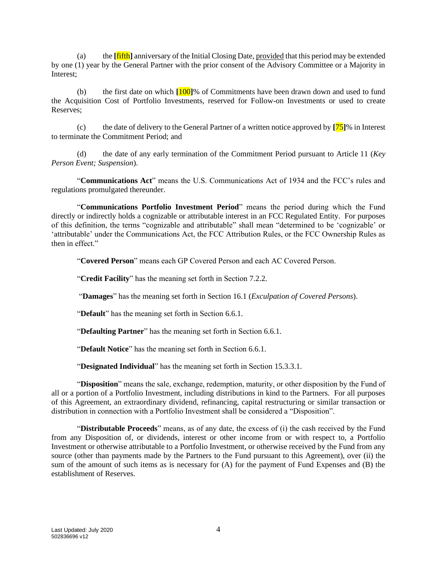(a) the **[**fifth**]** anniversary of the Initial Closing Date, provided that this period may be extended by one (1) year by the General Partner with the prior consent of the Advisory Committee or a Majority in Interest;

(b) the first date on which **[**100**]**% of Commitments have been drawn down and used to fund the Acquisition Cost of Portfolio Investments, reserved for Follow-on Investments or used to create Reserves;

(c) the date of delivery to the General Partner of a written notice approved by **[**75**]**% in Interest to terminate the Commitment Period; and

(d) the date of any early termination of the Commitment Period pursuant to Article [11](#page-45-0) (*Key Person Event; Suspension*).

"**Communications Act**" means the U.S. Communications Act of 1934 and the FCC's rules and regulations promulgated thereunder.

"**Communications Portfolio Investment Period**" means the period during which the Fund directly or indirectly holds a cognizable or attributable interest in an FCC Regulated Entity. For purposes of this definition, the terms "cognizable and attributable" shall mean "determined to be 'cognizable' or 'attributable' under the Communications Act, the FCC Attribution Rules, or the FCC Ownership Rules as then in effect."

"**Covered Person**" means each GP Covered Person and each AC Covered Person.

"**Credit Facility**" has the meaning set forth in Section [7.2.2.](#page-34-2)

"**Damages**" has the meaning set forth in Section [16.1](#page-61-1) (*Exculpation of Covered Persons*).

"**Default**" has the meaning set forth in Section [6.6.1.](#page-28-0)

"**Defaulting Partner**" has the meaning set forth in Section [6.6.1.](#page-28-0)

"**Default Notice**" has the meaning set forth in Section [6.6.1.](#page-28-0)

"**Designated Individual**" has the meaning set forth in Section [15.3.3.1.](#page-58-0)

"**Disposition**" means the sale, exchange, redemption, maturity, or other disposition by the Fund of all or a portion of a Portfolio Investment, including distributions in kind to the Partners. For all purposes of this Agreement, an extraordinary dividend, refinancing, capital restructuring or similar transaction or distribution in connection with a Portfolio Investment shall be considered a "Disposition".

"**Distributable Proceeds**" means, as of any date, the excess of (i) the cash received by the Fund from any Disposition of, or dividends, interest or other income from or with respect to, a Portfolio Investment or otherwise attributable to a Portfolio Investment, or otherwise received by the Fund from any source (other than payments made by the Partners to the Fund pursuant to this Agreement), over (ii) the sum of the amount of such items as is necessary for (A) for the payment of Fund Expenses and (B) the establishment of Reserves.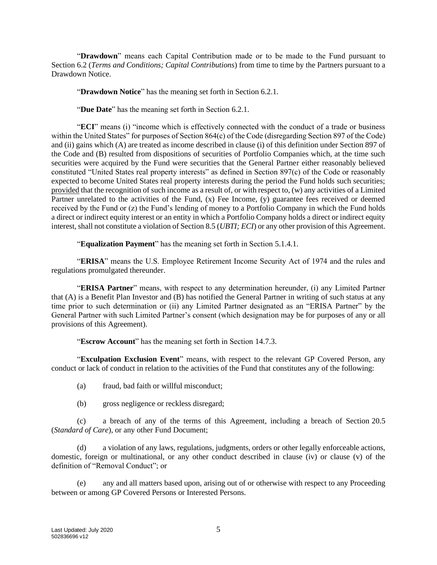"**Drawdown**" means each Capital Contribution made or to be made to the Fund pursuant to Section [6.2](#page-26-2) (*Terms and Conditions; Capital Contributions*) from time to time by the Partners pursuant to a Drawdown Notice.

"**Drawdown Notice**" has the meaning set forth in Section [6.2.1.](#page-27-0)

"**Due Date**" has the meaning set forth in Section [6.2.1.](#page-27-0)

"**ECI**" means (i) "income which is effectively connected with the conduct of a trade or business within the United States" for purposes of Section 864(c) of the Code (disregarding Section 897 of the Code) and (ii) gains which (A) are treated as income described in clause (i) of this definition under Section 897 of the Code and (B) resulted from dispositions of securities of Portfolio Companies which, at the time such securities were acquired by the Fund were securities that the General Partner either reasonably believed constituted "United States real property interests" as defined in Section 897(c) of the Code or reasonably expected to become United States real property interests during the period the Fund holds such securities; provided that the recognition of such income as a result of, or with respect to, (w) any activities of a Limited Partner unrelated to the activities of the Fund, (x) Fee Income, (y) guarantee fees received or deemed received by the Fund or (z) the Fund's lending of money to a Portfolio Company in which the Fund holds a direct or indirect equity interest or an entity in which a Portfolio Company holds a direct or indirect equity interest, shall not constitute a violation of Section [8.5](#page-37-0) (*UBTI; ECI*) or any other provision of this Agreement.

"**Equalization Payment**" has the meaning set forth in Section [5.1.4.1.](#page-26-3)

"**ERISA**" means the U.S. Employee Retirement Income Security Act of 1974 and the rules and regulations promulgated thereunder.

"**ERISA Partner**" means, with respect to any determination hereunder, (i) any Limited Partner that (A) is a Benefit Plan Investor and (B) has notified the General Partner in writing of such status at any time prior to such determination or (ii) any Limited Partner designated as an "ERISA Partner" by the General Partner with such Limited Partner's consent (which designation may be for purposes of any or all provisions of this Agreement).

"**Escrow Account**" has the meaning set forth in Section [14.7.3.](#page-53-0)

"**Exculpation Exclusion Event**" means, with respect to the relevant GP Covered Person, any conduct or lack of conduct in relation to the activities of the Fund that constitutes any of the following:

- (a) fraud, bad faith or willful misconduct;
- (b) gross negligence or reckless disregard;

(c) a breach of any of the terms of this Agreement, including a breach of Section [20.5](#page-70-0) (*Standard of Care*), or any other Fund Document;

(d) a violation of any laws, regulations, judgments, orders or other legally enforceable actions, domestic, foreign or multinational, or any other conduct described in clause (iv) or clause (v) of the definition of "Removal Conduct"; or

(e) any and all matters based upon, arising out of or otherwise with respect to any Proceeding between or among GP Covered Persons or Interested Persons.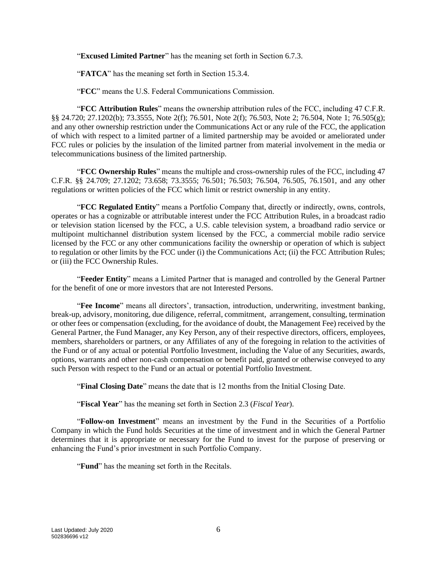"**Excused Limited Partner**" has the meaning set forth in Section [6.7.3.](#page-31-0)

"**FATCA**" has the meaning set forth in Section [15.3.4.](#page-59-0)

"**FCC**" means the U.S. Federal Communications Commission.

"**FCC Attribution Rules**" means the ownership attribution rules of the FCC, including 47 C.F.R. §§ 24.720; 27.1202(b); 73.3555, Note 2(f); 76.501, Note 2(f); 76.503, Note 2; 76.504, Note 1; 76.505(g); and any other ownership restriction under the Communications Act or any rule of the FCC, the application of which with respect to a limited partner of a limited partnership may be avoided or ameliorated under FCC rules or policies by the insulation of the limited partner from material involvement in the media or telecommunications business of the limited partnership.

"**FCC Ownership Rules**" means the multiple and cross-ownership rules of the FCC, including 47 C.F.R. §§ 24.709; 27.1202; 73.658; 73.3555; 76.501; 76.503; 76.504, 76.505, 76.1501, and any other regulations or written policies of the FCC which limit or restrict ownership in any entity.

"**FCC Regulated Entity**" means a Portfolio Company that, directly or indirectly, owns, controls, operates or has a cognizable or attributable interest under the FCC Attribution Rules, in a broadcast radio or television station licensed by the FCC, a U.S. cable television system, a broadband radio service or multipoint multichannel distribution system licensed by the FCC, a commercial mobile radio service licensed by the FCC or any other communications facility the ownership or operation of which is subject to regulation or other limits by the FCC under (i) the Communications Act; (ii) the FCC Attribution Rules; or (iii) the FCC Ownership Rules.

"**Feeder Entity**" means a Limited Partner that is managed and controlled by the General Partner for the benefit of one or more investors that are not Interested Persons.

"**Fee Income**" means all directors', transaction, introduction, underwriting, investment banking, break-up, advisory, monitoring, due diligence, referral, commitment, arrangement, consulting, termination or other fees or compensation (excluding, for the avoidance of doubt, the Management Fee) received by the General Partner, the Fund Manager, any Key Person, any of their respective directors, officers, employees, members, shareholders or partners, or any Affiliates of any of the foregoing in relation to the activities of the Fund or of any actual or potential Portfolio Investment, including the Value of any Securities, awards, options, warrants and other non-cash compensation or benefit paid, granted or otherwise conveyed to any such Person with respect to the Fund or an actual or potential Portfolio Investment.

"**Final Closing Date**" means the date that is 12 months from the Initial Closing Date.

"**Fiscal Year**" has the meaning set forth in Section [2.3](#page-18-1) (*Fiscal Year*).

"**Follow-on Investment**" means an investment by the Fund in the Securities of a Portfolio Company in which the Fund holds Securities at the time of investment and in which the General Partner determines that it is appropriate or necessary for the Fund to invest for the purpose of preserving or enhancing the Fund's prior investment in such Portfolio Company.

"**Fund**" has the meaning set forth in the Recitals.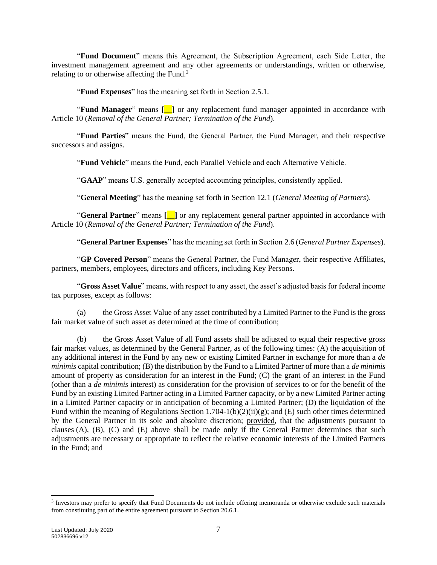"**Fund Document**" means this Agreement, the Subscription Agreement, each Side Letter, the investment management agreement and any other agreements or understandings, written or otherwise, relating to or otherwise affecting the Fund.<sup>3</sup>

"**Fund Expenses**" has the meaning set forth in Section [2.5.1.](#page-19-0)

"**Fund Manager**" means **[**\_\_**]** or any replacement fund manager appointed in accordance with Article [10](#page-41-0) (*Removal of the General Partner; Termination of the Fund*).

"**Fund Parties**" means the Fund, the General Partner, the Fund Manager, and their respective successors and assigns.

"**Fund Vehicle**" means the Fund, each Parallel Vehicle and each Alternative Vehicle.

"**GAAP**" means U.S. generally accepted accounting principles, consistently applied.

"**General Meeting**" has the meaning set forth in Section [12.1](#page-45-2) (*General Meeting of Partners*).

"**General Partner**" means **[**\_\_**]** or any replacement general partner appointed in accordance with Article [10](#page-41-0) (*Removal of the General Partner; Termination of the Fund*).

"**General Partner Expenses**" has the meaning set forth in Section [2.6](#page-20-0) (*General Partner Expenses*).

"**GP Covered Person**" means the General Partner, the Fund Manager, their respective Affiliates, partners, members, employees, directors and officers, including Key Persons.

"**Gross Asset Value**" means, with respect to any asset, the asset's adjusted basis for federal income tax purposes, except as follows:

(a) the Gross Asset Value of any asset contributed by a Limited Partner to the Fund is the gross fair market value of such asset as determined at the time of contribution;

(b) the Gross Asset Value of all Fund assets shall be adjusted to equal their respective gross fair market values, as determined by the General Partner, as of the following times: (A) the acquisition of any additional interest in the Fund by any new or existing Limited Partner in exchange for more than a *de minimis* capital contribution; (B) the distribution by the Fund to a Limited Partner of more than a *de minimis* amount of property as consideration for an interest in the Fund; (C) the grant of an interest in the Fund (other than a *de minimis* interest) as consideration for the provision of services to or for the benefit of the Fund by an existing Limited Partner acting in a Limited Partner capacity, or by a new Limited Partner acting in a Limited Partner capacity or in anticipation of becoming a Limited Partner; (D) the liquidation of the Fund within the meaning of Regulations Section 1.704-1(b)(2)(ii)(g); and (E) such other times determined by the General Partner in its sole and absolute discretion; provided, that the adjustments pursuant to clauses (A), (B), (C) and (E) above shall be made only if the General Partner determines that such adjustments are necessary or appropriate to reflect the relative economic interests of the Limited Partners in the Fund; and

<sup>&</sup>lt;sup>3</sup> Investors may prefer to specify that Fund Documents do not include offering memoranda or otherwise exclude such materials from constituting part of the entire agreement pursuant to Section 20.6.1.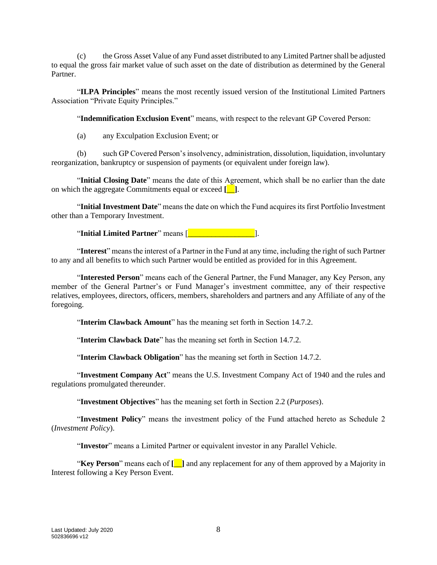(c) the Gross Asset Value of any Fund asset distributed to any Limited Partner shall be adjusted to equal the gross fair market value of such asset on the date of distribution as determined by the General Partner.

"**ILPA Principles**" means the most recently issued version of the Institutional Limited Partners Association "Private Equity Principles."

"**Indemnification Exclusion Event**" means, with respect to the relevant GP Covered Person:

(a) any Exculpation Exclusion Event; or

(b) such GP Covered Person's insolvency, administration, dissolution, liquidation, involuntary reorganization, bankruptcy or suspension of payments (or equivalent under foreign law).

"**Initial Closing Date**" means the date of this Agreement, which shall be no earlier than the date on which the aggregate Commitments equal or exceed **[**\_\_**]**.

"**Initial Investment Date**" means the date on which the Fund acquires its first Portfolio Investment other than a Temporary Investment.

"**Initial Limited Partner**" means [\_\_\_\_\_\_\_\_\_\_\_\_\_\_\_\_\_].

"**Interest**" means the interest of a Partner in the Fund at any time, including the right of such Partner to any and all benefits to which such Partner would be entitled as provided for in this Agreement.

"**Interested Person**" means each of the General Partner, the Fund Manager, any Key Person, any member of the General Partner's or Fund Manager's investment committee, any of their respective relatives, employees, directors, officers, members, shareholders and partners and any Affiliate of any of the foregoing.

"**Interim Clawback Amount**" has the meaning set forth in Section [14.7.2.](#page-53-1)

"**Interim Clawback Date**" has the meaning set forth in Section [14.7.2.](#page-53-1)

"**Interim Clawback Obligation**" has the meaning set forth in Section [14.7.2.](#page-53-1)

"**Investment Company Act**" means the U.S. Investment Company Act of 1940 and the rules and regulations promulgated thereunder.

"**Investment Objectives**" has the meaning set forth in Section [2.2](#page-18-2) (*Purposes*).

"**Investment Policy**" means the investment policy of the Fund attached hereto as Schedule 2 (*Investment Policy*).

"**Investor**" means a Limited Partner or equivalent investor in any Parallel Vehicle.

"**Key Person**" means each of **[**\_\_**]** and any replacement for any of them approved by a Majority in Interest following a Key Person Event.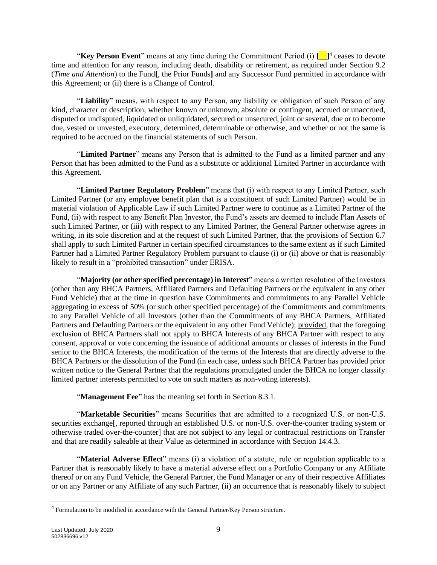"Key Person Event" means at any time during the Commitment Period (i)  $[\square]$ <sup>4</sup> ceases to devote time and attention for any reason, including death, disability or retirement, as required under Section [9.2](#page-40-1) (*Time and Attention*) to the Fund**[**, the Prior Funds**]** and any Successor Fund permitted in accordance with this Agreement; or (ii) there is a Change of Control.

"**Liability**" means, with respect to any Person, any liability or obligation of such Person of any kind, character or description, whether known or unknown, absolute or contingent, accrued or unaccrued, disputed or undisputed, liquidated or unliquidated, secured or unsecured, joint or several, due or to become due, vested or unvested, executory, determined, determinable or otherwise, and whether or not the same is required to be accrued on the financial statements of such Person.

"**Limited Partner**" means any Person that is admitted to the Fund as a limited partner and any Person that has been admitted to the Fund as a substitute or additional Limited Partner in accordance with this Agreement.

"**Limited Partner Regulatory Problem**" means that (i) with respect to any Limited Partner, such Limited Partner (or any employee benefit plan that is a constituent of such Limited Partner) would be in material violation of Applicable Law if such Limited Partner were to continue as a Limited Partner of the Fund, (ii) with respect to any Benefit Plan Investor, the Fund's assets are deemed to include Plan Assets of such Limited Partner, or (iii) with respect to any Limited Partner, the General Partner otherwise agrees in writing, in its sole discretion and at the request of such Limited Partner, that the provisions of Section [6.7](#page-31-1) shall apply to such Limited Partner in certain specified circumstances to the same extent as if such Limited Partner had a Limited Partner Regulatory Problem pursuant to clause (i) or (ii) above or that is reasonably likely to result in a "prohibited transaction" under ERISA.

"**Majority (or other specified percentage) in Interest**" means a written resolution of the Investors (other than any BHCA Partners, Affiliated Partners and Defaulting Partners or the equivalent in any other Fund Vehicle) that at the time in question have Commitments and commitments to any Parallel Vehicle aggregating in excess of 50% (or such other specified percentage) of the Commitments and commitments to any Parallel Vehicle of all Investors (other than the Commitments of any BHCA Partners, Affiliated Partners and Defaulting Partners or the equivalent in any other Fund Vehicle); provided, that the foregoing exclusion of BHCA Partners shall not apply to BHCA Interests of any BHCA Partner with respect to any consent, approval or vote concerning the issuance of additional amounts or classes of interests in the Fund senior to the BHCA Interests, the modification of the terms of the Interests that are directly adverse to the BHCA Partners or the dissolution of the Fund (in each case, unless such BHCA Partner has provided prior written notice to the General Partner that the regulations promulgated under the BHCA no longer classify limited partner interests permitted to vote on such matters as non-voting interests).

"**Management Fee**" has the meaning set forth in Section [8.3.1.](#page-36-0)

"**Marketable Securities**" means Securities that are admitted to a recognized U.S. or non-U.S. securities exchange[, reported through an established U.S. or non-U.S. over-the-counter trading system or otherwise traded over-the-counter] that are not subject to any legal or contractual restrictions on Transfer and that are readily saleable at their Value as determined in accordance with Section [14.4.3.](#page-51-1)

"**Material Adverse Effect**" means (i) a violation of a statute, rule or regulation applicable to a Partner that is reasonably likely to have a material adverse effect on a Portfolio Company or any Affiliate thereof or on any Fund Vehicle, the General Partner, the Fund Manager or any of their respective Affiliates or on any Partner or any Affiliate of any such Partner, (ii) an occurrence that is reasonably likely to subject

 $4$  Formulation to be modified in accordance with the General Partner/Key Person structure.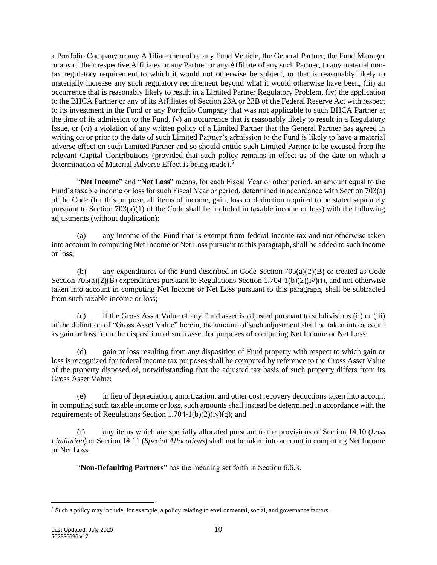a Portfolio Company or any Affiliate thereof or any Fund Vehicle, the General Partner, the Fund Manager or any of their respective Affiliates or any Partner or any Affiliate of any such Partner, to any material nontax regulatory requirement to which it would not otherwise be subject, or that is reasonably likely to materially increase any such regulatory requirement beyond what it would otherwise have been, (iii) an occurrence that is reasonably likely to result in a Limited Partner Regulatory Problem, (iv) the application to the BHCA Partner or any of its Affiliates of Section 23A or 23B of the Federal Reserve Act with respect to its investment in the Fund or any Portfolio Company that was not applicable to such BHCA Partner at the time of its admission to the Fund, (v) an occurrence that is reasonably likely to result in a Regulatory Issue, or (vi) a violation of any written policy of a Limited Partner that the General Partner has agreed in writing on or prior to the date of such Limited Partner's admission to the Fund is likely to have a material adverse effect on such Limited Partner and so should entitle such Limited Partner to be excused from the relevant Capital Contributions (provided that such policy remains in effect as of the date on which a determination of Material Adverse Effect is being made).<sup>5</sup>

"**Net Income**" and "**Net Loss**" means, for each Fiscal Year or other period, an amount equal to the Fund's taxable income or loss for such Fiscal Year or period, determined in accordance with Section 703(a) of the Code (for this purpose, all items of income, gain, loss or deduction required to be stated separately pursuant to Section  $703(a)(1)$  of the Code shall be included in taxable income or loss) with the following adjustments (without duplication):

(a) any income of the Fund that is exempt from federal income tax and not otherwise taken into account in computing Net Income or Net Loss pursuant to this paragraph, shall be added to such income or loss;

(b) any expenditures of the Fund described in Code Section  $705(a)(2)(B)$  or treated as Code Section  $705(a)(2)(B)$  expenditures pursuant to Regulations Section 1.704-1(b)(2)(iv)(i), and not otherwise taken into account in computing Net Income or Net Loss pursuant to this paragraph, shall be subtracted from such taxable income or loss;

(c) if the Gross Asset Value of any Fund asset is adjusted pursuant to subdivisions (ii) or (iii) of the definition of "Gross Asset Value" herein, the amount of such adjustment shall be taken into account as gain or loss from the disposition of such asset for purposes of computing Net Income or Net Loss;

(d) gain or loss resulting from any disposition of Fund property with respect to which gain or loss is recognized for federal income tax purposes shall be computed by reference to the Gross Asset Value of the property disposed of, notwithstanding that the adjusted tax basis of such property differs from its Gross Asset Value;

(e) in lieu of depreciation, amortization, and other cost recovery deductions taken into account in computing such taxable income or loss, such amounts shall instead be determined in accordance with the requirements of Regulations Section 1.704-1(b)(2)(iv)(g); and

(f) any items which are specially allocated pursuant to the provisions of Section [14.10](#page-55-1) (*Loss Limitation*) or Section [14.11](#page-55-2) (*Special Allocations*) shall not be taken into account in computing Net Income or Net Loss.

"**Non-Defaulting Partners**" has the meaning set forth in Section [6.6.3.](#page-29-0)

<sup>5</sup> Such a policy may include, for example, a policy relating to environmental, social, and governance factors.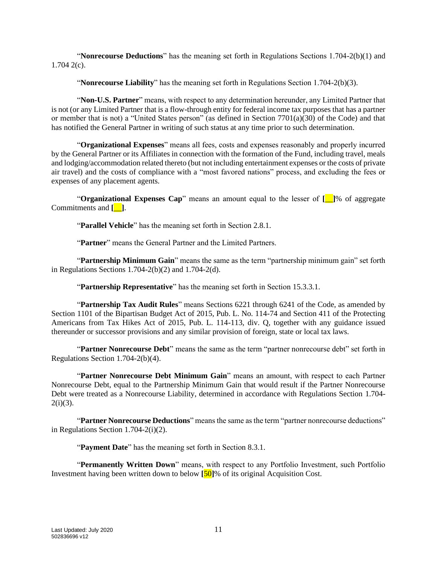"**Nonrecourse Deductions**" has the meaning set forth in Regulations Sections 1.704-2(b)(1) and 1.704 2(c).

"**Nonrecourse Liability**" has the meaning set forth in Regulations Section 1.704-2(b)(3).

"**Non-U.S. Partner**" means, with respect to any determination hereunder, any Limited Partner that is not (or any Limited Partner that is a flow-through entity for federal income tax purposes that has a partner or member that is not) a "United States person" (as defined in Section 7701(a)(30) of the Code) and that has notified the General Partner in writing of such status at any time prior to such determination.

"**Organizational Expenses**" means all fees, costs and expenses reasonably and properly incurred by the General Partner or its Affiliates in connection with the formation of the Fund, including travel, meals and lodging/accommodation related thereto (but not including entertainment expenses or the costs of private air travel) and the costs of compliance with a "most favored nations" process, and excluding the fees or expenses of any placement agents.

"**Organizational Expenses Cap**" means an amount equal to the lesser of **[**\_\_**]**% of aggregate Commitments and **[**\_\_**]**.

"**Parallel Vehicle**" has the meaning set forth in Section [2.8.1.](#page-21-0)

"**Partner**" means the General Partner and the Limited Partners.

"**Partnership Minimum Gain**" means the same as the term "partnership minimum gain" set forth in Regulations Sections 1.704-2(b)(2) and 1.704-2(d).

"**Partnership Representative**" has the meaning set forth in Section [15.3.3.1.](#page-58-0)

"**Partnership Tax Audit Rules**" means Sections 6221 through 6241 of the Code, as amended by Section 1101 of the Bipartisan Budget Act of 2015, Pub. L. No. 114-74 and Section 411 of the Protecting Americans from Tax Hikes Act of 2015, Pub. L. 114-113, div. Q, together with any guidance issued thereunder or successor provisions and any similar provision of foreign, state or local tax laws.

"**Partner Nonrecourse Debt**" means the same as the term "partner nonrecourse debt" set forth in Regulations Section 1.704-2(b)(4).

"**Partner Nonrecourse Debt Minimum Gain**" means an amount, with respect to each Partner Nonrecourse Debt, equal to the Partnership Minimum Gain that would result if the Partner Nonrecourse Debt were treated as a Nonrecourse Liability, determined in accordance with Regulations Section 1.704-  $2(i)(3)$ .

"**Partner Nonrecourse Deductions**" means the same as the term "partner nonrecourse deductions" in Regulations Section 1.704-2(i)(2).

"**Payment Date**" has the meaning set forth in Section [8.3.1.](#page-36-0)

"**Permanently Written Down**" means, with respect to any Portfolio Investment, such Portfolio Investment having been written down to below **[**50**]**% of its original Acquisition Cost.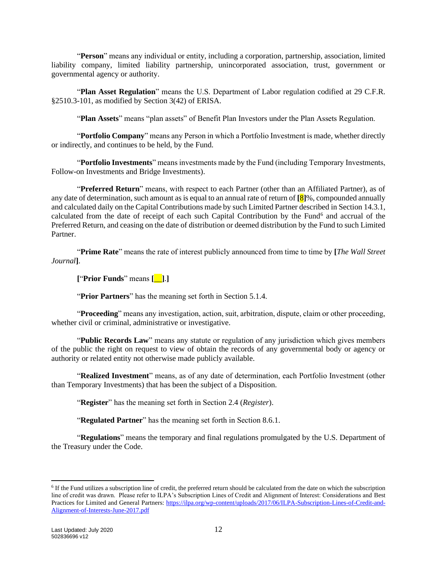"**Person**" means any individual or entity, including a corporation, partnership, association, limited liability company, limited liability partnership, unincorporated association, trust, government or governmental agency or authority.

"**Plan Asset Regulation**" means the U.S. Department of Labor regulation codified at 29 C.F.R. §2510.3-101, as modified by Section 3(42) of ERISA.

"**Plan Assets**" means "plan assets" of Benefit Plan Investors under the Plan Assets Regulation.

"**Portfolio Company**" means any Person in which a Portfolio Investment is made, whether directly or indirectly, and continues to be held, by the Fund.

"**Portfolio Investments**" means investments made by the Fund (including Temporary Investments, Follow-on Investments and Bridge Investments).

"**Preferred Return**" means, with respect to each Partner (other than an Affiliated Partner), as of any date of determination, such amount as is equal to an annual rate of return of **[**8**]**%, compounded annually and calculated daily on the Capital Contributions made by such Limited Partner described in Section [14.3.1,](#page-50-2) calculated from the date of receipt of each such Capital Contribution by the Fund<sup>6</sup> and accrual of the Preferred Return, and ceasing on the date of distribution or deemed distribution by the Fund to such Limited Partner.

"**Prime Rate**" means the rate of interest publicly announced from time to time by **[***The Wall Street Journal***]**.

**[**"**Prior Funds**" means **[**\_\_**]**.**]**

"**Prior Partners**" has the meaning set forth in Section [5.1.4.](#page-26-4)

"**Proceeding**" means any investigation, action, suit, arbitration, dispute, claim or other proceeding, whether civil or criminal, administrative or investigative.

"**Public Records Law**" means any statute or regulation of any jurisdiction which gives members of the public the right on request to view of obtain the records of any governmental body or agency or authority or related entity not otherwise made publicly available.

"**Realized Investment**" means, as of any date of determination, each Portfolio Investment (other than Temporary Investments) that has been the subject of a Disposition.

"**Register**" has the meaning set forth in Section [2.4](#page-18-3) (*Register*).

"**Regulated Partner**" has the meaning set forth in Section [8.6.1.](#page-38-0)

"**Regulations**" means the temporary and final regulations promulgated by the U.S. Department of the Treasury under the Code.

<sup>&</sup>lt;sup>6</sup> If the Fund utilizes a subscription line of credit, the preferred return should be calculated from the date on which the subscription line of credit was drawn. Please refer to ILPA's Subscription Lines of Credit and Alignment of Interest: Considerations and Best Practices for Limited and General Partners: [https://ilpa.org/wp-content/uploads/2017/06/ILPA-Subscription-Lines-of-Credit-and-](https://ilpa.org/wp-content/uploads/2017/06/ILPA-Subscription-Lines-of-Credit-and-Alignment-of-Interests-June-2017.pdf)[Alignment-of-Interests-June-2017.pdf](https://ilpa.org/wp-content/uploads/2017/06/ILPA-Subscription-Lines-of-Credit-and-Alignment-of-Interests-June-2017.pdf)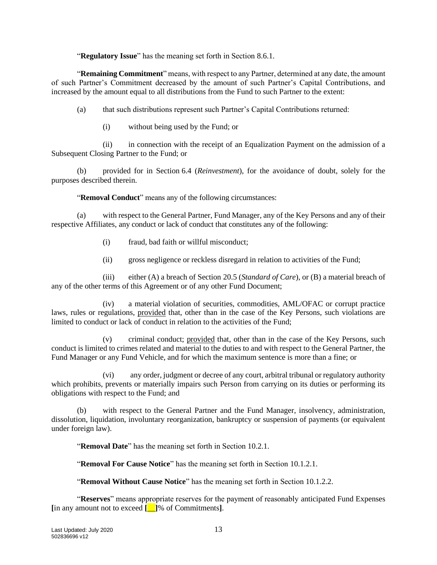"**Regulatory Issue**" has the meaning set forth in Section [8.6.1.](#page-38-0)

"**Remaining Commitment**" means, with respect to any Partner, determined at any date, the amount of such Partner's Commitment decreased by the amount of such Partner's Capital Contributions, and increased by the amount equal to all distributions from the Fund to such Partner to the extent:

(a) that such distributions represent such Partner's Capital Contributions returned:

(i) without being used by the Fund; or

(ii) in connection with the receipt of an Equalization Payment on the admission of a Subsequent Closing Partner to the Fund; or

(b) provided for in Section [6.4](#page-28-1) (*Reinvestment*), for the avoidance of doubt, solely for the purposes described therein.

"**Removal Conduct**" means any of the following circumstances:

(a) with respect to the General Partner, Fund Manager, any of the Key Persons and any of their respective Affiliates, any conduct or lack of conduct that constitutes any of the following:

- (i) fraud, bad faith or willful misconduct;
- (ii) gross negligence or reckless disregard in relation to activities of the Fund;

(iii) either (A) a breach of Section [20.5](#page-70-0) (*Standard of Care*), or (B) a material breach of any of the other terms of this Agreement or of any other Fund Document;

(iv) a material violation of securities, commodities, AML/OFAC or corrupt practice laws, rules or regulations, provided that, other than in the case of the Key Persons, such violations are limited to conduct or lack of conduct in relation to the activities of the Fund;

(v) criminal conduct; provided that, other than in the case of the Key Persons, such conduct is limited to crimes related and material to the duties to and with respect to the General Partner, the Fund Manager or any Fund Vehicle, and for which the maximum sentence is more than a fine; or

(vi) any order, judgment or decree of any court, arbitral tribunal or regulatory authority which prohibits, prevents or materially impairs such Person from carrying on its duties or performing its obligations with respect to the Fund; and

(b) with respect to the General Partner and the Fund Manager, insolvency, administration, dissolution, liquidation, involuntary reorganization, bankruptcy or suspension of payments (or equivalent under foreign law).

"**Removal Date**" has the meaning set forth in Section [10.2.1.](#page-42-0)

"**Removal For Cause Notice**" has the meaning set forth in Section [10.1.2.1.](#page-42-1)

"**Removal Without Cause Notice**" has the meaning set forth in Section [10.1.2.2.](#page-42-2)

"**Reserves**" means appropriate reserves for the payment of reasonably anticipated Fund Expenses **[**in any amount not to exceed **[**\_\_**]**% of Commitments**]**.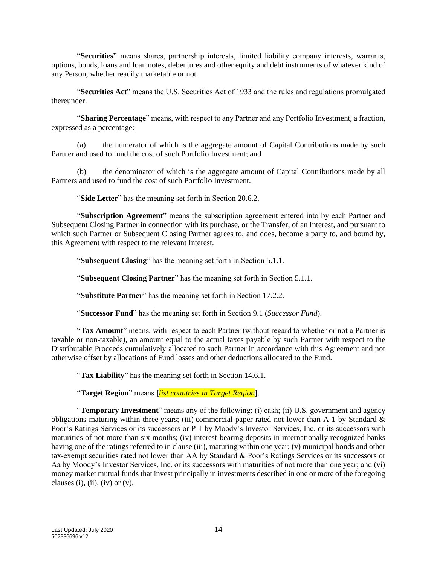"**Securities**" means shares, partnership interests, limited liability company interests, warrants, options, bonds, loans and loan notes, debentures and other equity and debt instruments of whatever kind of any Person, whether readily marketable or not.

"**Securities Act**" means the U.S. Securities Act of 1933 and the rules and regulations promulgated thereunder.

"**Sharing Percentage**" means, with respect to any Partner and any Portfolio Investment, a fraction, expressed as a percentage:

(a) the numerator of which is the aggregate amount of Capital Contributions made by such Partner and used to fund the cost of such Portfolio Investment; and

(b) the denominator of which is the aggregate amount of Capital Contributions made by all Partners and used to fund the cost of such Portfolio Investment.

"**Side Letter**" has the meaning set forth in Section [20.6.2.](#page-70-1)

"**Subscription Agreement**" means the subscription agreement entered into by each Partner and Subsequent Closing Partner in connection with its purchase, or the Transfer, of an Interest, and pursuant to which such Partner or Subsequent Closing Partner agrees to, and does, become a party to, and bound by, this Agreement with respect to the relevant Interest.

"**Subsequent Closing**" has the meaning set forth in Section [5.1.1.](#page-25-2)

"**Subsequent Closing Partner**" has the meaning set forth in Section [5.1.1.](#page-25-2)

"**Substitute Partner**" has the meaning set forth in Section [17.2.2.](#page-65-1)

"**Successor Fund**" has the meaning set forth in Section [9.1](#page-40-2) (*Successor Fund*).

"**Tax Amount**" means, with respect to each Partner (without regard to whether or not a Partner is taxable or non-taxable), an amount equal to the actual taxes payable by such Partner with respect to the Distributable Proceeds cumulatively allocated to such Partner in accordance with this Agreement and not otherwise offset by allocations of Fund losses and other deductions allocated to the Fund.

"**Tax Liability**" has the meaning set forth in Section [14.6.1.](#page-51-2)

"**Target Region**" means **[***list countries in Target Region***]**.

"**Temporary Investment**" means any of the following: (i) cash; (ii) U.S. government and agency obligations maturing within three years; (iii) commercial paper rated not lower than A-1 by Standard  $\&$ Poor's Ratings Services or its successors or P-1 by Moody's Investor Services, Inc. or its successors with maturities of not more than six months; (iv) interest-bearing deposits in internationally recognized banks having one of the ratings referred to in clause (iii), maturing within one year; (v) municipal bonds and other tax-exempt securities rated not lower than AA by Standard & Poor's Ratings Services or its successors or Aa by Moody's Investor Services, Inc. or its successors with maturities of not more than one year; and (vi) money market mutual funds that invest principally in investments described in one or more of the foregoing clauses (i), (ii), (iv) or  $(v)$ .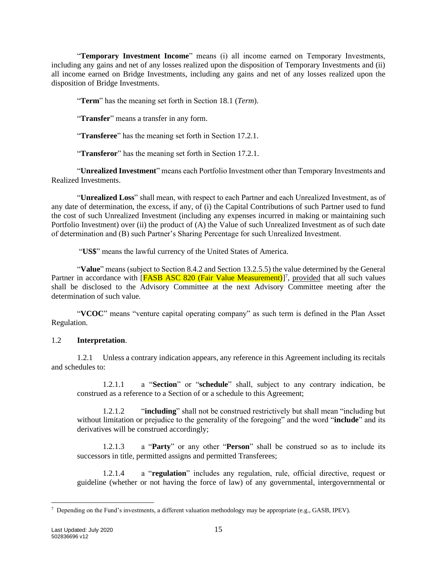"**Temporary Investment Income**" means (i) all income earned on Temporary Investments, including any gains and net of any losses realized upon the disposition of Temporary Investments and (ii) all income earned on Bridge Investments, including any gains and net of any losses realized upon the disposition of Bridge Investments.

"**Term**" has the meaning set forth in Section [18.1](#page-65-2) (*Term*).

"**Transfer**" means a transfer in any form.

"**Transferee**" has the meaning set forth in Section [17.2.1.](#page-64-0)

"**Transferor**" has the meaning set forth in Section [17.2.1.](#page-64-0)

"**Unrealized Investment**" means each Portfolio Investment other than Temporary Investments and Realized Investments.

"**Unrealized Loss**" shall mean, with respect to each Partner and each Unrealized Investment, as of any date of determination, the excess, if any, of (i) the Capital Contributions of such Partner used to fund the cost of such Unrealized Investment (including any expenses incurred in making or maintaining such Portfolio Investment) over (ii) the product of (A) the Value of such Unrealized Investment as of such date of determination and (B) such Partner's Sharing Percentage for such Unrealized Investment.

"**US\$**" means the lawful currency of the United States of America.

"**Value**" means (subject to Section [8.4.2](#page-37-1) and Section [13.2.5.5\)](#page-47-0) the value determined by the General Partner in accordance with [FASB ASC 820 (Fair Value Measurement)]<sup>7</sup>, provided that all such values shall be disclosed to the Advisory Committee at the next Advisory Committee meeting after the determination of such value.

"**VCOC**" means "venture capital operating company" as such term is defined in the Plan Asset Regulation.

#### 1.2 **Interpretation**.

1.2.1 Unless a contrary indication appears, any reference in this Agreement including its recitals and schedules to:

1.2.1.1 a "**Section**" or "**schedule**" shall, subject to any contrary indication, be construed as a reference to a Section of or a schedule to this Agreement;

1.2.1.2 "**including**" shall not be construed restrictively but shall mean "including but without limitation or prejudice to the generality of the foregoing" and the word "**include**" and its derivatives will be construed accordingly;

1.2.1.3 a "**Party**" or any other "**Person**" shall be construed so as to include its successors in title, permitted assigns and permitted Transferees;

1.2.1.4 a "**regulation**" includes any regulation, rule, official directive, request or guideline (whether or not having the force of law) of any governmental, intergovernmental or

 $^7$  Depending on the Fund's investments, a different valuation methodology may be appropriate (e.g., GASB, IPEV).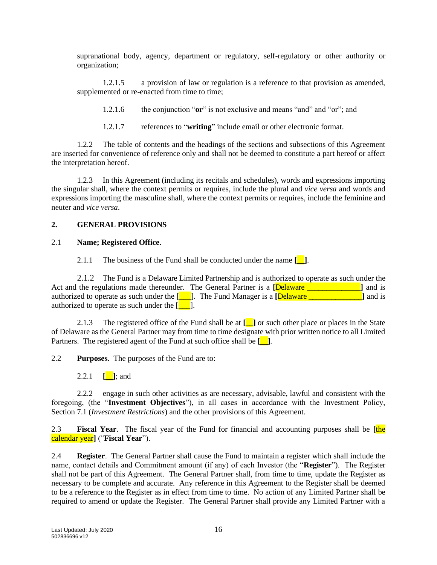supranational body, agency, department or regulatory, self-regulatory or other authority or organization;

1.2.1.5 a provision of law or regulation is a reference to that provision as amended, supplemented or re-enacted from time to time;

1.2.1.6 the conjunction "**or**" is not exclusive and means "and" and "or"; and

1.2.1.7 references to "**writing**" include email or other electronic format.

1.2.2 The table of contents and the headings of the sections and subsections of this Agreement are inserted for convenience of reference only and shall not be deemed to constitute a part hereof or affect the interpretation hereof.

1.2.3 In this Agreement (including its recitals and schedules), words and expressions importing the singular shall, where the context permits or requires, include the plural and *vice versa* and words and expressions importing the masculine shall, where the context permits or requires, include the feminine and neuter and *vice versa*.

### <span id="page-18-0"></span>**2. GENERAL PROVISIONS**

#### 2.1 **Name; Registered Office**.

2.1.1 The business of the Fund shall be conducted under the name **[\_\_]**.

2.1.2 The Fund is a Delaware Limited Partnership and is authorized to operate as such under the Act and the regulations made thereunder. The General Partner is a **[Delaware \_\_\_\_\_\_\_\_\_\_\_\_\_\_**] and is authorized to operate as such under the  $\begin{bmatrix} \blacksquare \end{bmatrix}$ . The Fund Manager is a **[Delaware** \_\_\_\_\_\_\_\_\_\_\_\_\_\_\_\_\_\_\_\_\_\_**]** and is authorized to operate as such under the  $[\_$ .

2.1.3 The registered office of the Fund shall be at **[\_\_]** or such other place or places in the State of Delaware as the General Partner may from time to time designate with prior written notice to all Limited Partners. The registered agent of the Fund at such office shall be **[\_\_]**.

<span id="page-18-2"></span>2.2 **Purposes**. The purposes of the Fund are to:

2.2.1  $\lceil \cdot \rceil$ ; and

2.2.2 engage in such other activities as are necessary, advisable, lawful and consistent with the foregoing, (the "**Investment Objectives**"), in all cases in accordance with the Investment Policy, Section [7.1](#page-32-1) (*Investment Restrictions*) and the other provisions of this Agreement.

<span id="page-18-1"></span>2.3 **Fiscal Year**. The fiscal year of the Fund for financial and accounting purposes shall be **[**the calendar year**]** ("**Fiscal Year**").

<span id="page-18-3"></span>2.4 **Register**. The General Partner shall cause the Fund to maintain a register which shall include the name, contact details and Commitment amount (if any) of each Investor (the "**Register**"). The Register shall not be part of this Agreement. The General Partner shall, from time to time, update the Register as necessary to be complete and accurate. Any reference in this Agreement to the Register shall be deemed to be a reference to the Register as in effect from time to time. No action of any Limited Partner shall be required to amend or update the Register. The General Partner shall provide any Limited Partner with a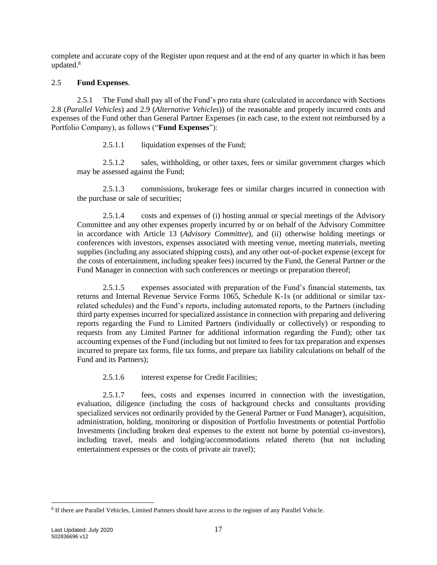complete and accurate copy of the Register upon request and at the end of any quarter in which it has been updated.<sup>8</sup>

#### 2.5 **Fund Expenses**.

<span id="page-19-0"></span>2.5.1 The Fund shall pay all of the Fund's pro rata share (calculated in accordance with Sections [2.8](#page-21-1) (*Parallel Vehicles*) and [2.9](#page-22-0) (*Alternative Vehicles*)) of the reasonable and properly incurred costs and expenses of the Fund other than General Partner Expenses (in each case, to the extent not reimbursed by a Portfolio Company), as follows ("**Fund Expenses**"):

2.5.1.1 liquidation expenses of the Fund;

2.5.1.2 sales, withholding, or other taxes, fees or similar government charges which may be assessed against the Fund;

2.5.1.3 commissions, brokerage fees or similar charges incurred in connection with the purchase or sale of securities;

2.5.1.4 costs and expenses of (i) hosting annual or special meetings of the Advisory Committee and any other expenses properly incurred by or on behalf of the Advisory Committee in accordance with Article [13](#page-46-0) (*Advisory Committee*), and (ii) otherwise holding meetings or conferences with investors, expenses associated with meeting venue, meeting materials, meeting supplies (including any associated shipping costs), and any other out-of-pocket expense (except for the costs of entertainment, including speaker fees) incurred by the Fund, the General Partner or the Fund Manager in connection with such conferences or meetings or preparation thereof;

2.5.1.5 expenses associated with preparation of the Fund's financial statements, tax returns and Internal Revenue Service Forms 1065, Schedule K-1s (or additional or similar taxrelated schedules) and the Fund's reports, including automated reports, to the Partners (including third party expenses incurred for specialized assistance in connection with preparing and delivering reports regarding the Fund to Limited Partners (individually or collectively) or responding to requests from any Limited Partner for additional information regarding the Fund); other tax accounting expenses of the Fund (including but not limited to fees for tax preparation and expenses incurred to prepare tax forms, file tax forms, and prepare tax liability calculations on behalf of the Fund and its Partners);

2.5.1.6 interest expense for Credit Facilities;

2.5.1.7 fees, costs and expenses incurred in connection with the investigation, evaluation, diligence (including the costs of background checks and consultants providing specialized services not ordinarily provided by the General Partner or Fund Manager), acquisition, administration, holding, monitoring or disposition of Portfolio Investments or potential Portfolio Investments (including broken deal expenses to the extent not borne by potential co-investors), including travel, meals and lodging/accommodations related thereto (but not including entertainment expenses or the costs of private air travel);

<sup>&</sup>lt;sup>8</sup> If there are Parallel Vehicles, Limited Partners should have access to the register of any Parallel Vehicle.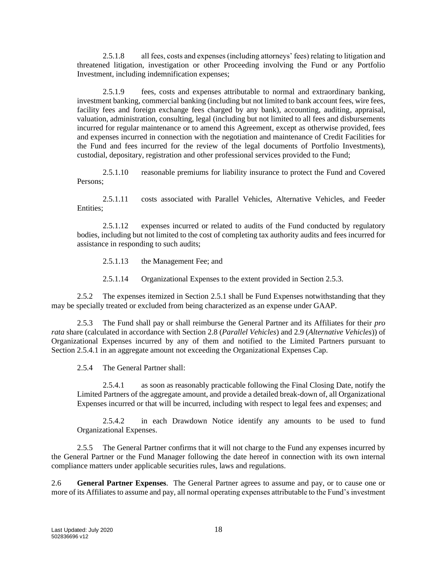2.5.1.8 all fees, costs and expenses (including attorneys' fees) relating to litigation and threatened litigation, investigation or other Proceeding involving the Fund or any Portfolio Investment, including indemnification expenses;

2.5.1.9 fees, costs and expenses attributable to normal and extraordinary banking, investment banking, commercial banking (including but not limited to bank account fees, wire fees, facility fees and foreign exchange fees charged by any bank), accounting, auditing, appraisal, valuation, administration, consulting, legal (including but not limited to all fees and disbursements incurred for regular maintenance or to amend this Agreement, except as otherwise provided, fees and expenses incurred in connection with the negotiation and maintenance of Credit Facilities for the Fund and fees incurred for the review of the legal documents of Portfolio Investments), custodial, depositary, registration and other professional services provided to the Fund;

2.5.1.10 reasonable premiums for liability insurance to protect the Fund and Covered Persons;

2.5.1.11 costs associated with Parallel Vehicles, Alternative Vehicles, and Feeder Entities;

2.5.1.12 expenses incurred or related to audits of the Fund conducted by regulatory bodies, including but not limited to the cost of completing tax authority audits and fees incurred for assistance in responding to such audits;

2.5.1.13 the Management Fee; and

2.5.1.14 Organizational Expenses to the extent provided in Section [2.5.3.](#page-20-1)

2.5.2 The expenses itemized in Section [2.5.1](#page-19-0) shall be Fund Expenses notwithstanding that they may be specially treated or excluded from being characterized as an expense under GAAP.

<span id="page-20-1"></span>2.5.3 The Fund shall pay or shall reimburse the General Partner and its Affiliates for their *pro rata* share (calculated in accordance with Section [2.8](#page-21-1) (*Parallel Vehicles*) and [2.9](#page-22-0) (*Alternative Vehicles*)) of Organizational Expenses incurred by any of them and notified to the Limited Partners pursuant to Section [2.5.4.1](#page-20-2) in an aggregate amount not exceeding the Organizational Expenses Cap.

2.5.4 The General Partner shall:

<span id="page-20-2"></span>2.5.4.1 as soon as reasonably practicable following the Final Closing Date, notify the Limited Partners of the aggregate amount, and provide a detailed break-down of, all Organizational Expenses incurred or that will be incurred, including with respect to legal fees and expenses; and

2.5.4.2 in each Drawdown Notice identify any amounts to be used to fund Organizational Expenses.

2.5.5 The General Partner confirms that it will not charge to the Fund any expenses incurred by the General Partner or the Fund Manager following the date hereof in connection with its own internal compliance matters under applicable securities rules, laws and regulations.

<span id="page-20-0"></span>2.6 **General Partner Expenses**. The General Partner agrees to assume and pay, or to cause one or more of its Affiliates to assume and pay, all normal operating expenses attributable to the Fund's investment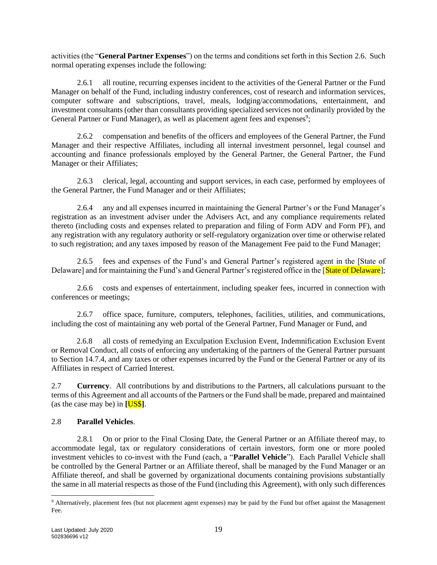activities (the "**General Partner Expenses**") on the terms and conditions set forth in this Section [2.6.](#page-20-0) Such normal operating expenses include the following:

2.6.1 all routine, recurring expenses incident to the activities of the General Partner or the Fund Manager on behalf of the Fund, including industry conferences, cost of research and information services, computer software and subscriptions, travel, meals, lodging/accommodations, entertainment, and investment consultants (other than consultants providing specialized services not ordinarily provided by the General Partner or Fund Manager), as well as placement agent fees and expenses<sup>9</sup>;

2.6.2 compensation and benefits of the officers and employees of the General Partner, the Fund Manager and their respective Affiliates, including all internal investment personnel, legal counsel and accounting and finance professionals employed by the General Partner, the General Partner, the Fund Manager or their Affiliates;

2.6.3 clerical, legal, accounting and support services, in each case, performed by employees of the General Partner, the Fund Manager and or their Affiliates;

2.6.4 any and all expenses incurred in maintaining the General Partner's or the Fund Manager's registration as an investment adviser under the Advisers Act, and any compliance requirements related thereto (including costs and expenses related to preparation and filing of Form ADV and Form PF), and any registration with any regulatory authority or self-regulatory organization over time or otherwise related to such registration; and any taxes imposed by reason of the Management Fee paid to the Fund Manager;

2.6.5 fees and expenses of the Fund's and General Partner's registered agent in the [State of Delaware] and for maintaining the Fund's and General Partner's registered office in the [State of Delaware];

2.6.6 costs and expenses of entertainment, including speaker fees, incurred in connection with conferences or meetings;

2.6.7 office space, furniture, computers, telephones, facilities, utilities, and communications, including the cost of maintaining any web portal of the General Partner, Fund Manager or Fund, and

2.6.8 all costs of remedying an Exculpation Exclusion Event, Indemnification Exclusion Event or Removal Conduct, all costs of enforcing any undertaking of the partners of the General Partner pursuant to Section [14.7.4,](#page-54-1) and any taxes or other expenses incurred by the Fund or the General Partner or any of its Affiliates in respect of Carried Interest.

2.7 **Currency**. All contributions by and distributions to the Partners, all calculations pursuant to the terms of this Agreement and all accounts of the Partners or the Fund shall be made, prepared and maintained (as the case may be) in **[**US\$**]**.

### <span id="page-21-1"></span>2.8 **Parallel Vehicles**.

<span id="page-21-0"></span>2.8.1 On or prior to the Final Closing Date, the General Partner or an Affiliate thereof may, to accommodate legal, tax or regulatory considerations of certain investors, form one or more pooled investment vehicles to co-invest with the Fund (each, a "**Parallel Vehicle**"). Each Parallel Vehicle shall be controlled by the General Partner or an Affiliate thereof, shall be managed by the Fund Manager or an Affiliate thereof, and shall be governed by organizational documents containing provisions substantially the same in all material respects as those of the Fund (including this Agreement), with only such differences

<sup>9</sup> Alternatively, placement fees (but not placement agent expenses) may be paid by the Fund but offset against the Management Fee.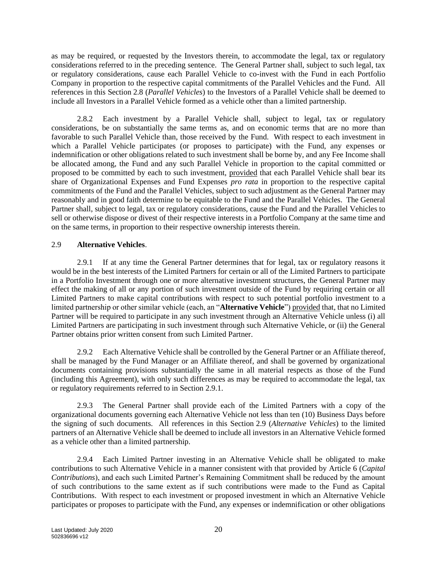as may be required, or requested by the Investors therein, to accommodate the legal, tax or regulatory considerations referred to in the preceding sentence. The General Partner shall, subject to such legal, tax or regulatory considerations, cause each Parallel Vehicle to co-invest with the Fund in each Portfolio Company in proportion to the respective capital commitments of the Parallel Vehicles and the Fund. All references in this Section [2.8](#page-21-1) (*Parallel Vehicles*) to the Investors of a Parallel Vehicle shall be deemed to include all Investors in a Parallel Vehicle formed as a vehicle other than a limited partnership.

2.8.2 Each investment by a Parallel Vehicle shall, subject to legal, tax or regulatory considerations, be on substantially the same terms as, and on economic terms that are no more than favorable to such Parallel Vehicle than, those received by the Fund. With respect to each investment in which a Parallel Vehicle participates (or proposes to participate) with the Fund, any expenses or indemnification or other obligations related to such investment shall be borne by, and any Fee Income shall be allocated among, the Fund and any such Parallel Vehicle in proportion to the capital committed or proposed to be committed by each to such investment, provided that each Parallel Vehicle shall bear its share of Organizational Expenses and Fund Expenses *pro rata* in proportion to the respective capital commitments of the Fund and the Parallel Vehicles, subject to such adjustment as the General Partner may reasonably and in good faith determine to be equitable to the Fund and the Parallel Vehicles. The General Partner shall, subject to legal, tax or regulatory considerations, cause the Fund and the Parallel Vehicles to sell or otherwise dispose or divest of their respective interests in a Portfolio Company at the same time and on the same terms, in proportion to their respective ownership interests therein.

#### <span id="page-22-0"></span>2.9 **Alternative Vehicles**.

<span id="page-22-1"></span>2.9.1 If at any time the General Partner determines that for legal, tax or regulatory reasons it would be in the best interests of the Limited Partners for certain or all of the Limited Partners to participate in a Portfolio Investment through one or more alternative investment structures, the General Partner may effect the making of all or any portion of such investment outside of the Fund by requiring certain or all Limited Partners to make capital contributions with respect to such potential portfolio investment to a limited partnership or other similar vehicle (each, an "**Alternative Vehicle**") provided that, that no Limited Partner will be required to participate in any such investment through an Alternative Vehicle unless (i) all Limited Partners are participating in such investment through such Alternative Vehicle, or (ii) the General Partner obtains prior written consent from such Limited Partner.

2.9.2 Each Alternative Vehicle shall be controlled by the General Partner or an Affiliate thereof, shall be managed by the Fund Manager or an Affiliate thereof, and shall be governed by organizational documents containing provisions substantially the same in all material respects as those of the Fund (including this Agreement), with only such differences as may be required to accommodate the legal, tax or regulatory requirements referred to in Section [2.9.1.](#page-22-1)

2.9.3 The General Partner shall provide each of the Limited Partners with a copy of the organizational documents governing each Alternative Vehicle not less than ten (10) Business Days before the signing of such documents. All references in this Section [2.9](#page-22-0) (*Alternative Vehicles*) to the limited partners of an Alternative Vehicle shall be deemed to include all investors in an Alternative Vehicle formed as a vehicle other than a limited partnership.

2.9.4 Each Limited Partner investing in an Alternative Vehicle shall be obligated to make contributions to such Alternative Vehicle in a manner consistent with that provided by Article [6](#page-26-0) (*Capital Contributions*), and each such Limited Partner's Remaining Commitment shall be reduced by the amount of such contributions to the same extent as if such contributions were made to the Fund as Capital Contributions. With respect to each investment or proposed investment in which an Alternative Vehicle participates or proposes to participate with the Fund, any expenses or indemnification or other obligations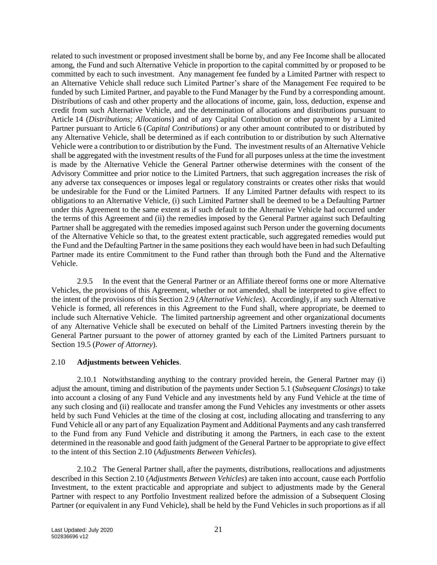related to such investment or proposed investment shall be borne by, and any Fee Income shall be allocated among, the Fund and such Alternative Vehicle in proportion to the capital committed by or proposed to be committed by each to such investment. Any management fee funded by a Limited Partner with respect to an Alternative Vehicle shall reduce such Limited Partner's share of the Management Fee required to be funded by such Limited Partner, and payable to the Fund Manager by the Fund by a corresponding amount. Distributions of cash and other property and the allocations of income, gain, loss, deduction, expense and credit from such Alternative Vehicle, and the determination of allocations and distributions pursuant to Article [14](#page-49-0) (*Distributions; Allocations*) and of any Capital Contribution or other payment by a Limited Partner pursuant to Article [6](#page-26-0) (*Capital Contributions*) or any other amount contributed to or distributed by any Alternative Vehicle, shall be determined as if each contribution to or distribution by such Alternative Vehicle were a contribution to or distribution by the Fund. The investment results of an Alternative Vehicle shall be aggregated with the investment results of the Fund for all purposes unless at the time the investment is made by the Alternative Vehicle the General Partner otherwise determines with the consent of the Advisory Committee and prior notice to the Limited Partners, that such aggregation increases the risk of any adverse tax consequences or imposes legal or regulatory constraints or creates other risks that would be undesirable for the Fund or the Limited Partners. If any Limited Partner defaults with respect to its obligations to an Alternative Vehicle, (i) such Limited Partner shall be deemed to be a Defaulting Partner under this Agreement to the same extent as if such default to the Alternative Vehicle had occurred under the terms of this Agreement and (ii) the remedies imposed by the General Partner against such Defaulting Partner shall be aggregated with the remedies imposed against such Person under the governing documents of the Alternative Vehicle so that, to the greatest extent practicable, such aggregated remedies would put the Fund and the Defaulting Partner in the same positions they each would have been in had such Defaulting Partner made its entire Commitment to the Fund rather than through both the Fund and the Alternative Vehicle.

2.9.5 In the event that the General Partner or an Affiliate thereof forms one or more Alternative Vehicles, the provisions of this Agreement, whether or not amended, shall be interpreted to give effect to the intent of the provisions of this Section [2.9](#page-22-0) (*Alternative Vehicles*). Accordingly, if any such Alternative Vehicle is formed, all references in this Agreement to the Fund shall, where appropriate, be deemed to include such Alternative Vehicle. The limited partnership agreement and other organizational documents of any Alternative Vehicle shall be executed on behalf of the Limited Partners investing therein by the General Partner pursuant to the power of attorney granted by each of the Limited Partners pursuant to Section [19.5](#page-68-1) (*Power of Attorney*).

#### <span id="page-23-0"></span>2.10 **Adjustments between Vehicles**.

2.10.1 Notwithstanding anything to the contrary provided herein, the General Partner may (i) adjust the amount, timing and distribution of the payments under Section [5.1](#page-25-1) (*Subsequent Closings*) to take into account a closing of any Fund Vehicle and any investments held by any Fund Vehicle at the time of any such closing and (ii) reallocate and transfer among the Fund Vehicles any investments or other assets held by such Fund Vehicles at the time of the closing at cost, including allocating and transferring to any Fund Vehicle all or any part of any Equalization Payment and Additional Payments and any cash transferred to the Fund from any Fund Vehicle and distributing it among the Partners, in each case to the extent determined in the reasonable and good faith judgment of the General Partner to be appropriate to give effect to the intent of this Section [2.10](#page-23-0) (*Adjustments Between Vehicles*).

2.10.2 The General Partner shall, after the payments, distributions, reallocations and adjustments described in this Section [2.10](#page-23-0) (*Adjustments Between Vehicles*) are taken into account, cause each Portfolio Investment, to the extent practicable and appropriate and subject to adjustments made by the General Partner with respect to any Portfolio Investment realized before the admission of a Subsequent Closing Partner (or equivalent in any Fund Vehicle), shall be held by the Fund Vehicles in such proportions as if all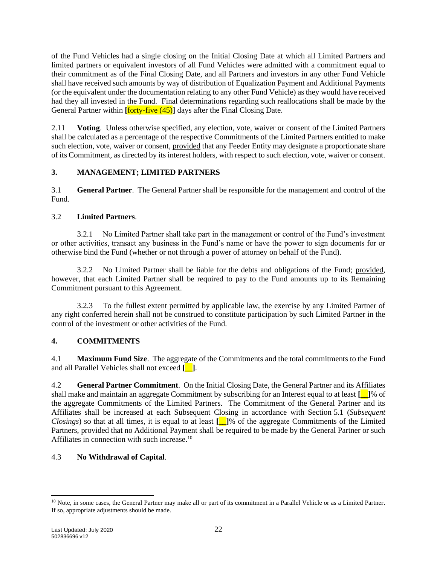of the Fund Vehicles had a single closing on the Initial Closing Date at which all Limited Partners and limited partners or equivalent investors of all Fund Vehicles were admitted with a commitment equal to their commitment as of the Final Closing Date, and all Partners and investors in any other Fund Vehicle shall have received such amounts by way of distribution of Equalization Payment and Additional Payments (or the equivalent under the documentation relating to any other Fund Vehicle) as they would have received had they all invested in the Fund. Final determinations regarding such reallocations shall be made by the General Partner within **[forty-five (45)**] days after the Final Closing Date.

2.11 **Voting**. Unless otherwise specified, any election, vote, waiver or consent of the Limited Partners shall be calculated as a percentage of the respective Commitments of the Limited Partners entitled to make such election, vote, waiver or consent, provided that any Feeder Entity may designate a proportionate share of its Commitment, as directed by its interest holders, with respect to such election, vote, waiver or consent.

# <span id="page-24-0"></span>**3. MANAGEMENT; LIMITED PARTNERS**

3.1 **General Partner**. The General Partner shall be responsible for the management and control of the Fund.

### 3.2 **Limited Partners**.

3.2.1 No Limited Partner shall take part in the management or control of the Fund's investment or other activities, transact any business in the Fund's name or have the power to sign documents for or otherwise bind the Fund (whether or not through a power of attorney on behalf of the Fund).

3.2.2 No Limited Partner shall be liable for the debts and obligations of the Fund; provided, however, that each Limited Partner shall be required to pay to the Fund amounts up to its Remaining Commitment pursuant to this Agreement.

3.2.3 To the fullest extent permitted by applicable law, the exercise by any Limited Partner of any right conferred herein shall not be construed to constitute participation by such Limited Partner in the control of the investment or other activities of the Fund.

### <span id="page-24-1"></span>**4. COMMITMENTS**

<span id="page-24-3"></span>4.1 **Maximum Fund Size**. The aggregate of the Commitments and the total commitments to the Fund and all Parallel Vehicles shall not exceed **[\_\_]**.

<span id="page-24-2"></span>4.2 **General Partner Commitment**. On the Initial Closing Date, the General Partner and its Affiliates shall make and maintain an aggregate Commitment by subscribing for an Interest equal to at least **[\_\_]**% of the aggregate Commitments of the Limited Partners. The Commitment of the General Partner and its Affiliates shall be increased at each Subsequent Closing in accordance with Section [5.1](#page-25-1) (*Subsequent Closings*) so that at all times, it is equal to at least **[\_\_]**% of the aggregate Commitments of the Limited Partners, provided that no Additional Payment shall be required to be made by the General Partner or such Affiliates in connection with such increase.<sup>10</sup>

### 4.3 **No Withdrawal of Capital**.

<sup>&</sup>lt;sup>10</sup> Note, in some cases, the General Partner may make all or part of its commitment in a Parallel Vehicle or as a Limited Partner. If so, appropriate adjustments should be made.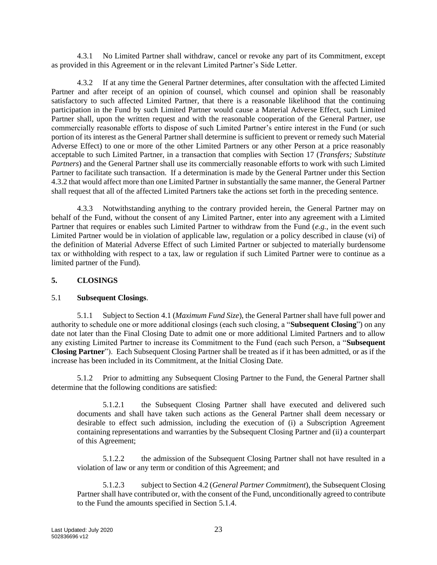4.3.1 No Limited Partner shall withdraw, cancel or revoke any part of its Commitment, except as provided in this Agreement or in the relevant Limited Partner's Side Letter.

<span id="page-25-3"></span>4.3.2 If at any time the General Partner determines, after consultation with the affected Limited Partner and after receipt of an opinion of counsel, which counsel and opinion shall be reasonably satisfactory to such affected Limited Partner, that there is a reasonable likelihood that the continuing participation in the Fund by such Limited Partner would cause a Material Adverse Effect, such Limited Partner shall, upon the written request and with the reasonable cooperation of the General Partner, use commercially reasonable efforts to dispose of such Limited Partner's entire interest in the Fund (or such portion of its interest as the General Partner shall determine is sufficient to prevent or remedy such Material Adverse Effect) to one or more of the other Limited Partners or any other Person at a price reasonably acceptable to such Limited Partner, in a transaction that complies with Section [17](#page-63-0) (*Transfers; Substitute Partners*) and the General Partner shall use its commercially reasonable efforts to work with such Limited Partner to facilitate such transaction. If a determination is made by the General Partner under this Section [4.3.2](#page-25-3) that would affect more than one Limited Partner in substantially the same manner, the General Partner shall request that all of the affected Limited Partners take the actions set forth in the preceding sentence.

4.3.3 Notwithstanding anything to the contrary provided herein, the General Partner may on behalf of the Fund, without the consent of any Limited Partner, enter into any agreement with a Limited Partner that requires or enables such Limited Partner to withdraw from the Fund (*e.g.*, in the event such Limited Partner would be in violation of applicable law, regulation or a policy described in clause (vi) of the definition of Material Adverse Effect of such Limited Partner or subjected to materially burdensome tax or withholding with respect to a tax, law or regulation if such Limited Partner were to continue as a limited partner of the Fund).

### <span id="page-25-0"></span>**5. CLOSINGS**

#### <span id="page-25-1"></span>5.1 **Subsequent Closings**.

<span id="page-25-2"></span>5.1.1 Subject to Section [4.1](#page-24-3) (*Maximum Fund Size*), the General Partner shall have full power and authority to schedule one or more additional closings (each such closing, a "**Subsequent Closing**") on any date not later than the Final Closing Date to admit one or more additional Limited Partners and to allow any existing Limited Partner to increase its Commitment to the Fund (each such Person, a "**Subsequent Closing Partner**"). Each Subsequent Closing Partner shall be treated as if it has been admitted, or as if the increase has been included in its Commitment, at the Initial Closing Date.

5.1.2 Prior to admitting any Subsequent Closing Partner to the Fund, the General Partner shall determine that the following conditions are satisfied:

5.1.2.1 the Subsequent Closing Partner shall have executed and delivered such documents and shall have taken such actions as the General Partner shall deem necessary or desirable to effect such admission, including the execution of (i) a Subscription Agreement containing representations and warranties by the Subsequent Closing Partner and (ii) a counterpart of this Agreement;

5.1.2.2 the admission of the Subsequent Closing Partner shall not have resulted in a violation of law or any term or condition of this Agreement; and

5.1.2.3 subject to Section [4.2](#page-24-2) (*General Partner Commitment*), the Subsequent Closing Partner shall have contributed or, with the consent of the Fund, unconditionally agreed to contribute to the Fund the amounts specified in Section [5.1.4.](#page-26-4)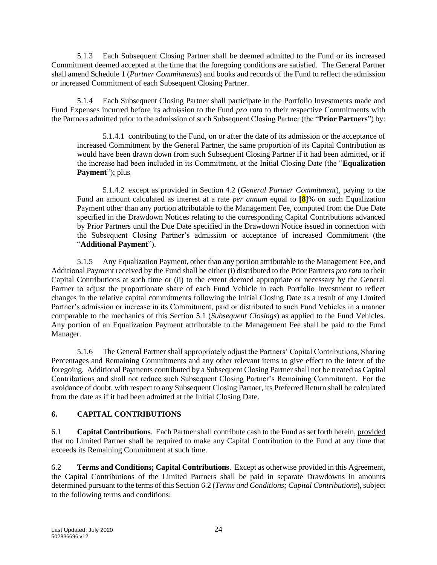5.1.3 Each Subsequent Closing Partner shall be deemed admitted to the Fund or its increased Commitment deemed accepted at the time that the foregoing conditions are satisfied. The General Partner shall amend Schedule 1 (*Partner Commitments*) and books and records of the Fund to reflect the admission or increased Commitment of each Subsequent Closing Partner.

<span id="page-26-4"></span>5.1.4 Each Subsequent Closing Partner shall participate in the Portfolio Investments made and Fund Expenses incurred before its admission to the Fund *pro rata* to their respective Commitments with the Partners admitted prior to the admission of such Subsequent Closing Partner (the "**Prior Partners**") by:

<span id="page-26-3"></span>5.1.4.1 contributing to the Fund, on or after the date of its admission or the acceptance of increased Commitment by the General Partner, the same proportion of its Capital Contribution as would have been drawn down from such Subsequent Closing Partner if it had been admitted, or if the increase had been included in its Commitment, at the Initial Closing Date (the "**Equalization**  Payment"); plus

<span id="page-26-1"></span>5.1.4.2 except as provided in Section [4.2](#page-24-2) (*General Partner Commitment*), paying to the Fund an amount calculated as interest at a rate *per annum* equal to **[8]**% on such Equalization Payment other than any portion attributable to the Management Fee, computed from the Due Date specified in the Drawdown Notices relating to the corresponding Capital Contributions advanced by Prior Partners until the Due Date specified in the Drawdown Notice issued in connection with the Subsequent Closing Partner's admission or acceptance of increased Commitment (the "**Additional Payment**").

5.1.5 Any Equalization Payment, other than any portion attributable to the Management Fee, and Additional Payment received by the Fund shall be either (i) distributed to the Prior Partners *pro rata* to their Capital Contributions at such time or (ii) to the extent deemed appropriate or necessary by the General Partner to adjust the proportionate share of each Fund Vehicle in each Portfolio Investment to reflect changes in the relative capital commitments following the Initial Closing Date as a result of any Limited Partner's admission or increase in its Commitment, paid or distributed to such Fund Vehicles in a manner comparable to the mechanics of this Section [5.1](#page-25-1) (*Subsequent Closings*) as applied to the Fund Vehicles. Any portion of an Equalization Payment attributable to the Management Fee shall be paid to the Fund Manager.

5.1.6 The General Partner shall appropriately adjust the Partners' Capital Contributions, Sharing Percentages and Remaining Commitments and any other relevant items to give effect to the intent of the foregoing. Additional Payments contributed by a Subsequent Closing Partner shall not be treated as Capital Contributions and shall not reduce such Subsequent Closing Partner's Remaining Commitment. For the avoidance of doubt, with respect to any Subsequent Closing Partner, its Preferred Return shall be calculated from the date as if it had been admitted at the Initial Closing Date.

### <span id="page-26-0"></span>**6. CAPITAL CONTRIBUTIONS**

6.1 **Capital Contributions**. Each Partner shall contribute cash to the Fund as set forth herein, provided that no Limited Partner shall be required to make any Capital Contribution to the Fund at any time that exceeds its Remaining Commitment at such time.

<span id="page-26-2"></span>6.2 **Terms and Conditions; Capital Contributions**. Except as otherwise provided in this Agreement, the Capital Contributions of the Limited Partners shall be paid in separate Drawdowns in amounts determined pursuant to the terms of this Section [6.2](#page-26-2) (*Terms and Conditions; Capital Contributions*), subject to the following terms and conditions: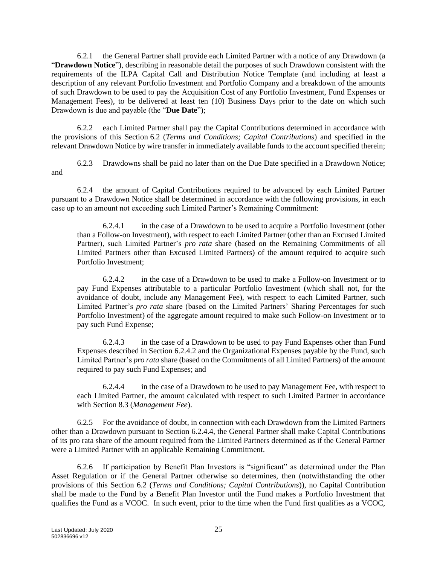<span id="page-27-0"></span>6.2.1 the General Partner shall provide each Limited Partner with a notice of any Drawdown (a "**Drawdown Notice**"), describing in reasonable detail the purposes of such Drawdown consistent with the requirements of the ILPA Capital Call and Distribution Notice Template (and including at least a description of any relevant Portfolio Investment and Portfolio Company and a breakdown of the amounts of such Drawdown to be used to pay the Acquisition Cost of any Portfolio Investment, Fund Expenses or Management Fees), to be delivered at least ten (10) Business Days prior to the date on which such Drawdown is due and payable (the "**Due Date**");

6.2.2 each Limited Partner shall pay the Capital Contributions determined in accordance with the provisions of this Section [6.2](#page-26-2) (*Terms and Conditions; Capital Contributions*) and specified in the relevant Drawdown Notice by wire transfer in immediately available funds to the account specified therein;

6.2.3 Drawdowns shall be paid no later than on the Due Date specified in a Drawdown Notice; and

6.2.4 the amount of Capital Contributions required to be advanced by each Limited Partner pursuant to a Drawdown Notice shall be determined in accordance with the following provisions, in each case up to an amount not exceeding such Limited Partner's Remaining Commitment:

6.2.4.1 in the case of a Drawdown to be used to acquire a Portfolio Investment (other than a Follow-on Investment), with respect to each Limited Partner (other than an Excused Limited Partner), such Limited Partner's *pro rata* share (based on the Remaining Commitments of all Limited Partners other than Excused Limited Partners) of the amount required to acquire such Portfolio Investment;

<span id="page-27-1"></span>6.2.4.2 in the case of a Drawdown to be used to make a Follow-on Investment or to pay Fund Expenses attributable to a particular Portfolio Investment (which shall not, for the avoidance of doubt, include any Management Fee), with respect to each Limited Partner, such Limited Partner's *pro rata* share (based on the Limited Partners' Sharing Percentages for such Portfolio Investment) of the aggregate amount required to make such Follow-on Investment or to pay such Fund Expense;

6.2.4.3 in the case of a Drawdown to be used to pay Fund Expenses other than Fund Expenses described in Section [6.2.4.2](#page-27-1) and the Organizational Expenses payable by the Fund, such Limited Partner's *pro rata* share (based on the Commitments of all Limited Partners) of the amount required to pay such Fund Expenses; and

<span id="page-27-2"></span>6.2.4.4 in the case of a Drawdown to be used to pay Management Fee, with respect to each Limited Partner, the amount calculated with respect to such Limited Partner in accordance with Section [8.3](#page-36-1) (*Management Fee*).

6.2.5 For the avoidance of doubt, in connection with each Drawdown from the Limited Partners other than a Drawdown pursuant to Section [6.2.4.4,](#page-27-2) the General Partner shall make Capital Contributions of its pro rata share of the amount required from the Limited Partners determined as if the General Partner were a Limited Partner with an applicable Remaining Commitment.

6.2.6 If participation by Benefit Plan Investors is "significant" as determined under the Plan Asset Regulation or if the General Partner otherwise so determines, then (notwithstanding the other provisions of this Section [6.2](#page-26-2) (*Terms and Conditions; Capital Contributions*)), no Capital Contribution shall be made to the Fund by a Benefit Plan Investor until the Fund makes a Portfolio Investment that qualifies the Fund as a VCOC. In such event, prior to the time when the Fund first qualifies as a VCOC,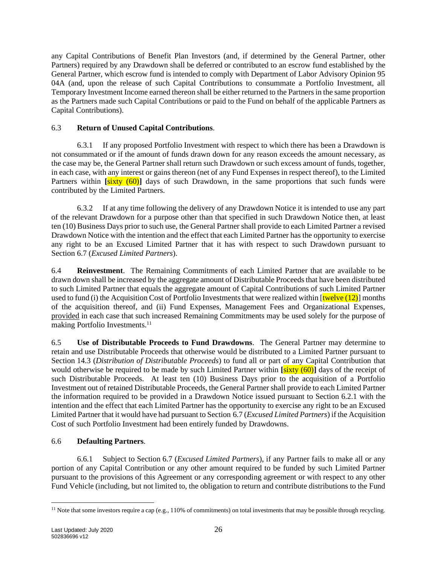any Capital Contributions of Benefit Plan Investors (and, if determined by the General Partner, other Partners) required by any Drawdown shall be deferred or contributed to an escrow fund established by the General Partner, which escrow fund is intended to comply with Department of Labor Advisory Opinion 95 04A (and, upon the release of such Capital Contributions to consummate a Portfolio Investment, all Temporary Investment Income earned thereon shall be either returned to the Partners in the same proportion as the Partners made such Capital Contributions or paid to the Fund on behalf of the applicable Partners as Capital Contributions).

# 6.3 **Return of Unused Capital Contributions**.

6.3.1 If any proposed Portfolio Investment with respect to which there has been a Drawdown is not consummated or if the amount of funds drawn down for any reason exceeds the amount necessary, as the case may be, the General Partner shall return such Drawdown or such excess amount of funds, together, in each case, with any interest or gains thereon (net of any Fund Expenses in respect thereof), to the Limited Partners within **[sixty (60)**] days of such Drawdown, in the same proportions that such funds were contributed by the Limited Partners.

6.3.2 If at any time following the delivery of any Drawdown Notice it is intended to use any part of the relevant Drawdown for a purpose other than that specified in such Drawdown Notice then, at least ten (10) Business Days prior to such use, the General Partner shall provide to each Limited Partner a revised Drawdown Notice with the intention and the effect that each Limited Partner has the opportunity to exercise any right to be an Excused Limited Partner that it has with respect to such Drawdown pursuant to Section [6.7](#page-31-1) (*Excused Limited Partners*).

<span id="page-28-1"></span>6.4 **Reinvestment**. The Remaining Commitments of each Limited Partner that are available to be drawn down shall be increased by the aggregate amount of Distributable Proceeds that have been distributed to such Limited Partner that equals the aggregate amount of Capital Contributions of such Limited Partner used to fund (i) the Acquisition Cost of Portfolio Investments that were realized within  $[\text{twelve}(12)]$  months of the acquisition thereof, and (ii) Fund Expenses, Management Fees and Organizational Expenses, provided in each case that such increased Remaining Commitments may be used solely for the purpose of making Portfolio Investments.<sup>11</sup>

6.5 **Use of Distributable Proceeds to Fund Drawdowns**. The General Partner may determine to retain and use Distributable Proceeds that otherwise would be distributed to a Limited Partner pursuant to Section [14.3](#page-50-3) (*Distribution of Distributable Proceeds*) to fund all or part of any Capital Contribution that would otherwise be required to be made by such Limited Partner within **[**sixty (60)**]** days of the receipt of such Distributable Proceeds. At least ten (10) Business Days prior to the acquisition of a Portfolio Investment out of retained Distributable Proceeds, the General Partner shall provide to each Limited Partner the information required to be provided in a Drawdown Notice issued pursuant to Section [6.2.1](#page-27-0) with the intention and the effect that each Limited Partner has the opportunity to exercise any right to be an Excused Limited Partner that it would have had pursuant to Section [6.7](#page-31-1) (*Excused Limited Partners*) if the Acquisition Cost of such Portfolio Investment had been entirely funded by Drawdowns.

### <span id="page-28-2"></span>6.6 **Defaulting Partners**.

<span id="page-28-0"></span>6.6.1 Subject to Section [6.7](#page-31-1) (*Excused Limited Partners*), if any Partner fails to make all or any portion of any Capital Contribution or any other amount required to be funded by such Limited Partner pursuant to the provisions of this Agreement or any corresponding agreement or with respect to any other Fund Vehicle (including, but not limited to, the obligation to return and contribute distributions to the Fund

<sup>&</sup>lt;sup>11</sup> Note that some investors require a cap (e.g., 110% of commitments) on total investments that may be possible through recycling.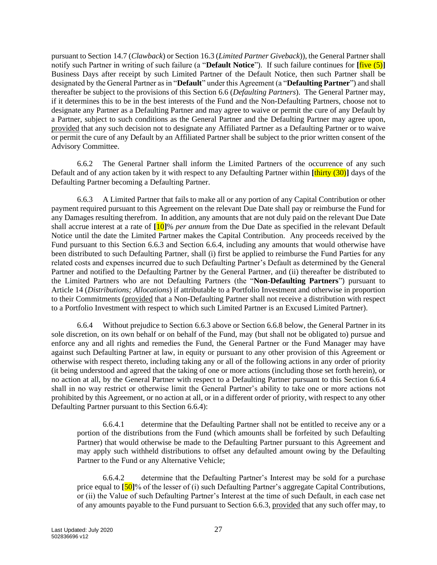pursuant to Section [14.7](#page-52-0) (*Clawback*) or Section [16.3](#page-62-0) (*Limited Partner Giveback*)), the General Partner shall notify such Partner in writing of such failure (a "**Default Notice**"). If such failure continues for **[**five (5)**]** Business Days after receipt by such Limited Partner of the Default Notice, then such Partner shall be designated by the General Partner as in "**Default**" under this Agreement (a "**Defaulting Partner**") and shall thereafter be subject to the provisions of this Section [6.6](#page-28-2) (*Defaulting Partners*). The General Partner may, if it determines this to be in the best interests of the Fund and the Non-Defaulting Partners, choose not to designate any Partner as a Defaulting Partner and may agree to waive or permit the cure of any Default by a Partner, subject to such conditions as the General Partner and the Defaulting Partner may agree upon, provided that any such decision not to designate any Affiliated Partner as a Defaulting Partner or to waive or permit the cure of any Default by an Affiliated Partner shall be subject to the prior written consent of the Advisory Committee.

6.6.2 The General Partner shall inform the Limited Partners of the occurrence of any such Default and of any action taken by it with respect to any Defaulting Partner within **[**thirty (30)**]** days of the Defaulting Partner becoming a Defaulting Partner.

<span id="page-29-0"></span>6.6.3 A Limited Partner that fails to make all or any portion of any Capital Contribution or other payment required pursuant to this Agreement on the relevant Due Date shall pay or reimburse the Fund for any Damages resulting therefrom. In addition, any amounts that are not duly paid on the relevant Due Date shall accrue interest at a rate of **[**10**]**% *per annum* from the Due Date as specified in the relevant Default Notice until the date the Limited Partner makes the Capital Contribution. Any proceeds received by the Fund pursuant to this Section [6.6.3](#page-29-0) and Section [6.6.4,](#page-29-1) including any amounts that would otherwise have been distributed to such Defaulting Partner, shall (i) first be applied to reimburse the Fund Parties for any related costs and expenses incurred due to such Defaulting Partner's Default as determined by the General Partner and notified to the Defaulting Partner by the General Partner, and (ii) thereafter be distributed to the Limited Partners who are not Defaulting Partners (the "**Non-Defaulting Partners**") pursuant to Article [14](#page-49-0) (*Distributions; Allocations*) if attributable to a Portfolio Investment and otherwise in proportion to their Commitments (provided that a Non-Defaulting Partner shall not receive a distribution with respect to a Portfolio Investment with respect to which such Limited Partner is an Excused Limited Partner).

<span id="page-29-1"></span>6.6.4 Without prejudice to Section [6.6.3](#page-29-0) above or Section [6.6.8](#page-30-0) below, the General Partner in its sole discretion, on its own behalf or on behalf of the Fund, may (but shall not be obligated to) pursue and enforce any and all rights and remedies the Fund, the General Partner or the Fund Manager may have against such Defaulting Partner at law, in equity or pursuant to any other provision of this Agreement or otherwise with respect thereto, including taking any or all of the following actions in any order of priority (it being understood and agreed that the taking of one or more actions (including those set forth herein), or no action at all, by the General Partner with respect to a Defaulting Partner pursuant to this Section [6.6.4](#page-29-1) shall in no way restrict or otherwise limit the General Partner's ability to take one or more actions not prohibited by this Agreement, or no action at all, or in a different order of priority, with respect to any other Defaulting Partner pursuant to this Section [6.6.4\)](#page-29-1):

6.6.4.1 determine that the Defaulting Partner shall not be entitled to receive any or a portion of the distributions from the Fund (which amounts shall be forfeited by such Defaulting Partner) that would otherwise be made to the Defaulting Partner pursuant to this Agreement and may apply such withheld distributions to offset any defaulted amount owing by the Defaulting Partner to the Fund or any Alternative Vehicle;

6.6.4.2 determine that the Defaulting Partner's Interest may be sold for a purchase price equal to **[**50**]**% of the lesser of (i) such Defaulting Partner's aggregate Capital Contributions, or (ii) the Value of such Defaulting Partner's Interest at the time of such Default, in each case net of any amounts payable to the Fund pursuant to Section [6.6.3,](#page-29-0) provided that any such offer may, to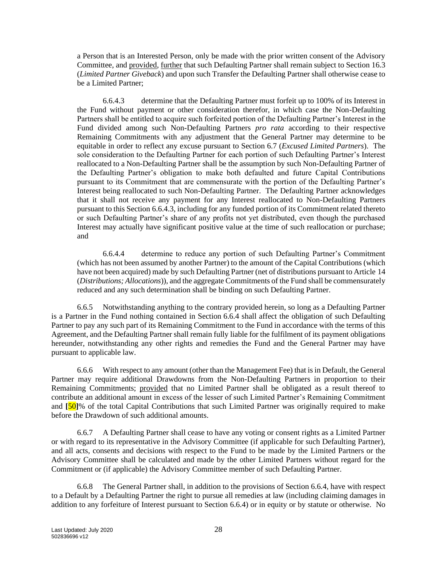a Person that is an Interested Person, only be made with the prior written consent of the Advisory Committee, and provided, further that such Defaulting Partner shall remain subject to Section [16.3](#page-62-0) (*Limited Partner Giveback*) and upon such Transfer the Defaulting Partner shall otherwise cease to be a Limited Partner;

<span id="page-30-1"></span>6.6.4.3 determine that the Defaulting Partner must forfeit up to 100% of its Interest in the Fund without payment or other consideration therefor, in which case the Non-Defaulting Partners shall be entitled to acquire such forfeited portion of the Defaulting Partner's Interest in the Fund divided among such Non-Defaulting Partners *pro rata* according to their respective Remaining Commitments with any adjustment that the General Partner may determine to be equitable in order to reflect any excuse pursuant to Section [6.7](#page-31-1) (*Excused Limited Partners*). The sole consideration to the Defaulting Partner for each portion of such Defaulting Partner's Interest reallocated to a Non-Defaulting Partner shall be the assumption by such Non-Defaulting Partner of the Defaulting Partner's obligation to make both defaulted and future Capital Contributions pursuant to its Commitment that are commensurate with the portion of the Defaulting Partner's Interest being reallocated to such Non-Defaulting Partner. The Defaulting Partner acknowledges that it shall not receive any payment for any Interest reallocated to Non-Defaulting Partners pursuant to this Section [6.6.4.3,](#page-30-1) including for any funded portion of its Commitment related thereto or such Defaulting Partner's share of any profits not yet distributed, even though the purchased Interest may actually have significant positive value at the time of such reallocation or purchase; and

6.6.4.4 determine to reduce any portion of such Defaulting Partner's Commitment (which has not been assumed by another Partner) to the amount of the Capital Contributions (which have not been acquired) made by such Defaulting Partner (net of distributions pursuant to Article [14](#page-49-0) (*Distributions; Allocations*)), and the aggregate Commitments of the Fund shall be commensurately reduced and any such determination shall be binding on such Defaulting Partner.

6.6.5 Notwithstanding anything to the contrary provided herein, so long as a Defaulting Partner is a Partner in the Fund nothing contained in Section [6.6.4](#page-29-1) shall affect the obligation of such Defaulting Partner to pay any such part of its Remaining Commitment to the Fund in accordance with the terms of this Agreement, and the Defaulting Partner shall remain fully liable for the fulfilment of its payment obligations hereunder, notwithstanding any other rights and remedies the Fund and the General Partner may have pursuant to applicable law.

6.6.6 With respect to any amount (other than the Management Fee) that is in Default, the General Partner may require additional Drawdowns from the Non-Defaulting Partners in proportion to their Remaining Commitments; provided that no Limited Partner shall be obligated as a result thereof to contribute an additional amount in excess of the lesser of such Limited Partner's Remaining Commitment and **[**50**]**% of the total Capital Contributions that such Limited Partner was originally required to make before the Drawdown of such additional amounts.

6.6.7 A Defaulting Partner shall cease to have any voting or consent rights as a Limited Partner or with regard to its representative in the Advisory Committee (if applicable for such Defaulting Partner), and all acts, consents and decisions with respect to the Fund to be made by the Limited Partners or the Advisory Committee shall be calculated and made by the other Limited Partners without regard for the Commitment or (if applicable) the Advisory Committee member of such Defaulting Partner.

<span id="page-30-0"></span>6.6.8 The General Partner shall, in addition to the provisions of Section [6.6.4,](#page-29-1) have with respect to a Default by a Defaulting Partner the right to pursue all remedies at law (including claiming damages in addition to any forfeiture of Interest pursuant to Section [6.6.4\)](#page-29-1) or in equity or by statute or otherwise. No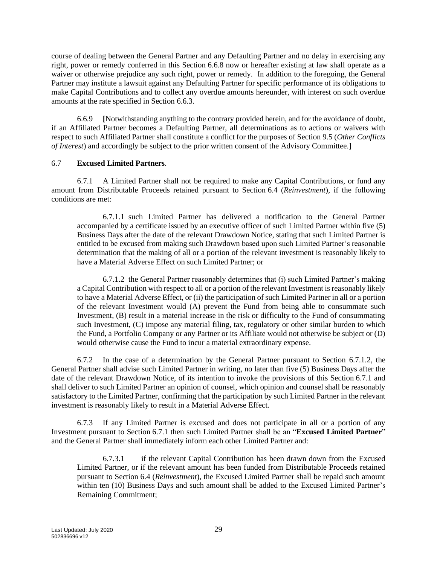course of dealing between the General Partner and any Defaulting Partner and no delay in exercising any right, power or remedy conferred in this Section [6.6.8](#page-30-0) now or hereafter existing at law shall operate as a waiver or otherwise prejudice any such right, power or remedy. In addition to the foregoing, the General Partner may institute a lawsuit against any Defaulting Partner for specific performance of its obligations to make Capital Contributions and to collect any overdue amounts hereunder, with interest on such overdue amounts at the rate specified in Section [6.6.3.](#page-29-0)

6.6.9 **[**Notwithstanding anything to the contrary provided herein, and for the avoidance of doubt, if an Affiliated Partner becomes a Defaulting Partner, all determinations as to actions or waivers with respect to such Affiliated Partner shall constitute a conflict for the purposes of Section [9.5](#page-41-1) (*Other Conflicts of Interest*) and accordingly be subject to the prior written consent of the Advisory Committee.**]**

#### <span id="page-31-1"></span>6.7 **Excused Limited Partners**.

<span id="page-31-3"></span>6.7.1 A Limited Partner shall not be required to make any Capital Contributions, or fund any amount from Distributable Proceeds retained pursuant to Section [6.4](#page-28-1) (*Reinvestment*), if the following conditions are met:

6.7.1.1 such Limited Partner has delivered a notification to the General Partner accompanied by a certificate issued by an executive officer of such Limited Partner within five (5) Business Days after the date of the relevant Drawdown Notice, stating that such Limited Partner is entitled to be excused from making such Drawdown based upon such Limited Partner's reasonable determination that the making of all or a portion of the relevant investment is reasonably likely to have a Material Adverse Effect on such Limited Partner; or

<span id="page-31-2"></span>6.7.1.2 the General Partner reasonably determines that (i) such Limited Partner's making a Capital Contribution with respect to all or a portion of the relevant Investment is reasonably likely to have a Material Adverse Effect, or (ii) the participation of such Limited Partner in all or a portion of the relevant Investment would (A) prevent the Fund from being able to consummate such Investment, (B) result in a material increase in the risk or difficulty to the Fund of consummating such Investment, (C) impose any material filing, tax, regulatory or other similar burden to which the Fund, a Portfolio Company or any Partner or its Affiliate would not otherwise be subject or (D) would otherwise cause the Fund to incur a material extraordinary expense.

6.7.2 In the case of a determination by the General Partner pursuant to Section [6.7.1.2,](#page-31-2) the General Partner shall advise such Limited Partner in writing, no later than five (5) Business Days after the date of the relevant Drawdown Notice, of its intention to invoke the provisions of this Section [6.7.1](#page-31-3) and shall deliver to such Limited Partner an opinion of counsel, which opinion and counsel shall be reasonably satisfactory to the Limited Partner, confirming that the participation by such Limited Partner in the relevant investment is reasonably likely to result in a Material Adverse Effect.

<span id="page-31-0"></span>6.7.3 If any Limited Partner is excused and does not participate in all or a portion of any Investment pursuant to Section [6.7.1](#page-31-3) then such Limited Partner shall be an "**Excused Limited Partner**" and the General Partner shall immediately inform each other Limited Partner and:

6.7.3.1 if the relevant Capital Contribution has been drawn down from the Excused Limited Partner, or if the relevant amount has been funded from Distributable Proceeds retained pursuant to Section [6.4](#page-28-1) (*Reinvestment*), the Excused Limited Partner shall be repaid such amount within ten (10) Business Days and such amount shall be added to the Excused Limited Partner's Remaining Commitment;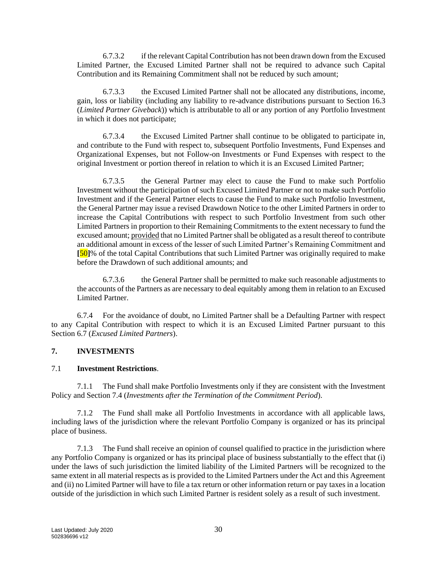6.7.3.2 if the relevant Capital Contribution has not been drawn down from the Excused Limited Partner, the Excused Limited Partner shall not be required to advance such Capital Contribution and its Remaining Commitment shall not be reduced by such amount;

6.7.3.3 the Excused Limited Partner shall not be allocated any distributions, income, gain, loss or liability (including any liability to re-advance distributions pursuant to Section [16.3](#page-62-0) (*Limited Partner Giveback*)) which is attributable to all or any portion of any Portfolio Investment in which it does not participate;

6.7.3.4 the Excused Limited Partner shall continue to be obligated to participate in, and contribute to the Fund with respect to, subsequent Portfolio Investments, Fund Expenses and Organizational Expenses, but not Follow-on Investments or Fund Expenses with respect to the original Investment or portion thereof in relation to which it is an Excused Limited Partner;

6.7.3.5 the General Partner may elect to cause the Fund to make such Portfolio Investment without the participation of such Excused Limited Partner or not to make such Portfolio Investment and if the General Partner elects to cause the Fund to make such Portfolio Investment, the General Partner may issue a revised Drawdown Notice to the other Limited Partners in order to increase the Capital Contributions with respect to such Portfolio Investment from such other Limited Partners in proportion to their Remaining Commitments to the extent necessary to fund the excused amount; provided that no Limited Partner shall be obligated as a result thereof to contribute an additional amount in excess of the lesser of such Limited Partner's Remaining Commitment and **[**50**]**% of the total Capital Contributions that such Limited Partner was originally required to make before the Drawdown of such additional amounts; and

6.7.3.6 the General Partner shall be permitted to make such reasonable adjustments to the accounts of the Partners as are necessary to deal equitably among them in relation to an Excused Limited Partner.

6.7.4 For the avoidance of doubt, no Limited Partner shall be a Defaulting Partner with respect to any Capital Contribution with respect to which it is an Excused Limited Partner pursuant to this Section [6.7](#page-31-1) (*Excused Limited Partners*).

### <span id="page-32-0"></span>**7. INVESTMENTS**

#### <span id="page-32-1"></span>7.1 **Investment Restrictions**.

7.1.1 The Fund shall make Portfolio Investments only if they are consistent with the Investment Policy and Section [7.4](#page-34-3) (*Investments after the Termination of the Commitment Period*).

7.1.2 The Fund shall make all Portfolio Investments in accordance with all applicable laws, including laws of the jurisdiction where the relevant Portfolio Company is organized or has its principal place of business.

7.1.3 The Fund shall receive an opinion of counsel qualified to practice in the jurisdiction where any Portfolio Company is organized or has its principal place of business substantially to the effect that (i) under the laws of such jurisdiction the limited liability of the Limited Partners will be recognized to the same extent in all material respects as is provided to the Limited Partners under the Act and this Agreement and (ii) no Limited Partner will have to file a tax return or other information return or pay taxes in a location outside of the jurisdiction in which such Limited Partner is resident solely as a result of such investment.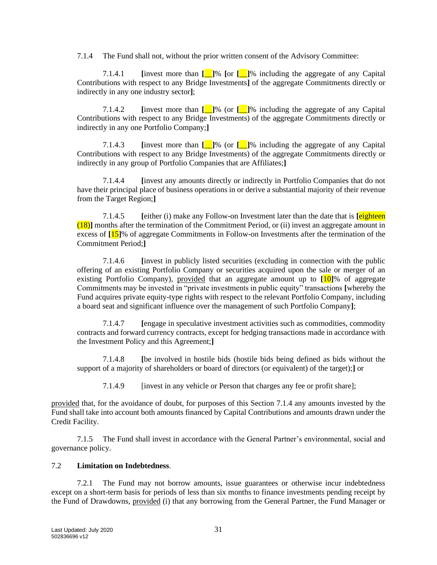<span id="page-33-0"></span>7.1.4 The Fund shall not, without the prior written consent of the Advisory Committee:

7.1.4.1 **[**invest more than **[**\_\_**]**% **[**or **[**\_\_**]**% including the aggregate of any Capital Contributions with respect to any Bridge Investments**]** of the aggregate Commitments directly or indirectly in any one industry sector**]**;

<span id="page-33-3"></span>7.1.4.2 **[**invest more than **[**\_\_**]**% (or **[**\_\_**]**% including the aggregate of any Capital Contributions with respect to any Bridge Investments) of the aggregate Commitments directly or indirectly in any one Portfolio Company;**]**

7.1.4.3 **[**invest more than **[**\_\_**]**% (or **[**\_\_**]**% including the aggregate of any Capital Contributions with respect to any Bridge Investments) of the aggregate Commitments directly or indirectly in any group of Portfolio Companies that are Affiliates;**]**

7.1.4.4 **[**invest any amounts directly or indirectly in Portfolio Companies that do not have their principal place of business operations in or derive a substantial majority of their revenue from the Target Region;**]**

<span id="page-33-2"></span>7.1.4.5 **[**either (i) make any Follow-on Investment later than the date that is **[**eighteen (18)**]** months after the termination of the Commitment Period, or (ii) invest an aggregate amount in excess of **[**15**]**% of aggregate Commitments in Follow-on Investments after the termination of the Commitment Period;**]**

7.1.4.6 **[**invest in publicly listed securities (excluding in connection with the public offering of an existing Portfolio Company or securities acquired upon the sale or merger of an existing Portfolio Company), provided that an aggregate amount up to **[**10**]**% of aggregate Commitments may be invested in "private investments in public equity" transactions **[**whereby the Fund acquires private equity-type rights with respect to the relevant Portfolio Company, including a board seat and significant influence over the management of such Portfolio Company**]**;

7.1.4.7 **[**engage in speculative investment activities such as commodities, commodity contracts and forward currency contracts, except for hedging transactions made in accordance with the Investment Policy and this Agreement;**]**

7.1.4.8 **[**be involved in hostile bids (hostile bids being defined as bids without the support of a majority of shareholders or board of directors (or equivalent) of the target);**]** or

7.1.4.9 [invest in any vehicle or Person that charges any fee or profit share];

provided that, for the avoidance of doubt, for purposes of this Section [7.1.4](#page-33-0) any amounts invested by the Fund shall take into account both amounts financed by Capital Contributions and amounts drawn under the Credit Facility.

7.1.5 The Fund shall invest in accordance with the General Partner's environmental, social and governance policy.

### 7.2 **Limitation on Indebtedness**.

<span id="page-33-1"></span>7.2.1 The Fund may not borrow amounts, issue guarantees or otherwise incur indebtedness except on a short-term basis for periods of less than six months to finance investments pending receipt by the Fund of Drawdowns, provided (i) that any borrowing from the General Partner, the Fund Manager or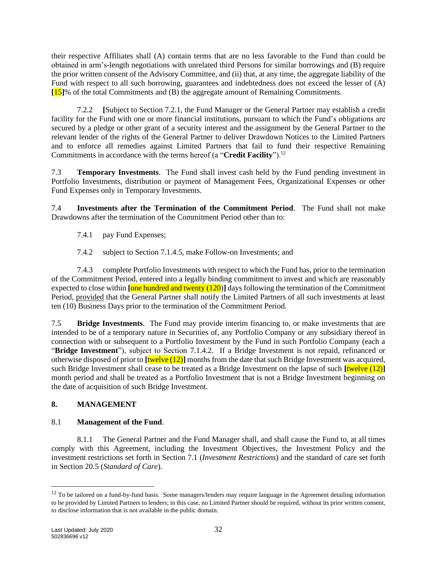their respective Affiliates shall (A) contain terms that are no less favorable to the Fund than could be obtained in arm's-length negotiations with unrelated third Persons for similar borrowings and (B) require the prior written consent of the Advisory Committee, and (ii) that, at any time, the aggregate liability of the Fund with respect to all such borrowing, guarantees and indebtedness does not exceed the lesser of (A) **[**15**]**% of the total Commitments and (B) the aggregate amount of Remaining Commitments.

<span id="page-34-2"></span>7.2.2 **[**Subject to Section [7.2.1,](#page-33-1) the Fund Manager or the General Partner may establish a credit facility for the Fund with one or more financial institutions, pursuant to which the Fund's obligations are secured by a pledge or other grant of a security interest and the assignment by the General Partner to the relevant lender of the rights of the General Partner to deliver Drawdown Notices to the Limited Partners and to enforce all remedies against Limited Partners that fail to fund their respective Remaining Commitments in accordance with the terms hereof (a "**Credit Facility**").<sup>12</sup>

7.3 **Temporary Investments**. The Fund shall invest cash held by the Fund pending investment in Portfolio Investments, distribution or payment of Management Fees, Organizational Expenses or other Fund Expenses only in Temporary Investments.

<span id="page-34-3"></span>7.4 **Investments after the Termination of the Commitment Period**. The Fund shall not make Drawdowns after the termination of the Commitment Period other than to:

7.4.1 pay Fund Expenses;

7.4.2 subject to Section [7.1.4.5,](#page-33-2) make Follow-on Investments; and

7.4.3 complete Portfolio Investments with respect to which the Fund has, prior to the termination of the Commitment Period, entered into a legally binding commitment to invest and which are reasonably expected to close within **[**one hundred and twenty (120)**]** days following the termination of the Commitment Period, provided that the General Partner shall notify the Limited Partners of all such investments at least ten (10) Business Days prior to the termination of the Commitment Period.

<span id="page-34-1"></span>7.5 **Bridge Investments**. The Fund may provide interim financing to, or make investments that are intended to be of a temporary nature in Securities of, any Portfolio Company or any subsidiary thereof in connection with or subsequent to a Portfolio Investment by the Fund in such Portfolio Company (each a "**Bridge Investment**"), subject to Section [7.1.4.2.](#page-33-3) If a Bridge Investment is not repaid, refinanced or otherwise disposed of prior to **[**twelve (12)**]** months from the date that such Bridge Investment was acquired, such Bridge Investment shall cease to be treated as a Bridge Investment on the lapse of such **[**twelve (12)**]** month period and shall be treated as a Portfolio Investment that is not a Bridge Investment beginning on the date of acquisition of such Bridge Investment.

# <span id="page-34-0"></span>**8. MANAGEMENT**

### 8.1 **Management of the Fund**.

8.1.1 The General Partner and the Fund Manager shall, and shall cause the Fund to, at all times comply with this Agreement, including the Investment Objectives, the Investment Policy and the investment restrictions set forth in Section [7.1](#page-32-1) (*Investment Restrictions*) and the standard of care set forth in Section [20.5](#page-70-0) (*Standard of Care*).

<sup>&</sup>lt;sup>12</sup> To be tailored on a fund-by-fund basis. Some managers/lenders may require language in the Agreement detailing information to be provided by Limited Partners to lenders; in this case, no Limited Partner should be required, without its prior written consent, to disclose information that is not available in the public domain.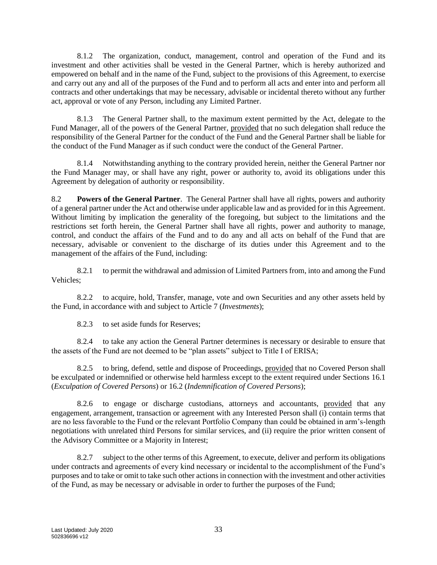8.1.2 The organization, conduct, management, control and operation of the Fund and its investment and other activities shall be vested in the General Partner, which is hereby authorized and empowered on behalf and in the name of the Fund, subject to the provisions of this Agreement, to exercise and carry out any and all of the purposes of the Fund and to perform all acts and enter into and perform all contracts and other undertakings that may be necessary, advisable or incidental thereto without any further act, approval or vote of any Person, including any Limited Partner.

8.1.3 The General Partner shall, to the maximum extent permitted by the Act, delegate to the Fund Manager, all of the powers of the General Partner, provided that no such delegation shall reduce the responsibility of the General Partner for the conduct of the Fund and the General Partner shall be liable for the conduct of the Fund Manager as if such conduct were the conduct of the General Partner.

8.1.4 Notwithstanding anything to the contrary provided herein, neither the General Partner nor the Fund Manager may, or shall have any right, power or authority to, avoid its obligations under this Agreement by delegation of authority or responsibility.

8.2 **Powers of the General Partner**. The General Partner shall have all rights, powers and authority of a general partner under the Act and otherwise under applicable law and as provided for in this Agreement. Without limiting by implication the generality of the foregoing, but subject to the limitations and the restrictions set forth herein, the General Partner shall have all rights, power and authority to manage, control, and conduct the affairs of the Fund and to do any and all acts on behalf of the Fund that are necessary, advisable or convenient to the discharge of its duties under this Agreement and to the management of the affairs of the Fund, including:

8.2.1 to permit the withdrawal and admission of Limited Partners from, into and among the Fund Vehicles;

8.2.2 to acquire, hold, Transfer, manage, vote and own Securities and any other assets held by the Fund, in accordance with and subject to Article [7](#page-32-0) (*Investments*);

8.2.3 to set aside funds for Reserves;

8.2.4 to take any action the General Partner determines is necessary or desirable to ensure that the assets of the Fund are not deemed to be "plan assets" subject to Title I of ERISA;

8.2.5 to bring, defend, settle and dispose of Proceedings, provided that no Covered Person shall be exculpated or indemnified or otherwise held harmless except to the extent required under Sections [16.1](#page-61-1) (*Exculpation of Covered Persons*) o[r 16.2](#page-61-2) (*Indemnification of Covered Persons*);

8.2.6 to engage or discharge custodians, attorneys and accountants, provided that any engagement, arrangement, transaction or agreement with any Interested Person shall (i) contain terms that are no less favorable to the Fund or the relevant Portfolio Company than could be obtained in arm's-length negotiations with unrelated third Persons for similar services, and (ii) require the prior written consent of the Advisory Committee or a Majority in Interest;

8.2.7 subject to the other terms of this Agreement, to execute, deliver and perform its obligations under contracts and agreements of every kind necessary or incidental to the accomplishment of the Fund's purposes and to take or omit to take such other actions in connection with the investment and other activities of the Fund, as may be necessary or advisable in order to further the purposes of the Fund;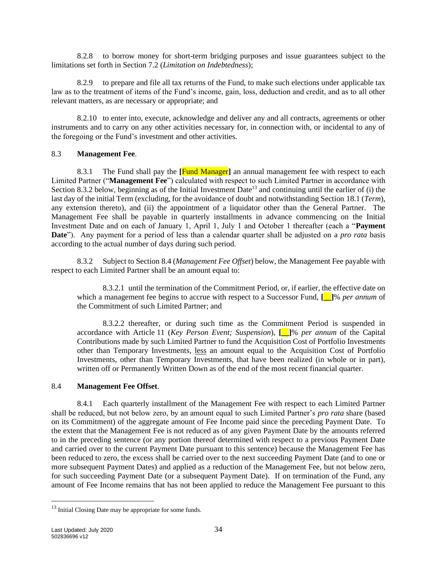8.2.8 to borrow money for short-term bridging purposes and issue guarantees subject to the limitations set forth in Section [7.2](#page-33-0) (*Limitation on Indebtedness*);

8.2.9 to prepare and file all tax returns of the Fund, to make such elections under applicable tax law as to the treatment of items of the Fund's income, gain, loss, deduction and credit, and as to all other relevant matters, as are necessary or appropriate; and

8.2.10 to enter into, execute, acknowledge and deliver any and all contracts, agreements or other instruments and to carry on any other activities necessary for, in connection with, or incidental to any of the foregoing or the Fund's investment and other activities.

#### <span id="page-36-2"></span>8.3 **Management Fee**.

8.3.1 The Fund shall pay the **[**Fund Manager**]** an annual management fee with respect to each Limited Partner ("**Management Fee**") calculated with respect to such Limited Partner in accordance with Section [8.3.2](#page-36-0) below, beginning as of the Initial Investment Date<sup>13</sup> and continuing until the earlier of (i) the last day of the initial Term (excluding, for the avoidance of doubt and notwithstanding Section [18.1](#page-65-0) (*Term*), any extension thereto), and (ii) the appointment of a liquidator other than the General Partner. The Management Fee shall be payable in quarterly installments in advance commencing on the Initial Investment Date and on each of January 1, April 1, July 1 and October 1 thereafter (each a "**Payment Date**"). Any payment for a period of less than a calendar quarter shall be adjusted on a *pro rata* basis according to the actual number of days during such period.

<span id="page-36-0"></span>8.3.2 Subject to Section [8.4](#page-36-1) (*Management Fee Offset*) below, the Management Fee payable with respect to each Limited Partner shall be an amount equal to:

8.3.2.1 until the termination of the Commitment Period, or, if earlier, the effective date on which a management fee begins to accrue with respect to a Successor Fund, **[\_\_]**% *per annum* of the Commitment of such Limited Partner; and

8.3.2.2 thereafter, or during such time as the Commitment Period is suspended in accordance with Article [11](#page-45-0) (*Key Person Event; Suspension*), **[\_\_]**% *per annum* of the Capital Contributions made by such Limited Partner to fund the Acquisition Cost of Portfolio Investments other than Temporary Investments, less an amount equal to the Acquisition Cost of Portfolio Investments, other than Temporary Investments, that have been realized (in whole or in part), written off or Permanently Written Down as of the end of the most recent financial quarter.

## <span id="page-36-1"></span>8.4 **Management Fee Offset**.

8.4.1 Each quarterly installment of the Management Fee with respect to each Limited Partner shall be reduced, but not below zero, by an amount equal to such Limited Partner's *pro rata* share (based on its Commitment) of the aggregate amount of Fee Income paid since the preceding Payment Date. To the extent that the Management Fee is not reduced as of any given Payment Date by the amounts referred to in the preceding sentence (or any portion thereof determined with respect to a previous Payment Date and carried over to the current Payment Date pursuant to this sentence) because the Management Fee has been reduced to zero, the excess shall be carried over to the next succeeding Payment Date (and to one or more subsequent Payment Dates) and applied as a reduction of the Management Fee, but not below zero, for such succeeding Payment Date (or a subsequent Payment Date). If on termination of the Fund, any amount of Fee Income remains that has not been applied to reduce the Management Fee pursuant to this

<sup>&</sup>lt;sup>13</sup> Initial Closing Date may be appropriate for some funds.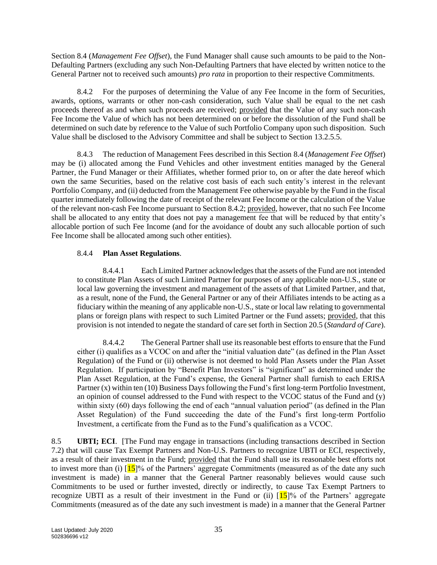Section [8.4](#page-36-1) (*Management Fee Offset*), the Fund Manager shall cause such amounts to be paid to the Non-Defaulting Partners (excluding any such Non-Defaulting Partners that have elected by written notice to the General Partner not to received such amounts) *pro rata* in proportion to their respective Commitments.

<span id="page-37-0"></span>8.4.2 For the purposes of determining the Value of any Fee Income in the form of Securities, awards, options, warrants or other non-cash consideration, such Value shall be equal to the net cash proceeds thereof as and when such proceeds are received; provided that the Value of any such non-cash Fee Income the Value of which has not been determined on or before the dissolution of the Fund shall be determined on such date by reference to the Value of such Portfolio Company upon such disposition. Such Value shall be disclosed to the Advisory Committee and shall be subject to Section [13.2.5.5.](#page-47-0)

8.4.3 The reduction of Management Fees described in this Section [8.4](#page-36-1) (*Management Fee Offset*) may be (i) allocated among the Fund Vehicles and other investment entities managed by the General Partner, the Fund Manager or their Affiliates, whether formed prior to, on or after the date hereof which own the same Securities, based on the relative cost basis of each such entity's interest in the relevant Portfolio Company, and (ii) deducted from the Management Fee otherwise payable by the Fund in the fiscal quarter immediately following the date of receipt of the relevant Fee Income or the calculation of the Value of the relevant non-cash Fee Income pursuant to Section [8.4.2;](#page-37-0) provided, however, that no such Fee Income shall be allocated to any entity that does not pay a management fee that will be reduced by that entity's allocable portion of such Fee Income (and for the avoidance of doubt any such allocable portion of such Fee Income shall be allocated among such other entities).

## 8.4.4 **Plan Asset Regulations**.

8.4.4.1 Each Limited Partner acknowledges that the assets of the Fund are not intended to constitute Plan Assets of such Limited Partner for purposes of any applicable non-U.S., state or local law governing the investment and management of the assets of that Limited Partner, and that, as a result, none of the Fund, the General Partner or any of their Affiliates intends to be acting as a fiduciary within the meaning of any applicable non-U.S., state or local law relating to governmental plans or foreign plans with respect to such Limited Partner or the Fund assets; provided, that this provision is not intended to negate the standard of care set forth in Sectio[n 20.5](#page-70-0) (*Standard of Care*).

8.4.4.2 The General Partner shall use its reasonable best efforts to ensure that the Fund either (i) qualifies as a VCOC on and after the "initial valuation date" (as defined in the Plan Asset Regulation) of the Fund or (ii) otherwise is not deemed to hold Plan Assets under the Plan Asset Regulation. If participation by "Benefit Plan Investors" is "significant" as determined under the Plan Asset Regulation, at the Fund's expense, the General Partner shall furnish to each ERISA Partner (x) within ten (10) Business Days following the Fund's first long-term Portfolio Investment, an opinion of counsel addressed to the Fund with respect to the VCOC status of the Fund and (y) within sixty (60) days following the end of each "annual valuation period" (as defined in the Plan Asset Regulation) of the Fund succeeding the date of the Fund's first long-term Portfolio Investment, a certificate from the Fund as to the Fund's qualification as a VCOC.

<span id="page-37-1"></span>8.5 **UBTI; ECI**. [The Fund may engage in transactions (including transactions described in Section [7.2\)](#page-33-0) that will cause Tax Exempt Partners and Non-U.S. Partners to recognize UBTI or ECI, respectively, as a result of their investment in the Fund; provided that the Fund shall use its reasonable best efforts not to invest more than (i)  $[15]$ % of the Partners' aggregate Commitments (measured as of the date any such investment is made) in a manner that the General Partner reasonably believes would cause such Commitments to be used or further invested, directly or indirectly, to cause Tax Exempt Partners to recognize UBTI as a result of their investment in the Fund or (ii)  $15\%$  of the Partners' aggregate Commitments (measured as of the date any such investment is made) in a manner that the General Partner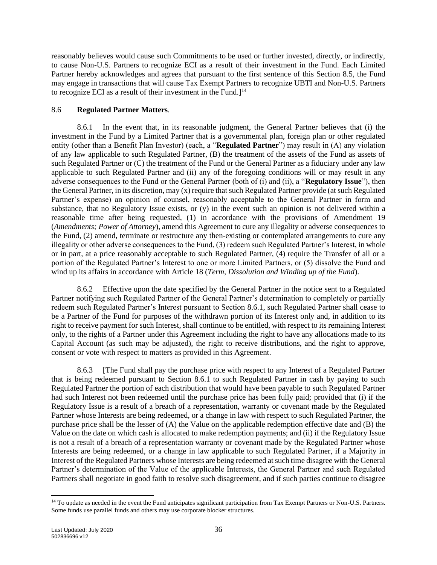reasonably believes would cause such Commitments to be used or further invested, directly, or indirectly, to cause Non-U.S. Partners to recognize ECI as a result of their investment in the Fund. Each Limited Partner hereby acknowledges and agrees that pursuant to the first sentence of this Section [8.5,](#page-37-1) the Fund may engage in transactions that will cause Tax Exempt Partners to recognize UBTI and Non-U.S. Partners to recognize ECI as a result of their investment in the Fund. $1<sup>14</sup>$ 

#### 8.6 **Regulated Partner Matters**.

<span id="page-38-0"></span>8.6.1 In the event that, in its reasonable judgment, the General Partner believes that (i) the investment in the Fund by a Limited Partner that is a governmental plan, foreign plan or other regulated entity (other than a Benefit Plan Investor) (each, a "**Regulated Partner**") may result in (A) any violation of any law applicable to such Regulated Partner, (B) the treatment of the assets of the Fund as assets of such Regulated Partner or (C) the treatment of the Fund or the General Partner as a fiduciary under any law applicable to such Regulated Partner and (ii) any of the foregoing conditions will or may result in any adverse consequences to the Fund or the General Partner (both of (i) and (ii), a "**Regulatory Issue**"), then the General Partner, in its discretion, may (x) require that such Regulated Partner provide (at such Regulated Partner's expense) an opinion of counsel, reasonably acceptable to the General Partner in form and substance, that no Regulatory Issue exists, or (y) in the event such an opinion is not delivered within a reasonable time after being requested, (1) in accordance with the provisions of Amendment [19](#page-67-0) (*Amendments; Power of Attorney*), amend this Agreement to cure any illegality or adverse consequences to the Fund, (2) amend, terminate or restructure any then-existing or contemplated arrangements to cure any illegality or other adverse consequences to the Fund, (3) redeem such Regulated Partner's Interest, in whole or in part, at a price reasonably acceptable to such Regulated Partner, (4) require the Transfer of all or a portion of the Regulated Partner's Interest to one or more Limited Partners, or (5) dissolve the Fund and wind up its affairs in accordance with Article [18](#page-65-1) (*Term, Dissolution and Winding up of the Fund*).

8.6.2 Effective upon the date specified by the General Partner in the notice sent to a Regulated Partner notifying such Regulated Partner of the General Partner's determination to completely or partially redeem such Regulated Partner's Interest pursuant to Section [8.6.1,](#page-38-0) such Regulated Partner shall cease to be a Partner of the Fund for purposes of the withdrawn portion of its Interest only and, in addition to its right to receive payment for such Interest, shall continue to be entitled, with respect to its remaining Interest only, to the rights of a Partner under this Agreement including the right to have any allocations made to its Capital Account (as such may be adjusted), the right to receive distributions, and the right to approve, consent or vote with respect to matters as provided in this Agreement.

8.6.3 [The Fund shall pay the purchase price with respect to any Interest of a Regulated Partner that is being redeemed pursuant to Section [8.6.1](#page-38-0) to such Regulated Partner in cash by paying to such Regulated Partner the portion of each distribution that would have been payable to such Regulated Partner had such Interest not been redeemed until the purchase price has been fully paid; provided that (i) if the Regulatory Issue is a result of a breach of a representation, warranty or covenant made by the Regulated Partner whose Interests are being redeemed, or a change in law with respect to such Regulated Partner, the purchase price shall be the lesser of (A) the Value on the applicable redemption effective date and (B) the Value on the date on which cash is allocated to make redemption payments; and (ii) if the Regulatory Issue is not a result of a breach of a representation warranty or covenant made by the Regulated Partner whose Interests are being redeemed, or a change in law applicable to such Regulated Partner, if a Majority in Interest of the Regulated Partners whose Interests are being redeemed at such time disagree with the General Partner's determination of the Value of the applicable Interests, the General Partner and such Regulated Partners shall negotiate in good faith to resolve such disagreement, and if such parties continue to disagree

<sup>&</sup>lt;sup>14</sup> To update as needed in the event the Fund anticipates significant participation from Tax Exempt Partners or Non-U.S. Partners. Some funds use parallel funds and others may use corporate blocker structures.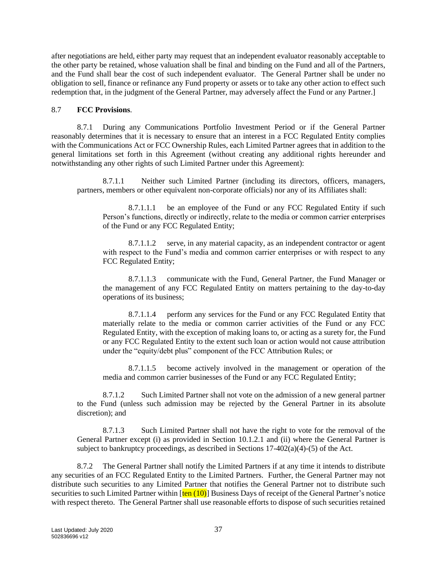after negotiations are held, either party may request that an independent evaluator reasonably acceptable to the other party be retained, whose valuation shall be final and binding on the Fund and all of the Partners, and the Fund shall bear the cost of such independent evaluator. The General Partner shall be under no obligation to sell, finance or refinance any Fund property or assets or to take any other action to effect such redemption that, in the judgment of the General Partner, may adversely affect the Fund or any Partner.]

#### <span id="page-39-0"></span>8.7 **FCC Provisions**.

8.7.1 During any Communications Portfolio Investment Period or if the General Partner reasonably determines that it is necessary to ensure that an interest in a FCC Regulated Entity complies with the Communications Act or FCC Ownership Rules, each Limited Partner agrees that in addition to the general limitations set forth in this Agreement (without creating any additional rights hereunder and notwithstanding any other rights of such Limited Partner under this Agreement):

8.7.1.1 Neither such Limited Partner (including its directors, officers, managers, partners, members or other equivalent non-corporate officials) nor any of its Affiliates shall:

8.7.1.1.1 be an employee of the Fund or any FCC Regulated Entity if such Person's functions, directly or indirectly, relate to the media or common carrier enterprises of the Fund or any FCC Regulated Entity;

8.7.1.1.2 serve, in any material capacity, as an independent contractor or agent with respect to the Fund's media and common carrier enterprises or with respect to any FCC Regulated Entity;

8.7.1.1.3 communicate with the Fund, General Partner, the Fund Manager or the management of any FCC Regulated Entity on matters pertaining to the day-to-day operations of its business;

8.7.1.1.4 perform any services for the Fund or any FCC Regulated Entity that materially relate to the media or common carrier activities of the Fund or any FCC Regulated Entity, with the exception of making loans to, or acting as a surety for, the Fund or any FCC Regulated Entity to the extent such loan or action would not cause attribution under the "equity/debt plus" component of the FCC Attribution Rules; or

8.7.1.1.5 become actively involved in the management or operation of the media and common carrier businesses of the Fund or any FCC Regulated Entity;

8.7.1.2 Such Limited Partner shall not vote on the admission of a new general partner to the Fund (unless such admission may be rejected by the General Partner in its absolute discretion); and

8.7.1.3 Such Limited Partner shall not have the right to vote for the removal of the General Partner except (i) as provided in Section [10.1.2.1](#page-42-0) and (ii) where the General Partner is subject to bankruptcy proceedings, as described in Sections  $17-402(a)(4)-(5)$  of the Act.

8.7.2 The General Partner shall notify the Limited Partners if at any time it intends to distribute any securities of an FCC Regulated Entity to the Limited Partners. Further, the General Partner may not distribute such securities to any Limited Partner that notifies the General Partner not to distribute such securities to such Limited Partner within  $\frac{\text{ten } (10)}{\text{B} }$  Business Days of receipt of the General Partner's notice with respect thereto. The General Partner shall use reasonable efforts to dispose of such securities retained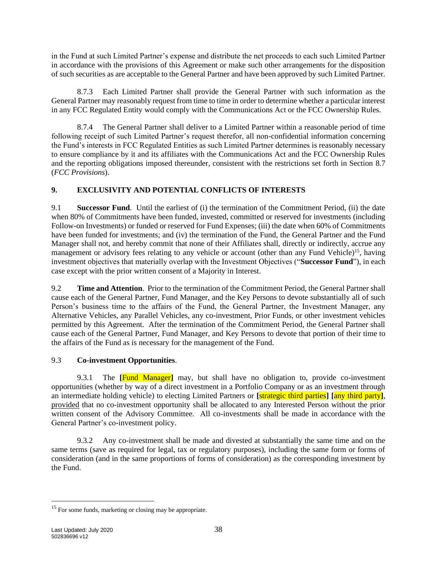in the Fund at such Limited Partner's expense and distribute the net proceeds to each such Limited Partner in accordance with the provisions of this Agreement or make such other arrangements for the disposition of such securities as are acceptable to the General Partner and have been approved by such Limited Partner.

8.7.3 Each Limited Partner shall provide the General Partner with such information as the General Partner may reasonably request from time to time in order to determine whether a particular interest in any FCC Regulated Entity would comply with the Communications Act or the FCC Ownership Rules.

8.7.4 The General Partner shall deliver to a Limited Partner within a reasonable period of time following receipt of such Limited Partner's request therefor, all non-confidential information concerning the Fund's interests in FCC Regulated Entities as such Limited Partner determines is reasonably necessary to ensure compliance by it and its affiliates with the Communications Act and the FCC Ownership Rules and the reporting obligations imposed thereunder, consistent with the restrictions set forth in Section [8.7](#page-39-0) (*FCC Provisions*).

# **9. EXCLUSIVITY AND POTENTIAL CONFLICTS OF INTERESTS**

9.1 **Successor Fund**. Until the earliest of (i) the termination of the Commitment Period, (ii) the date when 80% of Commitments have been funded, invested, committed or reserved for investments (including Follow-on Investments) or funded or reserved for Fund Expenses; (iii) the date when 60% of Commitments have been funded for investments; and (iv) the termination of the Fund, the General Partner and the Fund Manager shall not, and hereby commit that none of their Affiliates shall, directly or indirectly, accrue any management or advisory fees relating to any vehicle or account (other than any Fund Vehicle)<sup>15</sup>, having investment objectives that materially overlap with the Investment Objectives ("**Successor Fund**"), in each case except with the prior written consent of a Majority in Interest.

9.2 **Time and Attention**. Prior to the termination of the Commitment Period, the General Partner shall cause each of the General Partner, Fund Manager, and the Key Persons to devote substantially all of such Person's business time to the affairs of the Fund, the General Partner, the Investment Manager, any Alternative Vehicles, any Parallel Vehicles, any co-investment, Prior Funds, or other investment vehicles permitted by this Agreement. After the termination of the Commitment Period, the General Partner shall cause each of the General Partner, Fund Manager, and Key Persons to devote that portion of their time to the affairs of the Fund as is necessary for the management of the Fund.

# <span id="page-40-0"></span>9.3 **Co-investment Opportunities**.

9.3.1 The **[**Fund Manager**]** may, but shall have no obligation to, provide co-investment opportunities (whether by way of a direct investment in a Portfolio Company or as an investment through an intermediate holding vehicle) to electing Limited Partners or **[**strategic third parties**] [**any third party**]**, provided that no co-investment opportunity shall be allocated to any Interested Person without the prior written consent of the Advisory Committee. All co-investments shall be made in accordance with the General Partner's co-investment policy.

9.3.2 Any co-investment shall be made and divested at substantially the same time and on the same terms (save as required for legal, tax or regulatory purposes), including the same form or forms of consideration (and in the same proportions of forms of consideration) as the corresponding investment by the Fund.

<sup>&</sup>lt;sup>15</sup> For some funds, marketing or closing may be appropriate.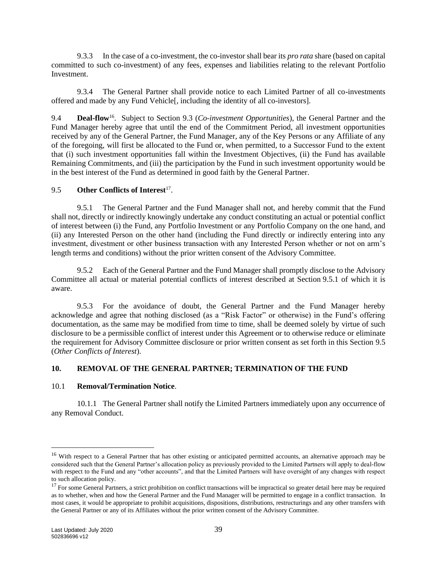9.3.3 In the case of a co-investment, the co-investor shall bear its *pro rata* share (based on capital committed to such co-investment) of any fees, expenses and liabilities relating to the relevant Portfolio Investment.

9.3.4 The General Partner shall provide notice to each Limited Partner of all co-investments offered and made by any Fund Vehicle[, including the identity of all co-investors].

9.4 **Deal-flow**<sup>16</sup>. Subject to Section [9.3](#page-40-0) (*Co-investment Opportunities*), the General Partner and the Fund Manager hereby agree that until the end of the Commitment Period, all investment opportunities received by any of the General Partner, the Fund Manager, any of the Key Persons or any Affiliate of any of the foregoing, will first be allocated to the Fund or, when permitted, to a Successor Fund to the extent that (i) such investment opportunities fall within the Investment Objectives, (ii) the Fund has available Remaining Commitments, and (iii) the participation by the Fund in such investment opportunity would be in the best interest of the Fund as determined in good faith by the General Partner.

## <span id="page-41-1"></span>9.5 Other Conflicts of Interest<sup>17</sup>.

<span id="page-41-0"></span>9.5.1 The General Partner and the Fund Manager shall not, and hereby commit that the Fund shall not, directly or indirectly knowingly undertake any conduct constituting an actual or potential conflict of interest between (i) the Fund, any Portfolio Investment or any Portfolio Company on the one hand, and (ii) any Interested Person on the other hand (including the Fund directly or indirectly entering into any investment, divestment or other business transaction with any Interested Person whether or not on arm's length terms and conditions) without the prior written consent of the Advisory Committee.

9.5.2 Each of the General Partner and the Fund Manager shall promptly disclose to the Advisory Committee all actual or material potential conflicts of interest described at Section [9.5.1](#page-41-0) of which it is aware.

9.5.3 For the avoidance of doubt, the General Partner and the Fund Manager hereby acknowledge and agree that nothing disclosed (as a "Risk Factor" or otherwise) in the Fund's offering documentation, as the same may be modified from time to time, shall be deemed solely by virtue of such disclosure to be a permissible conflict of interest under this Agreement or to otherwise reduce or eliminate the requirement for Advisory Committee disclosure or prior written consent as set forth in this Section [9.5](#page-41-1) (*Other Conflicts of Interest*).

## <span id="page-41-3"></span>**10. REMOVAL OF THE GENERAL PARTNER; TERMINATION OF THE FUND**

## <span id="page-41-2"></span>10.1 **Removal/Termination Notice**.

10.1.1 The General Partner shall notify the Limited Partners immediately upon any occurrence of any Removal Conduct.

<sup>&</sup>lt;sup>16</sup> With respect to a General Partner that has other existing or anticipated permitted accounts, an alternative approach may be considered such that the General Partner's allocation policy as previously provided to the Limited Partners will apply to deal-flow with respect to the Fund and any "other accounts", and that the Limited Partners will have oversight of any changes with respect to such allocation policy.

<sup>&</sup>lt;sup>17</sup> For some General Partners, a strict prohibition on conflict transactions will be impractical so greater detail here may be required as to whether, when and how the General Partner and the Fund Manager will be permitted to engage in a conflict transaction. In most cases, it would be appropriate to prohibit acquisitions, dispositions, distributions, restructurings and any other transfers with the General Partner or any of its Affiliates without the prior written consent of the Advisory Committee.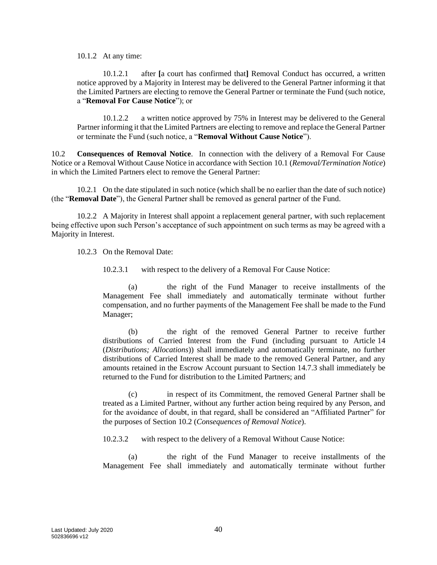10.1.2 At any time:

<span id="page-42-0"></span>10.1.2.1 after **[**a court has confirmed that**]** Removal Conduct has occurred, a written notice approved by a Majority in Interest may be delivered to the General Partner informing it that the Limited Partners are electing to remove the General Partner or terminate the Fund (such notice, a "**Removal For Cause Notice**"); or

10.1.2.2 a written notice approved by 75% in Interest may be delivered to the General Partner informing it that the Limited Partners are electing to remove and replace the General Partner or terminate the Fund (such notice, a "**Removal Without Cause Notice**").

<span id="page-42-1"></span>10.2 **Consequences of Removal Notice**. In connection with the delivery of a Removal For Cause Notice or a Removal Without Cause Notice in accordance with Section [10.1](#page-41-2) (*Removal/Termination Notice*) in which the Limited Partners elect to remove the General Partner:

10.2.1 On the date stipulated in such notice (which shall be no earlier than the date of such notice) (the "**Removal Date**"), the General Partner shall be removed as general partner of the Fund.

<span id="page-42-3"></span>10.2.2 A Majority in Interest shall appoint a replacement general partner, with such replacement being effective upon such Person's acceptance of such appointment on such terms as may be agreed with a Majority in Interest.

10.2.3 On the Removal Date:

10.2.3.1 with respect to the delivery of a Removal For Cause Notice:

(a) the right of the Fund Manager to receive installments of the Management Fee shall immediately and automatically terminate without further compensation, and no further payments of the Management Fee shall be made to the Fund Manager;

(b) the right of the removed General Partner to receive further distributions of Carried Interest from the Fund (including pursuant to Article [14](#page-49-0) (*Distributions; Allocations*)) shall immediately and automatically terminate, no further distributions of Carried Interest shall be made to the removed General Partner, and any amounts retained in the Escrow Account pursuant to Section [14.7.3](#page-53-0) shall immediately be returned to the Fund for distribution to the Limited Partners; and

(c) in respect of its Commitment, the removed General Partner shall be treated as a Limited Partner, without any further action being required by any Person, and for the avoidance of doubt, in that regard, shall be considered an "Affiliated Partner" for the purposes of Section [10.2](#page-42-1) (*Consequences of Removal Notice*).

<span id="page-42-2"></span>10.2.3.2 with respect to the delivery of a Removal Without Cause Notice:

(a) the right of the Fund Manager to receive installments of the Management Fee shall immediately and automatically terminate without further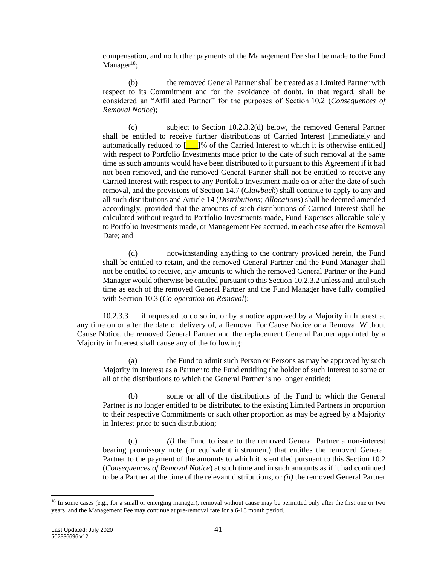compensation, and no further payments of the Management Fee shall be made to the Fund Manager $18$ ;

(b) the removed General Partner shall be treated as a Limited Partner with respect to its Commitment and for the avoidance of doubt, in that regard, shall be considered an "Affiliated Partner" for the purposes of Section [10.2](#page-42-1) (*Consequences of Removal Notice*);

(c) subject to Section 10.2.3.[2\(d\)](#page-43-0) below, the removed General Partner shall be entitled to receive further distributions of Carried Interest [immediately and automatically reduced to **[\_\_\_]**% of the Carried Interest to which it is otherwise entitled] with respect to Portfolio Investments made prior to the date of such removal at the same time as such amounts would have been distributed to it pursuant to this Agreement if it had not been removed, and the removed General Partner shall not be entitled to receive any Carried Interest with respect to any Portfolio Investment made on or after the date of such removal, and the provisions of Section [14.7](#page-52-0) (*Clawback*) shall continue to apply to any and all such distributions and Article [14](#page-49-0) (*Distributions; Allocations*) shall be deemed amended accordingly, provided that the amounts of such distributions of Carried Interest shall be calculated without regard to Portfolio Investments made, Fund Expenses allocable solely to Portfolio Investments made, or Management Fee accrued, in each case after the Removal Date; and

<span id="page-43-0"></span>(d) notwithstanding anything to the contrary provided herein, the Fund shall be entitled to retain, and the removed General Partner and the Fund Manager shall not be entitled to receive, any amounts to which the removed General Partner or the Fund Manager would otherwise be entitled pursuant to this Section [10.2.3.2](#page-42-2) unless and until such time as each of the removed General Partner and the Fund Manager have fully complied with Section [10.3](#page-44-0) (*Co-operation on Removal*);

<span id="page-43-1"></span>10.2.3.3 if requested to do so in, or by a notice approved by a Majority in Interest at any time on or after the date of delivery of, a Removal For Cause Notice or a Removal Without Cause Notice, the removed General Partner and the replacement General Partner appointed by a Majority in Interest shall cause any of the following:

(a) the Fund to admit such Person or Persons as may be approved by such Majority in Interest as a Partner to the Fund entitling the holder of such Interest to some or all of the distributions to which the General Partner is no longer entitled;

(b) some or all of the distributions of the Fund to which the General Partner is no longer entitled to be distributed to the existing Limited Partners in proportion to their respective Commitments or such other proportion as may be agreed by a Majority in Interest prior to such distribution;

(c) *(i)* the Fund to issue to the removed General Partner a non-interest bearing promissory note (or equivalent instrument) that entitles the removed General Partner to the payment of the amounts to which it is entitled pursuant to this Section [10.2](#page-42-1) (*Consequences of Removal Notice*) at such time and in such amounts as if it had continued to be a Partner at the time of the relevant distributions, or *(ii)* the removed General Partner

<sup>&</sup>lt;sup>18</sup> In some cases (e.g., for a small or emerging manager), removal without cause may be permitted only after the first one or two years, and the Management Fee may continue at pre-removal rate for a 6-18 month period.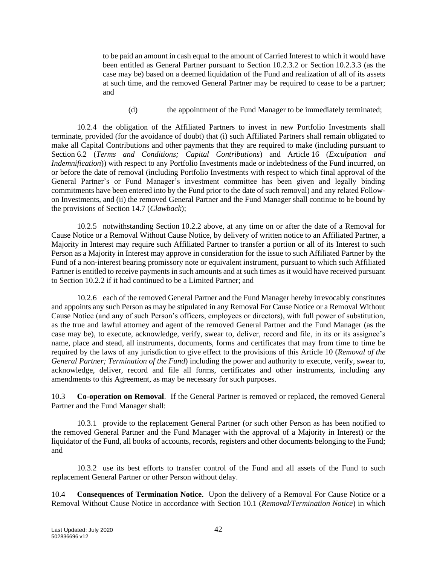to be paid an amount in cash equal to the amount of Carried Interest to which it would have been entitled as General Partner pursuant to Section [10.2.3.2](#page-42-2) or Section [10.2.3.3](#page-43-1) (as the case may be) based on a deemed liquidation of the Fund and realization of all of its assets at such time, and the removed General Partner may be required to cease to be a partner; and

(d) the appointment of the Fund Manager to be immediately terminated;

10.2.4 the obligation of the Affiliated Partners to invest in new Portfolio Investments shall terminate, provided (for the avoidance of doubt) that (i) such Affiliated Partners shall remain obligated to make all Capital Contributions and other payments that they are required to make (including pursuant to Section [6.2](#page-26-0) (*Terms and Conditions; Capital Contributions*) and Article [16](#page-61-0) (*Exculpation and Indemnification*)) with respect to any Portfolio Investments made or indebtedness of the Fund incurred, on or before the date of removal (including Portfolio Investments with respect to which final approval of the General Partner's or Fund Manager's investment committee has been given and legally binding commitments have been entered into by the Fund prior to the date of such removal) and any related Followon Investments, and (ii) the removed General Partner and the Fund Manager shall continue to be bound by the provisions of Section [14.7](#page-52-0) (*Clawback*);

10.2.5 notwithstanding Section [10.2.2](#page-42-3) above, at any time on or after the date of a Removal for Cause Notice or a Removal Without Cause Notice, by delivery of written notice to an Affiliated Partner, a Majority in Interest may require such Affiliated Partner to transfer a portion or all of its Interest to such Person as a Majority in Interest may approve in consideration for the issue to such Affiliated Partner by the Fund of a non-interest bearing promissory note or equivalent instrument, pursuant to which such Affiliated Partner is entitled to receive payments in such amounts and at such times as it would have received pursuant to Section [10.2.2](#page-42-3) if it had continued to be a Limited Partner; and

10.2.6 each of the removed General Partner and the Fund Manager hereby irrevocably constitutes and appoints any such Person as may be stipulated in any Removal For Cause Notice or a Removal Without Cause Notice (and any of such Person's officers, employees or directors), with full power of substitution, as the true and lawful attorney and agent of the removed General Partner and the Fund Manager (as the case may be), to execute, acknowledge, verify, swear to, deliver, record and file, in its or its assignee's name, place and stead, all instruments, documents, forms and certificates that may from time to time be required by the laws of any jurisdiction to give effect to the provisions of this Article [10](#page-41-3) (*Removal of the General Partner; Termination of the Fund*) including the power and authority to execute, verify, swear to, acknowledge, deliver, record and file all forms, certificates and other instruments, including any amendments to this Agreement, as may be necessary for such purposes.

<span id="page-44-0"></span>10.3 **Co-operation on Removal**. If the General Partner is removed or replaced, the removed General Partner and the Fund Manager shall:

10.3.1 provide to the replacement General Partner (or such other Person as has been notified to the removed General Partner and the Fund Manager with the approval of a Majority in Interest) or the liquidator of the Fund, all books of accounts, records, registers and other documents belonging to the Fund; and

10.3.2 use its best efforts to transfer control of the Fund and all assets of the Fund to such replacement General Partner or other Person without delay.

<span id="page-44-1"></span>10.4 **Consequences of Termination Notice.** Upon the delivery of a Removal For Cause Notice or a Removal Without Cause Notice in accordance with Section [10.1](#page-41-2) (*Removal/Termination Notice*) in which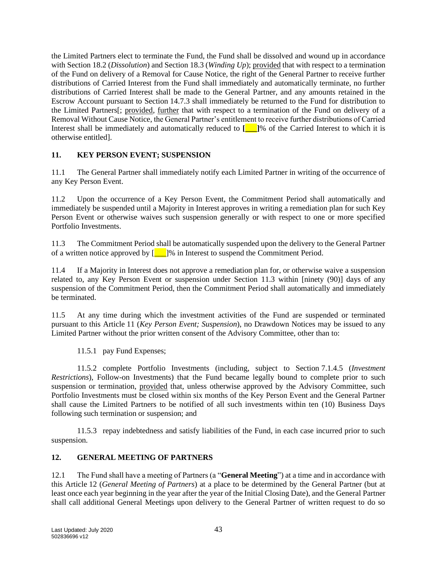the Limited Partners elect to terminate the Fund, the Fund shall be dissolved and wound up in accordance with Sectio[n 18.2](#page-65-2) (*Dissolution*) and Section [18.3](#page-66-0) (*Winding Up*); provided that with respect to a termination of the Fund on delivery of a Removal for Cause Notice, the right of the General Partner to receive further distributions of Carried Interest from the Fund shall immediately and automatically terminate, no further distributions of Carried Interest shall be made to the General Partner, and any amounts retained in the Escrow Account pursuant to Section [14.7.3](#page-53-0) shall immediately be returned to the Fund for distribution to the Limited Partners[; provided, further that with respect to a termination of the Fund on delivery of a Removal Without Cause Notice, the General Partner's entitlement to receive further distributions of Carried Interest shall be immediately and automatically reduced to **[\_\_\_]**% of the Carried Interest to which it is otherwise entitled].

## <span id="page-45-0"></span>**11. KEY PERSON EVENT; SUSPENSION**

11.1 The General Partner shall immediately notify each Limited Partner in writing of the occurrence of any Key Person Event.

11.2 Upon the occurrence of a Key Person Event, the Commitment Period shall automatically and immediately be suspended until a Majority in Interest approves in writing a remediation plan for such Key Person Event or otherwise waives such suspension generally or with respect to one or more specified Portfolio Investments.

<span id="page-45-1"></span>11.3 The Commitment Period shall be automatically suspended upon the delivery to the General Partner of a written notice approved by  $\begin{bmatrix} 1 \\ 1 \end{bmatrix}$ % in Interest to suspend the Commitment Period.

11.4 If a Majority in Interest does not approve a remediation plan for, or otherwise waive a suspension related to, any Key Person Event or suspension under Section [11.3](#page-45-1) within [ninety (90)] days of any suspension of the Commitment Period, then the Commitment Period shall automatically and immediately be terminated.

11.5 At any time during which the investment activities of the Fund are suspended or terminated pursuant to this Article [11](#page-45-0) (*Key Person Event; Suspension*), no Drawdown Notices may be issued to any Limited Partner without the prior written consent of the Advisory Committee, other than to:

11.5.1 pay Fund Expenses;

11.5.2 complete Portfolio Investments (including, subject to Section [7.1.4.5](#page-33-1) (*Investment Restrictions*), Follow-on Investments) that the Fund became legally bound to complete prior to such suspension or termination, provided that, unless otherwise approved by the Advisory Committee, such Portfolio Investments must be closed within six months of the Key Person Event and the General Partner shall cause the Limited Partners to be notified of all such investments within ten (10) Business Days following such termination or suspension; and

11.5.3 repay indebtedness and satisfy liabilities of the Fund, in each case incurred prior to such suspension.

## <span id="page-45-2"></span>**12. GENERAL MEETING OF PARTNERS**

12.1 The Fund shall have a meeting of Partners (a "**General Meeting**") at a time and in accordance with this Article [12](#page-45-2) (*General Meeting of Partners*) at a place to be determined by the General Partner (but at least once each year beginning in the year after the year of the Initial Closing Date), and the General Partner shall call additional General Meetings upon delivery to the General Partner of written request to do so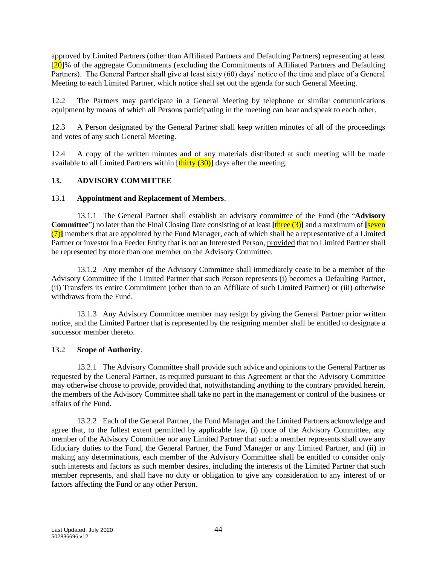approved by Limited Partners (other than Affiliated Partners and Defaulting Partners) representing at least  $[20]$ % of the aggregate Commitments (excluding the Commitments of Affiliated Partners and Defaulting Partners). The General Partner shall give at least sixty (60) days' notice of the time and place of a General Meeting to each Limited Partner, which notice shall set out the agenda for such General Meeting.

12.2 The Partners may participate in a General Meeting by telephone or similar communications equipment by means of which all Persons participating in the meeting can hear and speak to each other.

12.3 A Person designated by the General Partner shall keep written minutes of all of the proceedings and votes of any such General Meeting.

12.4 A copy of the written minutes and of any materials distributed at such meeting will be made available to all Limited Partners within  $[\text{thirty} (30)]$  days after the meeting.

#### <span id="page-46-0"></span>**13. ADVISORY COMMITTEE**

#### 13.1 **Appointment and Replacement of Members**.

13.1.1 The General Partner shall establish an advisory committee of the Fund (the "**Advisory Committee**") no later than the Final Closing Date consisting of at least **[**three (3)**]** and a maximum of **[**seven (7)**]** members that are appointed by the Fund Manager, each of which shall be a representative of a Limited Partner or investor in a Feeder Entity that is not an Interested Person, provided that no Limited Partner shall be represented by more than one member on the Advisory Committee.

13.1.2 Any member of the Advisory Committee shall immediately cease to be a member of the Advisory Committee if the Limited Partner that such Person represents (i) becomes a Defaulting Partner, (ii) Transfers its entire Commitment (other than to an Affiliate of such Limited Partner) or (iii) otherwise withdraws from the Fund.

13.1.3 Any Advisory Committee member may resign by giving the General Partner prior written notice, and the Limited Partner that is represented by the resigning member shall be entitled to designate a successor member thereto.

#### 13.2 **Scope of Authority**.

13.2.1 The Advisory Committee shall provide such advice and opinions to the General Partner as requested by the General Partner, as required pursuant to this Agreement or that the Advisory Committee may otherwise choose to provide, provided that, notwithstanding anything to the contrary provided herein, the members of the Advisory Committee shall take no part in the management or control of the business or affairs of the Fund.

13.2.2 Each of the General Partner, the Fund Manager and the Limited Partners acknowledge and agree that, to the fullest extent permitted by applicable law, (i) none of the Advisory Committee, any member of the Advisory Committee nor any Limited Partner that such a member represents shall owe any fiduciary duties to the Fund, the General Partner, the Fund Manager or any Limited Partner, and (ii) in making any determinations, each member of the Advisory Committee shall be entitled to consider only such interests and factors as such member desires, including the interests of the Limited Partner that such member represents, and shall have no duty or obligation to give any consideration to any interest of or factors affecting the Fund or any other Person.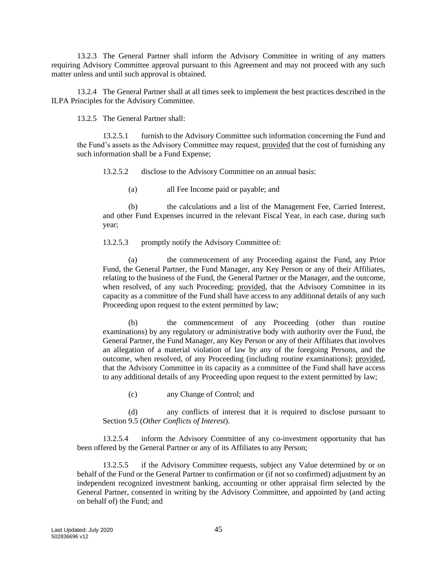13.2.3 The General Partner shall inform the Advisory Committee in writing of any matters requiring Advisory Committee approval pursuant to this Agreement and may not proceed with any such matter unless and until such approval is obtained.

13.2.4 The General Partner shall at all times seek to implement the best practices described in the ILPA Principles for the Advisory Committee.

13.2.5 The General Partner shall:

13.2.5.1 furnish to the Advisory Committee such information concerning the Fund and the Fund's assets as the Advisory Committee may request, provided that the cost of furnishing any such information shall be a Fund Expense;

13.2.5.2 disclose to the Advisory Committee on an annual basis:

(a) all Fee Income paid or payable; and

(b) the calculations and a list of the Management Fee, Carried Interest, and other Fund Expenses incurred in the relevant Fiscal Year, in each case, during such year;

13.2.5.3 promptly notify the Advisory Committee of:

(a) the commencement of any Proceeding against the Fund, any Prior Fund, the General Partner, the Fund Manager, any Key Person or any of their Affiliates, relating to the business of the Fund, the General Partner or the Manager, and the outcome, when resolved, of any such Proceeding; provided, that the Advisory Committee in its capacity as a committee of the Fund shall have access to any additional details of any such Proceeding upon request to the extent permitted by law;

(b) the commencement of any Proceeding (other than routine examinations) by any regulatory or administrative body with authority over the Fund, the General Partner, the Fund Manager, any Key Person or any of their Affiliates that involves an allegation of a material violation of law by any of the foregoing Persons, and the outcome, when resolved, of any Proceeding (including routine examinations); provided, that the Advisory Committee in its capacity as a committee of the Fund shall have access to any additional details of any Proceeding upon request to the extent permitted by law;

(c) any Change of Control; and

(d) any conflicts of interest that it is required to disclose pursuant to Sectio[n 9.5](#page-41-1) (*Other Conflicts of Interest*).

13.2.5.4 inform the Advisory Committee of any co-investment opportunity that has been offered by the General Partner or any of its Affiliates to any Person;

<span id="page-47-0"></span>13.2.5.5 if the Advisory Committee requests, subject any Value determined by or on behalf of the Fund or the General Partner to confirmation or (if not so confirmed) adjustment by an independent recognized investment banking, accounting or other appraisal firm selected by the General Partner, consented in writing by the Advisory Committee, and appointed by (and acting on behalf of) the Fund; and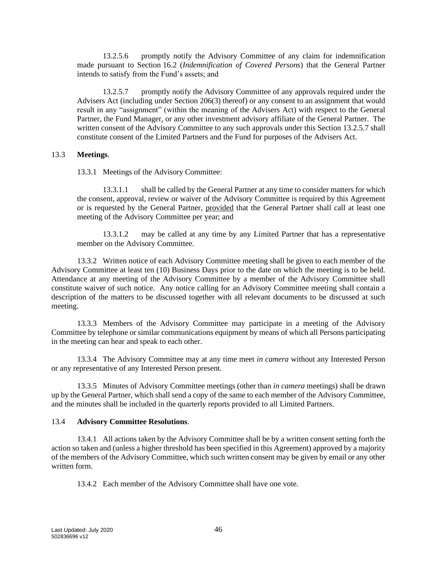13.2.5.6 promptly notify the Advisory Committee of any claim for indemnification made pursuant to Section [16.2](#page-61-1) (*Indemnification of Covered Persons*) that the General Partner intends to satisfy from the Fund's assets; and

<span id="page-48-0"></span>13.2.5.7 promptly notify the Advisory Committee of any approvals required under the Advisers Act (including under Section 206(3) thereof) or any consent to an assignment that would result in any "assignment" (within the meaning of the Advisers Act) with respect to the General Partner, the Fund Manager, or any other investment advisory affiliate of the General Partner. The written consent of the Advisory Committee to any such approvals under this Section [13.2.5.7](#page-48-0) shall constitute consent of the Limited Partners and the Fund for purposes of the Advisers Act.

#### 13.3 **Meetings**.

13.3.1 Meetings of the Advisory Committee:

13.3.1.1 shall be called by the General Partner at any time to consider matters for which the consent, approval, review or waiver of the Advisory Committee is required by this Agreement or is requested by the General Partner, provided that the General Partner shall call at least one meeting of the Advisory Committee per year; and

13.3.1.2 may be called at any time by any Limited Partner that has a representative member on the Advisory Committee.

13.3.2 Written notice of each Advisory Committee meeting shall be given to each member of the Advisory Committee at least ten (10) Business Days prior to the date on which the meeting is to be held. Attendance at any meeting of the Advisory Committee by a member of the Advisory Committee shall constitute waiver of such notice. Any notice calling for an Advisory Committee meeting shall contain a description of the matters to be discussed together with all relevant documents to be discussed at such meeting.

13.3.3 Members of the Advisory Committee may participate in a meeting of the Advisory Committee by telephone or similar communications equipment by means of which all Persons participating in the meeting can hear and speak to each other.

13.3.4 The Advisory Committee may at any time meet *in camera* without any Interested Person or any representative of any Interested Person present.

13.3.5 Minutes of Advisory Committee meetings (other than *in camera* meetings) shall be drawn up by the General Partner, which shall send a copy of the same to each member of the Advisory Committee, and the minutes shall be included in the quarterly reports provided to all Limited Partners.

#### 13.4 **Advisory Committee Resolutions**.

13.4.1 All actions taken by the Advisory Committee shall be by a written consent setting forth the action so taken and (unless a higher threshold has been specified in this Agreement) approved by a majority of the members of the Advisory Committee, which such written consent may be given by email or any other written form.

13.4.2 Each member of the Advisory Committee shall have one vote.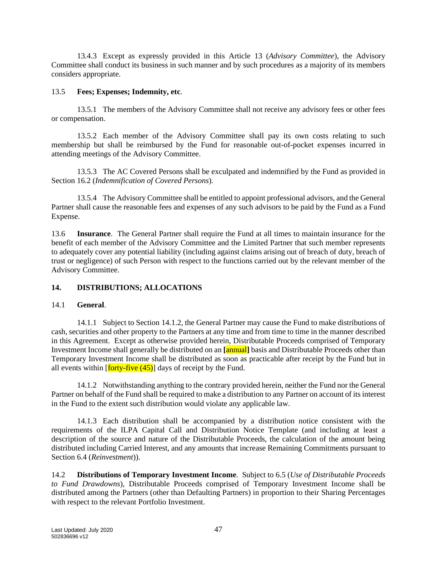13.4.3 Except as expressly provided in this Article [13](#page-46-0) (*Advisory Committee*), the Advisory Committee shall conduct its business in such manner and by such procedures as a majority of its members considers appropriate.

#### 13.5 **Fees; Expenses; Indemnity, etc**.

13.5.1 The members of the Advisory Committee shall not receive any advisory fees or other fees or compensation.

13.5.2 Each member of the Advisory Committee shall pay its own costs relating to such membership but shall be reimbursed by the Fund for reasonable out-of-pocket expenses incurred in attending meetings of the Advisory Committee.

13.5.3 The AC Covered Persons shall be exculpated and indemnified by the Fund as provided in Section [16.2](#page-61-1) (*Indemnification of Covered Persons*).

13.5.4 The Advisory Committee shall be entitled to appoint professional advisors, and the General Partner shall cause the reasonable fees and expenses of any such advisors to be paid by the Fund as a Fund Expense.

<span id="page-49-3"></span>13.6 **Insurance**. The General Partner shall require the Fund at all times to maintain insurance for the benefit of each member of the Advisory Committee and the Limited Partner that such member represents to adequately cover any potential liability (including against claims arising out of breach of duty, breach of trust or negligence) of such Person with respect to the functions carried out by the relevant member of the Advisory Committee.

## <span id="page-49-0"></span>**14. DISTRIBUTIONS; ALLOCATIONS**

#### <span id="page-49-4"></span>14.1 **General**.

14.1.1 Subject to Section [14.1.2,](#page-49-1) the General Partner may cause the Fund to make distributions of cash, securities and other property to the Partners at any time and from time to time in the manner described in this Agreement. Except as otherwise provided herein, Distributable Proceeds comprised of Temporary Investment Income shall generally be distributed on an **[**annual**]** basis and Distributable Proceeds other than Temporary Investment Income shall be distributed as soon as practicable after receipt by the Fund but in all events within  $\left[ \frac{\text{forty-five}}{\text{ (45)}} \right]$  days of receipt by the Fund.

<span id="page-49-1"></span>14.1.2 Notwithstanding anything to the contrary provided herein, neither the Fund nor the General Partner on behalf of the Fund shall be required to make a distribution to any Partner on account of its interest in the Fund to the extent such distribution would violate any applicable law.

14.1.3 Each distribution shall be accompanied by a distribution notice consistent with the requirements of the ILPA Capital Call and Distribution Notice Template (and including at least a description of the source and nature of the Distributable Proceeds, the calculation of the amount being distributed including Carried Interest, and any amounts that increase Remaining Commitments pursuant to Sectio[n 6.4](#page-28-0) (*Reinvestment*)).

<span id="page-49-2"></span>14.2 **Distributions of Temporary Investment Income**. Subject to [6.5](#page-28-1) (*Use of Distributable Proceeds to Fund Drawdowns*), Distributable Proceeds comprised of Temporary Investment Income shall be distributed among the Partners (other than Defaulting Partners) in proportion to their Sharing Percentages with respect to the relevant Portfolio Investment.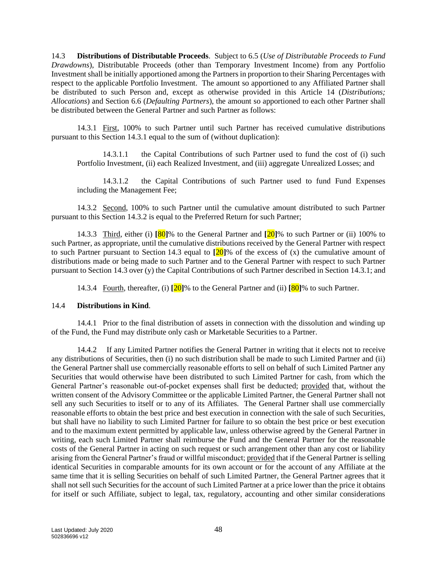<span id="page-50-2"></span>14.3 **Distributions of Distributable Proceeds**. Subject to [6.5](#page-28-1) (*Use of Distributable Proceeds to Fund Drawdowns*), Distributable Proceeds (other than Temporary Investment Income) from any Portfolio Investment shall be initially apportioned among the Partners in proportion to their Sharing Percentages with respect to the applicable Portfolio Investment. The amount so apportioned to any Affiliated Partner shall be distributed to such Person and, except as otherwise provided in this Article [14](#page-49-0) (*Distributions; Allocations*) and Section [6.6](#page-28-2) (*Defaulting Partners*), the amount so apportioned to each other Partner shall be distributed between the General Partner and such Partner as follows:

<span id="page-50-0"></span>14.3.1 First, 100% to such Partner until such Partner has received cumulative distributions pursuant to this Section [14.3.1](#page-50-0) equal to the sum of (without duplication):

14.3.1.1 the Capital Contributions of such Partner used to fund the cost of (i) such Portfolio Investment, (ii) each Realized Investment, and (iii) aggregate Unrealized Losses; and

14.3.1.2 the Capital Contributions of such Partner used to fund Fund Expenses including the Management Fee;

<span id="page-50-1"></span>14.3.2 Second, 100% to such Partner until the cumulative amount distributed to such Partner pursuant to this Section [14.3.2](#page-50-1) is equal to the Preferred Return for such Partner;

<span id="page-50-4"></span>14.3.3 Third, either (i) **[**80**]**% to the General Partner and **[**20**]**% to such Partner or (ii) 100% to such Partner, as appropriate, until the cumulative distributions received by the General Partner with respect to such Partner pursuant to Section [14.3](#page-50-2) equal to **[**20**]**% of the excess of (x) the cumulative amount of distributions made or being made to such Partner and to the General Partner with respect to such Partner pursuant to Section [14.3](#page-50-2) over (y) the Capital Contributions of such Partner described in Section [14.3.1;](#page-50-0) and

14.3.4 Fourth, thereafter, (i) **[**20**]**% to the General Partner and (ii) **[**80**]**% to such Partner.

#### <span id="page-50-5"></span>14.4 **Distributions in Kind**.

14.4.1 Prior to the final distribution of assets in connection with the dissolution and winding up of the Fund, the Fund may distribute only cash or Marketable Securities to a Partner.

<span id="page-50-3"></span>14.4.2 If any Limited Partner notifies the General Partner in writing that it elects not to receive any distributions of Securities, then (i) no such distribution shall be made to such Limited Partner and (ii) the General Partner shall use commercially reasonable efforts to sell on behalf of such Limited Partner any Securities that would otherwise have been distributed to such Limited Partner for cash, from which the General Partner's reasonable out-of-pocket expenses shall first be deducted; provided that, without the written consent of the Advisory Committee or the applicable Limited Partner, the General Partner shall not sell any such Securities to itself or to any of its Affiliates. The General Partner shall use commercially reasonable efforts to obtain the best price and best execution in connection with the sale of such Securities, but shall have no liability to such Limited Partner for failure to so obtain the best price or best execution and to the maximum extent permitted by applicable law, unless otherwise agreed by the General Partner in writing, each such Limited Partner shall reimburse the Fund and the General Partner for the reasonable costs of the General Partner in acting on such request or such arrangement other than any cost or liability arising from the General Partner's fraud or willful misconduct; provided that if the General Partner is selling identical Securities in comparable amounts for its own account or for the account of any Affiliate at the same time that it is selling Securities on behalf of such Limited Partner, the General Partner agrees that it shall not sell such Securities for the account of such Limited Partner at a price lower than the price it obtains for itself or such Affiliate, subject to legal, tax, regulatory, accounting and other similar considerations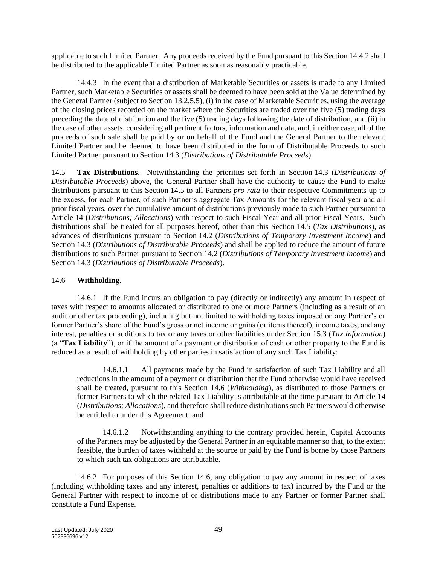applicable to such Limited Partner. Any proceeds received by the Fund pursuant to this Sectio[n 14.4.2](#page-50-3) shall be distributed to the applicable Limited Partner as soon as reasonably practicable.

14.4.3 In the event that a distribution of Marketable Securities or assets is made to any Limited Partner, such Marketable Securities or assets shall be deemed to have been sold at the Value determined by the General Partner (subject to Section [13.2.5.5\)](#page-47-0), (i) in the case of Marketable Securities, using the average of the closing prices recorded on the market where the Securities are traded over the five (5) trading days preceding the date of distribution and the five (5) trading days following the date of distribution, and (ii) in the case of other assets, considering all pertinent factors, information and data, and, in either case, all of the proceeds of such sale shall be paid by or on behalf of the Fund and the General Partner to the relevant Limited Partner and be deemed to have been distributed in the form of Distributable Proceeds to such Limited Partner pursuant to Section [14.3](#page-50-2) (*Distributions of Distributable Proceeds*).

<span id="page-51-0"></span>14.5 **Tax Distributions**. Notwithstanding the priorities set forth in Section [14.3](#page-50-2) (*Distributions of Distributable Proceeds*) above, the General Partner shall have the authority to cause the Fund to make distributions pursuant to this Section [14.5](#page-51-0) to all Partners *pro rata* to their respective Commitments up to the excess, for each Partner, of such Partner's aggregate Tax Amounts for the relevant fiscal year and all prior fiscal years, over the cumulative amount of distributions previously made to such Partner pursuant to Article [14](#page-49-0) (*Distributions; Allocations*) with respect to such Fiscal Year and all prior Fiscal Years. Such distributions shall be treated for all purposes hereof, other than this Section [14.5](#page-51-0) (*Tax Distributions*), as advances of distributions pursuant to Section [14.2](#page-49-2) (*Distributions of Temporary Investment Income*) and Section [14.3](#page-50-2) (*Distributions of Distributable Proceeds*) and shall be applied to reduce the amount of future distributions to such Partner pursuant to Section [14.2](#page-49-2) (*Distributions of Temporary Investment Income*) and Section [14.3](#page-50-2) (*Distributions of Distributable Proceeds*).

## <span id="page-51-1"></span>14.6 **Withholding**.

14.6.1 If the Fund incurs an obligation to pay (directly or indirectly) any amount in respect of taxes with respect to amounts allocated or distributed to one or more Partners (including as a result of an audit or other tax proceeding), including but not limited to withholding taxes imposed on any Partner's or former Partner's share of the Fund's gross or net income or gains (or items thereof), income taxes, and any interest, penalties or additions to tax or any taxes or other liabilities under Section [15.3](#page-58-0) (*Tax Information*) (a "**Tax Liability**"), or if the amount of a payment or distribution of cash or other property to the Fund is reduced as a result of withholding by other parties in satisfaction of any such Tax Liability:

14.6.1.1 All payments made by the Fund in satisfaction of such Tax Liability and all reductions in the amount of a payment or distribution that the Fund otherwise would have received shall be treated, pursuant to this Section [14.6](#page-51-1) (*Withholding*), as distributed to those Partners or former Partners to which the related Tax Liability is attributable at the time pursuant to Article [14](#page-49-0) (*Distributions; Allocations*), and therefore shall reduce distributions such Partners would otherwise be entitled to under this Agreement; and

14.6.1.2 Notwithstanding anything to the contrary provided herein, Capital Accounts of the Partners may be adjusted by the General Partner in an equitable manner so that, to the extent feasible, the burden of taxes withheld at the source or paid by the Fund is borne by those Partners to which such tax obligations are attributable.

14.6.2 For purposes of this Section [14.6,](#page-51-1) any obligation to pay any amount in respect of taxes (including withholding taxes and any interest, penalties or additions to tax) incurred by the Fund or the General Partner with respect to income of or distributions made to any Partner or former Partner shall constitute a Fund Expense.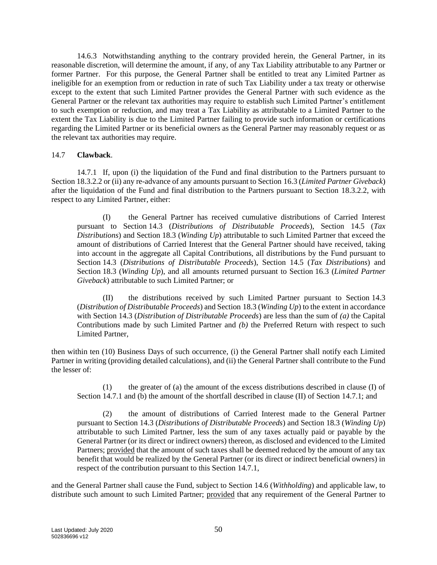14.6.3 Notwithstanding anything to the contrary provided herein, the General Partner, in its reasonable discretion, will determine the amount, if any, of any Tax Liability attributable to any Partner or former Partner. For this purpose, the General Partner shall be entitled to treat any Limited Partner as ineligible for an exemption from or reduction in rate of such Tax Liability under a tax treaty or otherwise except to the extent that such Limited Partner provides the General Partner with such evidence as the General Partner or the relevant tax authorities may require to establish such Limited Partner's entitlement to such exemption or reduction, and may treat a Tax Liability as attributable to a Limited Partner to the extent the Tax Liability is due to the Limited Partner failing to provide such information or certifications regarding the Limited Partner or its beneficial owners as the General Partner may reasonably request or as the relevant tax authorities may require.

#### <span id="page-52-0"></span>14.7 **Clawback**.

<span id="page-52-1"></span>14.7.1 If, upon (i) the liquidation of the Fund and final distribution to the Partners pursuant to Sectio[n 18.3.2.2](#page-67-1) or (ii) any re-advance of any amounts pursuant to Section [16.3](#page-62-0) (*Limited Partner Giveback*) after the liquidation of the Fund and final distribution to the Partners pursuant to Section [18.3.2.2,](#page-67-1) with respect to any Limited Partner, either:

(I) the General Partner has received cumulative distributions of Carried Interest pursuant to Section [14.3](#page-50-2) (*Distributions of Distributable Proceeds*), Section [14.5](#page-51-0) (*Tax Distributions*) and Section [18.3](#page-66-0) (*Winding Up*) attributable to such Limited Partner that exceed the amount of distributions of Carried Interest that the General Partner should have received, taking into account in the aggregate all Capital Contributions, all distributions by the Fund pursuant to Section [14.3](#page-50-2) (*Distributions of Distributable Proceeds*), Section [14.5](#page-51-0) (*Tax Distributions*) and Section [18.3](#page-66-0) (*Winding Up*), and all amounts returned pursuant to Section [16.3](#page-62-0) (*Limited Partner Giveback*) attributable to such Limited Partner; or

(II) the distributions received by such Limited Partner pursuant to Section [14.3](#page-50-2) (*Distribution of Distributable Proceeds*) and Section [18.3](#page-66-0) (*Winding Up*) to the extent in accordance with Section [14.3](#page-50-2) (*Distribution of Distributable Proceeds*) are less than the sum of *(a)* the Capital Contributions made by such Limited Partner and *(b)* the Preferred Return with respect to such Limited Partner,

then within ten (10) Business Days of such occurrence, (i) the General Partner shall notify each Limited Partner in writing (providing detailed calculations), and (ii) the General Partner shall contribute to the Fund the lesser of:

(1) the greater of (a) the amount of the excess distributions described in clause (I) of Section [14.7.1](#page-52-1) and (b) the amount of the shortfall described in clause (II) of Section [14.7.1;](#page-52-1) and

(2) the amount of distributions of Carried Interest made to the General Partner pursuant to Section [14.3](#page-50-2) (*Distributions of Distributable Proceeds*) and Section [18.3](#page-66-0) (*Winding Up*) attributable to such Limited Partner, less the sum of any taxes actually paid or payable by the General Partner (or its direct or indirect owners) thereon, as disclosed and evidenced to the Limited Partners; provided that the amount of such taxes shall be deemed reduced by the amount of any tax benefit that would be realized by the General Partner (or its direct or indirect beneficial owners) in respect of the contribution pursuant to this Section [14.7.1,](#page-52-1)

and the General Partner shall cause the Fund, subject to Section [14.6](#page-51-1) (*Withholding*) and applicable law, to distribute such amount to such Limited Partner; provided that any requirement of the General Partner to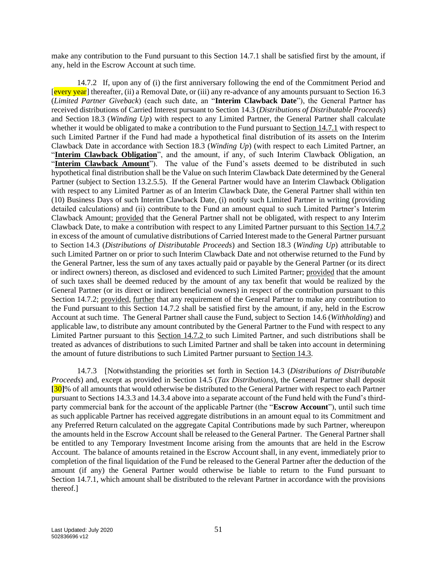make any contribution to the Fund pursuant to this Section [14.7.1](#page-52-1) shall be satisfied first by the amount, if any, held in the Escrow Account at such time.

<span id="page-53-1"></span>14.7.2 If, upon any of (i) the first anniversary following the end of the Commitment Period and [every year] thereafter, (ii) a Removal Date, or (iii) any re-advance of any amounts pursuant to Section [16.3](#page-62-0) (*Limited Partner Giveback*) (each such date, an "**Interim Clawback Date**"), the General Partner has received distributions of Carried Interest pursuant to Section [14.3](#page-50-2) (*Distributions of Distributable Proceeds*) and Section [18.3](#page-66-0) (*Winding Up*) with respect to any Limited Partner, the General Partner shall calculate whether it would be obligated to make a contribution to the Fund pursuant to Sectio[n 14.7.1](#page-52-1) with respect to such Limited Partner if the Fund had made a hypothetical final distribution of its assets on the Interim Clawback Date in accordance with Section [18.3](#page-66-0) (*Winding Up*) (with respect to each Limited Partner, an "Interim Clawback Obligation", and the amount, if any, of such Interim Clawback Obligation, an "Interim Clawback Amount"). The value of the Fund's assets deemed to be distributed in such hypothetical final distribution shall be the Value on such Interim Clawback Date determined by the General Partner (subject to Section [13.2.5.5\)](#page-47-0). If the General Partner would have an Interim Clawback Obligation with respect to any Limited Partner as of an Interim Clawback Date, the General Partner shall within ten (10) Business Days of such Interim Clawback Date, (i) notify such Limited Partner in writing (providing detailed calculations) and (ii) contribute to the Fund an amount equal to such Limited Partner's Interim Clawback Amount; provided that the General Partner shall not be obligated, with respect to any Interim Clawback Date, to make a contribution with respect to any Limited Partner pursuant to this Section [14.7.2](#page-53-1) in excess of the amount of cumulative distributions of Carried Interest made to the General Partner pursuant to Section [14.3](#page-50-2) (*Distributions of Distributable Proceeds*) and Section [18.3](#page-66-0) (*Winding Up*) attributable to such Limited Partner on or prior to such Interim Clawback Date and not otherwise returned to the Fund by the General Partner, less the sum of any taxes actually paid or payable by the General Partner (or its direct or indirect owners) thereon, as disclosed and evidenced to such Limited Partner; provided that the amount of such taxes shall be deemed reduced by the amount of any tax benefit that would be realized by the General Partner (or its direct or indirect beneficial owners) in respect of the contribution pursuant to this Section [14.7.2;](#page-53-1) provided, further that any requirement of the General Partner to make any contribution to the Fund pursuant to this Section [14.7.2](#page-53-1) shall be satisfied first by the amount, if any, held in the Escrow Account at such time. The General Partner shall cause the Fund, subject to Section [14.6](#page-51-1) (*Withholding*) and applicable law, to distribute any amount contributed by the General Partner to the Fund with respect to any Limited Partner pursuant to this Section [14.7.2](#page-53-1) to such Limited Partner, and such distributions shall be treated as advances of distributions to such Limited Partner and shall be taken into account in determining the amount of future distributions to such Limited Partner pursuant to Sectio[n 14.3.](#page-50-2)

<span id="page-53-0"></span>14.7.3 [Notwithstanding the priorities set forth in Section [14.3](#page-50-2) (*Distributions of Distributable Proceeds*) and, except as provided in Section [14.5](#page-51-0) (*Tax Distributions*), the General Partner shall deposit **[**30**]**% of all amounts that would otherwise be distributed to the General Partner with respect to each Partner pursuant to Sections [14.3.3](#page-50-4) and [14.3.4](#page-50-5) above into a separate account of the Fund held with the Fund's thirdparty commercial bank for the account of the applicable Partner (the "**Escrow Account**"), until such time as such applicable Partner has received aggregate distributions in an amount equal to its Commitment and any Preferred Return calculated on the aggregate Capital Contributions made by such Partner, whereupon the amounts held in the Escrow Account shall be released to the General Partner. The General Partner shall be entitled to any Temporary Investment Income arising from the amounts that are held in the Escrow Account. The balance of amounts retained in the Escrow Account shall, in any event, immediately prior to completion of the final liquidation of the Fund be released to the General Partner after the deduction of the amount (if any) the General Partner would otherwise be liable to return to the Fund pursuant to Section [14.7.1,](#page-52-1) which amount shall be distributed to the relevant Partner in accordance with the provisions thereof.]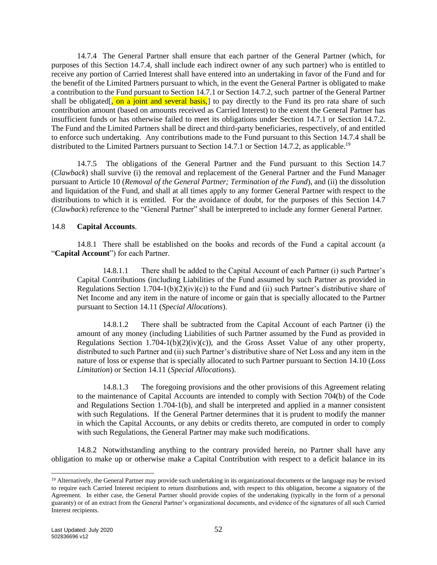<span id="page-54-0"></span>14.7.4 The General Partner shall ensure that each partner of the General Partner (which, for purposes of this Section [14.7.4,](#page-54-0) shall include each indirect owner of any such partner) who is entitled to receive any portion of Carried Interest shall have entered into an undertaking in favor of the Fund and for the benefit of the Limited Partners pursuant to which, in the event the General Partner is obligated to make a contribution to the Fund pursuant to Sectio[n 14.7.1](#page-52-1) or Section [14.7.2,](#page-53-1) such partner of the General Partner shall be obligated<sup>[</sup>, on a joint and several basis,] to pay directly to the Fund its pro rata share of such contribution amount (based on amounts received as Carried Interest) to the extent the General Partner has insufficient funds or has otherwise failed to meet its obligations under Section [14.7.1](#page-52-1) or Section [14.7.2.](#page-53-1) The Fund and the Limited Partners shall be direct and third-party beneficiaries, respectively, of and entitled to enforce such undertaking. Any contributions made to the Fund pursuant to this Section [14.7.4](#page-54-0) shall be distributed to the Limited Partners pursuant to Section [14.7.1](#page-52-1) or Section [14.7.2,](#page-53-1) as applicable.<sup>19</sup>

14.7.5 The obligations of the General Partner and the Fund pursuant to this Section [14.7](#page-52-0) (*Clawback*) shall survive (i) the removal and replacement of the General Partner and the Fund Manager pursuant to Article [10](#page-41-3) (*Removal of the General Partner; Termination of the Fund*), and (ii) the dissolution and liquidation of the Fund, and shall at all times apply to any former General Partner with respect to the distributions to which it is entitled. For the avoidance of doubt, for the purposes of this Section [14.7](#page-52-0) (*Clawback*) reference to the "General Partner" shall be interpreted to include any former General Partner.

#### 14.8 **Capital Accounts**.

14.8.1 There shall be established on the books and records of the Fund a capital account (a "**Capital Account**") for each Partner.

14.8.1.1 There shall be added to the Capital Account of each Partner (i) such Partner's Capital Contributions (including Liabilities of the Fund assumed by such Partner as provided in Regulations Section 1.704-1(b)(2)(iv)(c)) to the Fund and (ii) such Partner's distributive share of Net Income and any item in the nature of income or gain that is specially allocated to the Partner pursuant to Sectio[n 14.11](#page-55-0) (*Special Allocations*).

14.8.1.2 There shall be subtracted from the Capital Account of each Partner (i) the amount of any money (including Liabilities of such Partner assumed by the Fund as provided in Regulations Section 1.704-1(b)(2)(iv)(c)), and the Gross Asset Value of any other property, distributed to such Partner and (ii) such Partner's distributive share of Net Loss and any item in the nature of loss or expense that is specially allocated to such Partner pursuant to Sectio[n 14.10](#page-55-1) (*Loss Limitation*) or Section 14.11 (*Special Allocations*).

14.8.1.3 The foregoing provisions and the other provisions of this Agreement relating to the maintenance of Capital Accounts are intended to comply with Section 704(b) of the Code and Regulations Section 1.704-1(b), and shall be interpreted and applied in a manner consistent with such Regulations. If the General Partner determines that it is prudent to modify the manner in which the Capital Accounts, or any debits or credits thereto, are computed in order to comply with such Regulations, the General Partner may make such modifications.

14.8.2 Notwithstanding anything to the contrary provided herein, no Partner shall have any obligation to make up or otherwise make a Capital Contribution with respect to a deficit balance in its

<sup>&</sup>lt;sup>19</sup> Alternatively, the General Partner may provide such undertaking in its organizational documents or the language may be revised to require each Carried Interest recipient to return distributions and, with respect to this obligation, become a signatory of the Agreement. In either case, the General Partner should provide copies of the undertaking (typically in the form of a personal guaranty) or of an extract from the General Partner's organizational documents, and evidence of the signatures of all such Carried Interest recipients.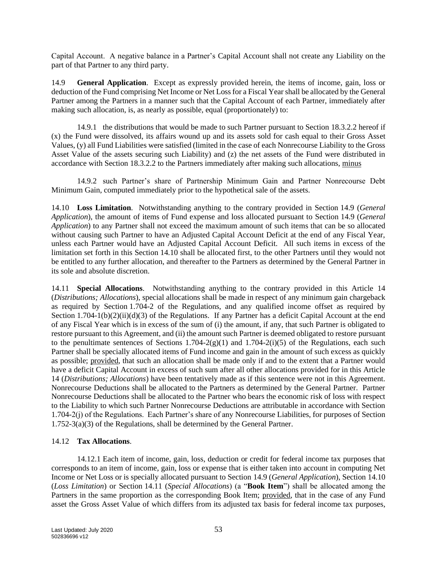Capital Account. A negative balance in a Partner's Capital Account shall not create any Liability on the part of that Partner to any third party.

<span id="page-55-2"></span>14.9 **General Application**. Except as expressly provided herein, the items of income, gain, loss or deduction of the Fund comprising Net Income or Net Loss for a Fiscal Year shall be allocated by the General Partner among the Partners in a manner such that the Capital Account of each Partner, immediately after making such allocation, is, as nearly as possible, equal (proportionately) to:

14.9.1 the distributions that would be made to such Partner pursuant to Section [18.3.2.2](#page-67-1) hereof if (x) the Fund were dissolved, its affairs wound up and its assets sold for cash equal to their Gross Asset Values, (y) all Fund Liabilities were satisfied (limited in the case of each Nonrecourse Liability to the Gross Asset Value of the assets securing such Liability) and (z) the net assets of the Fund were distributed in accordance with Section [18.3.2.2](#page-67-1) to the Partners immediately after making such allocations, minus

14.9.2 such Partner's share of Partnership Minimum Gain and Partner Nonrecourse Debt Minimum Gain, computed immediately prior to the hypothetical sale of the assets.

<span id="page-55-1"></span>14.10 **Loss Limitation**. Notwithstanding anything to the contrary provided in Section [14.9](#page-55-2) (*General Application*), the amount of items of Fund expense and loss allocated pursuant to Section [14.9](#page-55-2) (*General Application*) to any Partner shall not exceed the maximum amount of such items that can be so allocated without causing such Partner to have an Adjusted Capital Account Deficit at the end of any Fiscal Year, unless each Partner would have an Adjusted Capital Account Deficit. All such items in excess of the limitation set forth in this Section [14.10](#page-55-1) shall be allocated first, to the other Partners until they would not be entitled to any further allocation, and thereafter to the Partners as determined by the General Partner in its sole and absolute discretion.

<span id="page-55-0"></span>14.11 **Special Allocations**. Notwithstanding anything to the contrary provided in this Article [14](#page-49-0) (*Distributions; Allocations*), special allocations shall be made in respect of any minimum gain chargeback as required by Section 1.704-2 of the Regulations, and any qualified income offset as required by Section 1.704-1(b)(2)(ii)(d)(3) of the Regulations. If any Partner has a deficit Capital Account at the end of any Fiscal Year which is in excess of the sum of (i) the amount, if any, that such Partner is obligated to restore pursuant to this Agreement, and (ii) the amount such Partner is deemed obligated to restore pursuant to the penultimate sentences of Sections 1.704-2(g)(1) and 1.704-2(i)(5) of the Regulations, each such Partner shall be specially allocated items of Fund income and gain in the amount of such excess as quickly as possible; provided, that such an allocation shall be made only if and to the extent that a Partner would have a deficit Capital Account in excess of such sum after all other allocations provided for in this Article [14](#page-49-0) (*Distributions; Allocations*) have been tentatively made as if this sentence were not in this Agreement. Nonrecourse Deductions shall be allocated to the Partners as determined by the General Partner. Partner Nonrecourse Deductions shall be allocated to the Partner who bears the economic risk of loss with respect to the Liability to which such Partner Nonrecourse Deductions are attributable in accordance with Section 1.704-2(j) of the Regulations. Each Partner's share of any Nonrecourse Liabilities, for purposes of Section 1.752-3(a)(3) of the Regulations, shall be determined by the General Partner.

## <span id="page-55-3"></span>14.12 **Tax Allocations**.

14.12.1 Each item of income, gain, loss, deduction or credit for federal income tax purposes that corresponds to an item of income, gain, loss or expense that is either taken into account in computing Net Income or Net Loss or is specially allocated pursuant to Section [14.9](#page-55-2) (*General Application*), Section [14.10](#page-55-1) (*Loss Limitation*) or Section [14.11](#page-55-0) (*Special Allocations*) (a "**Book Item**") shall be allocated among the Partners in the same proportion as the corresponding Book Item; provided, that in the case of any Fund asset the Gross Asset Value of which differs from its adjusted tax basis for federal income tax purposes,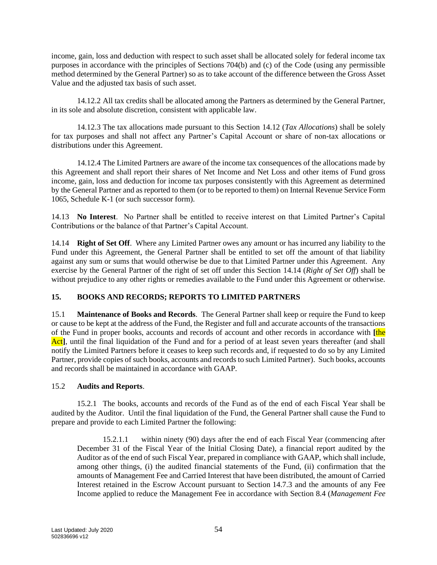income, gain, loss and deduction with respect to such asset shall be allocated solely for federal income tax purposes in accordance with the principles of Sections 704(b) and (c) of the Code (using any permissible method determined by the General Partner) so as to take account of the difference between the Gross Asset Value and the adjusted tax basis of such asset.

14.12.2 All tax credits shall be allocated among the Partners as determined by the General Partner, in its sole and absolute discretion, consistent with applicable law.

14.12.3 The tax allocations made pursuant to this Section [14.12](#page-55-3) (*Tax Allocations*) shall be solely for tax purposes and shall not affect any Partner's Capital Account or share of non-tax allocations or distributions under this Agreement.

14.12.4 The Limited Partners are aware of the income tax consequences of the allocations made by this Agreement and shall report their shares of Net Income and Net Loss and other items of Fund gross income, gain, loss and deduction for income tax purposes consistently with this Agreement as determined by the General Partner and as reported to them (or to be reported to them) on Internal Revenue Service Form 1065, Schedule K-1 (or such successor form).

14.13 **No Interest**. No Partner shall be entitled to receive interest on that Limited Partner's Capital Contributions or the balance of that Partner's Capital Account.

<span id="page-56-0"></span>14.14 **Right of Set Off**. Where any Limited Partner owes any amount or has incurred any liability to the Fund under this Agreement, the General Partner shall be entitled to set off the amount of that liability against any sum or sums that would otherwise be due to that Limited Partner under this Agreement. Any exercise by the General Partner of the right of set off under this Section [14.14](#page-56-0) (*Right of Set Off*) shall be without prejudice to any other rights or remedies available to the Fund under this Agreement or otherwise.

## <span id="page-56-2"></span>**15. BOOKS AND RECORDS; REPORTS TO LIMITED PARTNERS**

15.1 **Maintenance of Books and Records**. The General Partner shall keep or require the Fund to keep or cause to be kept at the address of the Fund, the Register and full and accurate accounts of the transactions of the Fund in proper books, accounts and records of account and other records in accordance with **[**the Act<sup>†</sup>, until the final liquidation of the Fund and for a period of at least seven years thereafter (and shall notify the Limited Partners before it ceases to keep such records and, if requested to do so by any Limited Partner, provide copies of such books, accounts and records to such Limited Partner). Such books, accounts and records shall be maintained in accordance with GAAP*.*

## 15.2 **Audits and Reports**.

<span id="page-56-1"></span>15.2.1 The books, accounts and records of the Fund as of the end of each Fiscal Year shall be audited by the Auditor. Until the final liquidation of the Fund, the General Partner shall cause the Fund to prepare and provide to each Limited Partner the following:

15.2.1.1 within ninety (90) days after the end of each Fiscal Year (commencing after December 31 of the Fiscal Year of the Initial Closing Date), a financial report audited by the Auditor as of the end of such Fiscal Year, prepared in compliance with GAAP, which shall include, among other things, (i) the audited financial statements of the Fund, (ii) confirmation that the amounts of Management Fee and Carried Interest that have been distributed, the amount of Carried Interest retained in the Escrow Account pursuant to Section [14.7.3](#page-53-0) and the amounts of any Fee Income applied to reduce the Management Fee in accordance with Section [8.4](#page-36-1) (*Management Fee*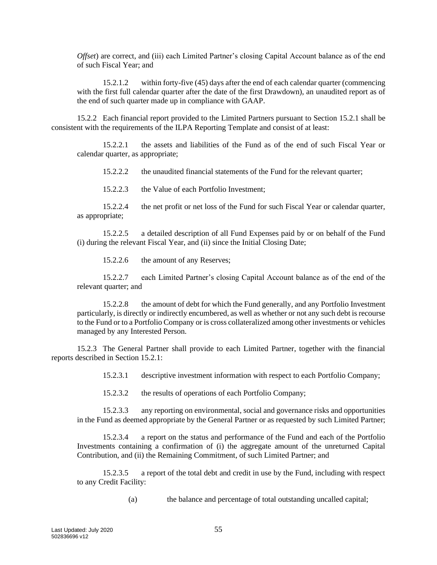*Offset*) are correct, and (iii) each Limited Partner's closing Capital Account balance as of the end of such Fiscal Year; and

15.2.1.2 within forty-five (45) days after the end of each calendar quarter (commencing with the first full calendar quarter after the date of the first Drawdown), an unaudited report as of the end of such quarter made up in compliance with GAAP.

15.2.2 Each financial report provided to the Limited Partners pursuant to Section [15.2.1](#page-56-1) shall be consistent with the requirements of the ILPA Reporting Template and consist of at least:

15.2.2.1 the assets and liabilities of the Fund as of the end of such Fiscal Year or calendar quarter, as appropriate;

15.2.2.2 the unaudited financial statements of the Fund for the relevant quarter;

15.2.2.3 the Value of each Portfolio Investment;

15.2.2.4 the net profit or net loss of the Fund for such Fiscal Year or calendar quarter, as appropriate;

15.2.2.5 a detailed description of all Fund Expenses paid by or on behalf of the Fund (i) during the relevant Fiscal Year, and (ii) since the Initial Closing Date;

15.2.2.6 the amount of any Reserves;

15.2.2.7 each Limited Partner's closing Capital Account balance as of the end of the relevant quarter; and

15.2.2.8 the amount of debt for which the Fund generally, and any Portfolio Investment particularly, is directly or indirectly encumbered, as well as whether or not any such debt is recourse to the Fund or to a Portfolio Company or is cross collateralized among other investments or vehicles managed by any Interested Person.

15.2.3 The General Partner shall provide to each Limited Partner, together with the financial reports described in Section [15.2.1:](#page-56-1)

15.2.3.1 descriptive investment information with respect to each Portfolio Company;

15.2.3.2 the results of operations of each Portfolio Company;

15.2.3.3 any reporting on environmental, social and governance risks and opportunities in the Fund as deemed appropriate by the General Partner or as requested by such Limited Partner;

15.2.3.4 a report on the status and performance of the Fund and each of the Portfolio Investments containing a confirmation of (i) the aggregate amount of the unreturned Capital Contribution, and (ii) the Remaining Commitment, of such Limited Partner; and

15.2.3.5 a report of the total debt and credit in use by the Fund, including with respect to any Credit Facility:

(a) the balance and percentage of total outstanding uncalled capital;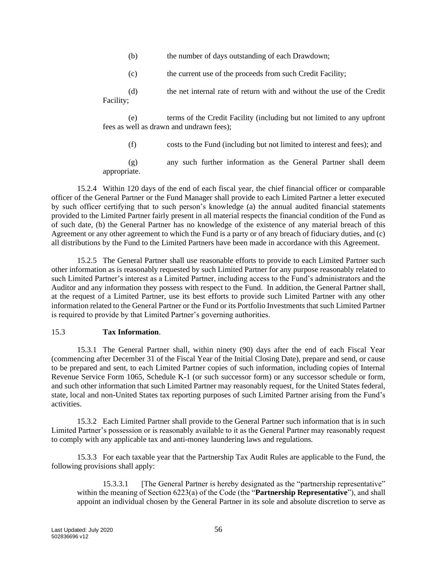- (b) the number of days outstanding of each Drawdown;
- (c) the current use of the proceeds from such Credit Facility;
- (d) the net internal rate of return with and without the use of the Credit Facility;

(e) terms of the Credit Facility (including but not limited to any upfront fees as well as drawn and undrawn fees);

(f) costs to the Fund (including but not limited to interest and fees); and

(g) any such further information as the General Partner shall deem appropriate.

15.2.4 Within 120 days of the end of each fiscal year, the chief financial officer or comparable officer of the General Partner or the Fund Manager shall provide to each Limited Partner a letter executed by such officer certifying that to such person's knowledge (a) the annual audited financial statements provided to the Limited Partner fairly present in all material respects the financial condition of the Fund as of such date, (b) the General Partner has no knowledge of the existence of any material breach of this Agreement or any other agreement to which the Fund is a party or of any breach of fiduciary duties, and (c) all distributions by the Fund to the Limited Partners have been made in accordance with this Agreement.

15.2.5 The General Partner shall use reasonable efforts to provide to each Limited Partner such other information as is reasonably requested by such Limited Partner for any purpose reasonably related to such Limited Partner's interest as a Limited Partner, including access to the Fund's administrators and the Auditor and any information they possess with respect to the Fund. In addition, the General Partner shall, at the request of a Limited Partner, use its best efforts to provide such Limited Partner with any other information related to the General Partner or the Fund or its Portfolio Investments that such Limited Partner is required to provide by that Limited Partner's governing authorities.

#### <span id="page-58-0"></span>15.3 **Tax Information**.

15.3.1 The General Partner shall, within ninety (90) days after the end of each Fiscal Year (commencing after December 31 of the Fiscal Year of the Initial Closing Date), prepare and send, or cause to be prepared and sent, to each Limited Partner copies of such information, including copies of Internal Revenue Service Form 1065, Schedule K-1 (or such successor form) or any successor schedule or form, and such other information that such Limited Partner may reasonably request, for the United States federal, state, local and non-United States tax reporting purposes of such Limited Partner arising from the Fund's activities.

15.3.2 Each Limited Partner shall provide to the General Partner such information that is in such Limited Partner's possession or is reasonably available to it as the General Partner may reasonably request to comply with any applicable tax and anti-money laundering laws and regulations.

15.3.3 For each taxable year that the Partnership Tax Audit Rules are applicable to the Fund, the following provisions shall apply:

15.3.3.1 [The General Partner is hereby designated as the "partnership representative" within the meaning of Section 6223(a) of the Code (the "**Partnership Representative**"), and shall appoint an individual chosen by the General Partner in its sole and absolute discretion to serve as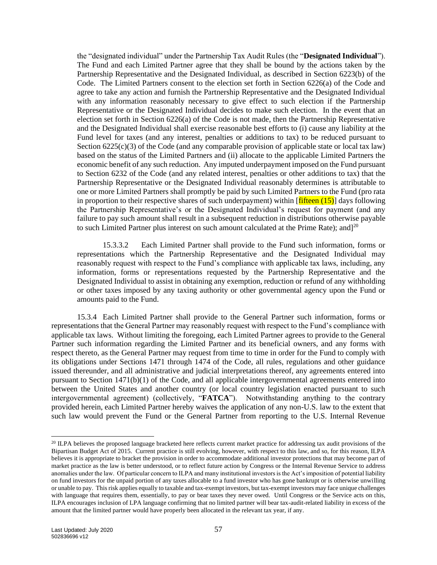the "designated individual" under the Partnership Tax Audit Rules (the "**Designated Individual**"). The Fund and each Limited Partner agree that they shall be bound by the actions taken by the Partnership Representative and the Designated Individual, as described in Section 6223(b) of the Code. The Limited Partners consent to the election set forth in Section 6226(a) of the Code and agree to take any action and furnish the Partnership Representative and the Designated Individual with any information reasonably necessary to give effect to such election if the Partnership Representative or the Designated Individual decides to make such election. In the event that an election set forth in Section 6226(a) of the Code is not made, then the Partnership Representative and the Designated Individual shall exercise reasonable best efforts to (i) cause any liability at the Fund level for taxes (and any interest, penalties or additions to tax) to be reduced pursuant to Section  $6225(c)(3)$  of the Code (and any comparable provision of applicable state or local tax law) based on the status of the Limited Partners and (ii) allocate to the applicable Limited Partners the economic benefit of any such reduction. Any imputed underpayment imposed on the Fund pursuant to Section 6232 of the Code (and any related interest, penalties or other additions to tax) that the Partnership Representative or the Designated Individual reasonably determines is attributable to one or more Limited Partners shall promptly be paid by such Limited Partners to the Fund (pro rata in proportion to their respective shares of such underpayment) within  $[\text{filter} \ (15)]$  days following the Partnership Representative's or the Designated Individual's request for payment (and any failure to pay such amount shall result in a subsequent reduction in distributions otherwise payable to such Limited Partner plus interest on such amount calculated at the Prime Rate); and  $1^{20}$ 

15.3.3.2 Each Limited Partner shall provide to the Fund such information, forms or representations which the Partnership Representative and the Designated Individual may reasonably request with respect to the Fund's compliance with applicable tax laws, including, any information, forms or representations requested by the Partnership Representative and the Designated Individual to assist in obtaining any exemption, reduction or refund of any withholding or other taxes imposed by any taxing authority or other governmental agency upon the Fund or amounts paid to the Fund.

15.3.4 Each Limited Partner shall provide to the General Partner such information, forms or representations that the General Partner may reasonably request with respect to the Fund's compliance with applicable tax laws. Without limiting the foregoing, each Limited Partner agrees to provide to the General Partner such information regarding the Limited Partner and its beneficial owners, and any forms with respect thereto, as the General Partner may request from time to time in order for the Fund to comply with its obligations under Sections 1471 through 1474 of the Code, all rules, regulations and other guidance issued thereunder, and all administrative and judicial interpretations thereof, any agreements entered into pursuant to Section  $1471(b)(1)$  of the Code, and all applicable intergovernmental agreements entered into between the United States and another country (or local country legislation enacted pursuant to such intergovernmental agreement) (collectively, "**FATCA**"). Notwithstanding anything to the contrary provided herein, each Limited Partner hereby waives the application of any non-U.S. law to the extent that such law would prevent the Fund or the General Partner from reporting to the U.S. Internal Revenue

<sup>&</sup>lt;sup>20</sup> ILPA believes the proposed language bracketed here reflects current market practice for addressing tax audit provisions of the Bipartisan Budget Act of 2015. Current practice is still evolving, however, with respect to this law, and so, for this reason, ILPA believes it is appropriate to bracket the provision in order to accommodate additional investor protections that may become part of market practice as the law is better understood, or to reflect future action by Congress or the Internal Revenue Service to address anomalies under the law. Of particular concern to ILPA and many institutional investors is the Act's imposition of potential liability on fund investors for the unpaid portion of any taxes allocable to a fund investor who has gone bankrupt or is otherwise unwilling or unable to pay. This risk applies equally to taxable and tax-exempt investors, but tax-exempt investors may face unique challenges with language that requires them, essentially, to pay or bear taxes they never owed. Until Congress or the Service acts on this, ILPA encourages inclusion of LPA language confirming that no limited partner will bear tax-audit-related liability in excess of the amount that the limited partner would have properly been allocated in the relevant tax year, if any.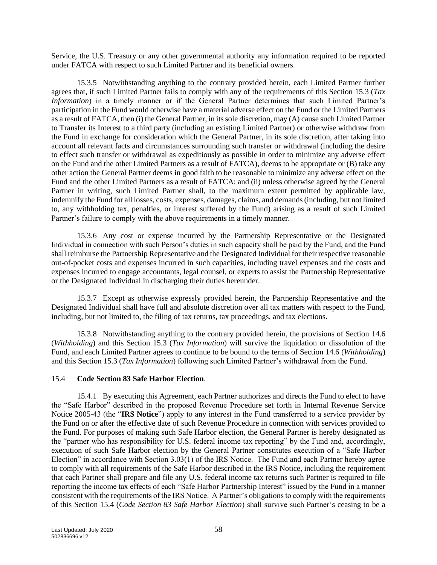Service, the U.S. Treasury or any other governmental authority any information required to be reported under FATCA with respect to such Limited Partner and its beneficial owners.

15.3.5 Notwithstanding anything to the contrary provided herein, each Limited Partner further agrees that, if such Limited Partner fails to comply with any of the requirements of this Section [15.3](#page-58-0) (*Tax Information*) in a timely manner or if the General Partner determines that such Limited Partner's participation in the Fund would otherwise have a material adverse effect on the Fund or the Limited Partners as a result of FATCA, then (i) the General Partner, in its sole discretion, may (A) cause such Limited Partner to Transfer its Interest to a third party (including an existing Limited Partner) or otherwise withdraw from the Fund in exchange for consideration which the General Partner, in its sole discretion, after taking into account all relevant facts and circumstances surrounding such transfer or withdrawal (including the desire to effect such transfer or withdrawal as expeditiously as possible in order to minimize any adverse effect on the Fund and the other Limited Partners as a result of FATCA), deems to be appropriate or (B) take any other action the General Partner deems in good faith to be reasonable to minimize any adverse effect on the Fund and the other Limited Partners as a result of FATCA; and (ii) unless otherwise agreed by the General Partner in writing, such Limited Partner shall, to the maximum extent permitted by applicable law, indemnify the Fund for all losses, costs, expenses, damages, claims, and demands (including, but not limited to, any withholding tax, penalties, or interest suffered by the Fund) arising as a result of such Limited Partner's failure to comply with the above requirements in a timely manner.

15.3.6 Any cost or expense incurred by the Partnership Representative or the Designated Individual in connection with such Person's duties in such capacity shall be paid by the Fund, and the Fund shall reimburse the Partnership Representative and the Designated Individual for their respective reasonable out-of-pocket costs and expenses incurred in such capacities, including travel expenses and the costs and expenses incurred to engage accountants, legal counsel, or experts to assist the Partnership Representative or the Designated Individual in discharging their duties hereunder.

15.3.7 Except as otherwise expressly provided herein, the Partnership Representative and the Designated Individual shall have full and absolute discretion over all tax matters with respect to the Fund, including, but not limited to, the filing of tax returns, tax proceedings, and tax elections.

15.3.8 Notwithstanding anything to the contrary provided herein, the provisions of Section [14.6](#page-51-1) (*Withholding*) and this Section [15.3](#page-58-0) (*Tax Information*) will survive the liquidation or dissolution of the Fund, and each Limited Partner agrees to continue to be bound to the terms of Section [14.6](#page-51-1) (*Withholding*) and this Section [15.3](#page-58-0) (*Tax Information*) following such Limited Partner's withdrawal from the Fund.

#### <span id="page-60-0"></span>15.4 **Code Section 83 Safe Harbor Election**.

15.4.1 By executing this Agreement, each Partner authorizes and directs the Fund to elect to have the "Safe Harbor" described in the proposed Revenue Procedure set forth in Internal Revenue Service Notice 2005-43 (the "**IRS Notice**") apply to any interest in the Fund transferred to a service provider by the Fund on or after the effective date of such Revenue Procedure in connection with services provided to the Fund. For purposes of making such Safe Harbor election, the General Partner is hereby designated as the "partner who has responsibility for U.S. federal income tax reporting" by the Fund and, accordingly, execution of such Safe Harbor election by the General Partner constitutes execution of a "Safe Harbor Election" in accordance with Section 3.03(1) of the IRS Notice. The Fund and each Partner hereby agree to comply with all requirements of the Safe Harbor described in the IRS Notice, including the requirement that each Partner shall prepare and file any U.S. federal income tax returns such Partner is required to file reporting the income tax effects of each "Safe Harbor Partnership Interest" issued by the Fund in a manner consistent with the requirements of the IRS Notice. A Partner's obligations to comply with the requirements of this Section [15.4](#page-60-0) (*Code Section 83 Safe Harbor Election*) shall survive such Partner's ceasing to be a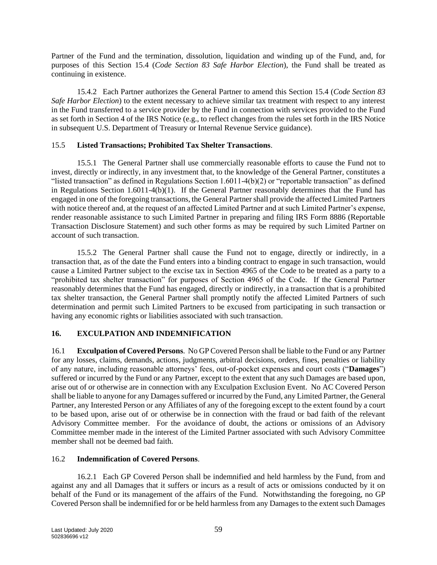Partner of the Fund and the termination, dissolution, liquidation and winding up of the Fund, and, for purposes of this Section [15.4](#page-60-0) (*Code Section 83 Safe Harbor Election*), the Fund shall be treated as continuing in existence.

15.4.2 Each Partner authorizes the General Partner to amend this Section [15.4](#page-60-0) (*Code Section 83 Safe Harbor Election*) to the extent necessary to achieve similar tax treatment with respect to any interest in the Fund transferred to a service provider by the Fund in connection with services provided to the Fund as set forth in Section 4 of the IRS Notice (e.g., to reflect changes from the rules set forth in the IRS Notice in subsequent U.S. Department of Treasury or Internal Revenue Service guidance).

## 15.5 **Listed Transactions; Prohibited Tax Shelter Transactions**.

15.5.1 The General Partner shall use commercially reasonable efforts to cause the Fund not to invest, directly or indirectly, in any investment that, to the knowledge of the General Partner, constitutes a "listed transaction" as defined in Regulations Section 1.6011-4(b)(2) or "reportable transaction" as defined in Regulations Section 1.6011-4(b)(1). If the General Partner reasonably determines that the Fund has engaged in one of the foregoing transactions, the General Partner shall provide the affected Limited Partners with notice thereof and, at the request of an affected Limited Partner and at such Limited Partner's expense, render reasonable assistance to such Limited Partner in preparing and filing IRS Form 8886 (Reportable Transaction Disclosure Statement) and such other forms as may be required by such Limited Partner on account of such transaction.

15.5.2 The General Partner shall cause the Fund not to engage, directly or indirectly, in a transaction that, as of the date the Fund enters into a binding contract to engage in such transaction, would cause a Limited Partner subject to the excise tax in Section 4965 of the Code to be treated as a party to a "prohibited tax shelter transaction" for purposes of Section 4965 of the Code. If the General Partner reasonably determines that the Fund has engaged, directly or indirectly, in a transaction that is a prohibited tax shelter transaction, the General Partner shall promptly notify the affected Limited Partners of such determination and permit such Limited Partners to be excused from participating in such transaction or having any economic rights or liabilities associated with such transaction.

# <span id="page-61-0"></span>**16. EXCULPATION AND INDEMNIFICATION**

16.1 **Exculpation of Covered Persons**. No GP Covered Person shall be liable to the Fund or any Partner for any losses, claims, demands, actions, judgments, arbitral decisions, orders, fines, penalties or liability of any nature, including reasonable attorneys' fees, out-of-pocket expenses and court costs ("**Damages**") suffered or incurred by the Fund or any Partner, except to the extent that any such Damages are based upon, arise out of or otherwise are in connection with any Exculpation Exclusion Event. No AC Covered Person shall be liable to anyone for any Damages suffered or incurred by the Fund, any Limited Partner, the General Partner, any Interested Person or any Affiliates of any of the foregoing except to the extent found by a court to be based upon, arise out of or otherwise be in connection with the fraud or bad faith of the relevant Advisory Committee member. For the avoidance of doubt, the actions or omissions of an Advisory Committee member made in the interest of the Limited Partner associated with such Advisory Committee member shall not be deemed bad faith.

# <span id="page-61-1"></span>16.2 **Indemnification of Covered Persons**.

<span id="page-61-2"></span>16.2.1 Each GP Covered Person shall be indemnified and held harmless by the Fund, from and against any and all Damages that it suffers or incurs as a result of acts or omissions conducted by it on behalf of the Fund or its management of the affairs of the Fund. Notwithstanding the foregoing, no GP Covered Person shall be indemnified for or be held harmless from any Damages to the extent such Damages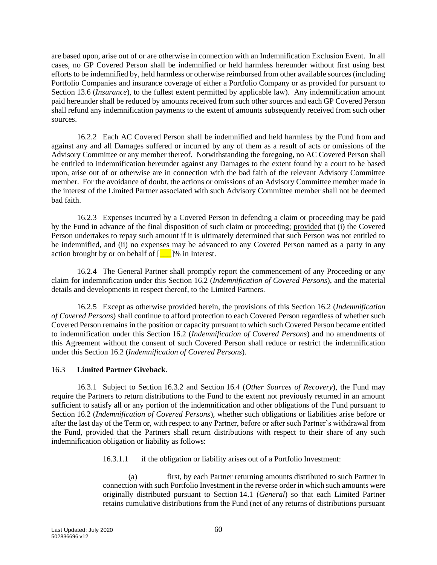are based upon, arise out of or are otherwise in connection with an Indemnification Exclusion Event. In all cases, no GP Covered Person shall be indemnified or held harmless hereunder without first using best efforts to be indemnified by, held harmless or otherwise reimbursed from other available sources (including Portfolio Companies and insurance coverage of either a Portfolio Company or as provided for pursuant to Section [13.6](#page-49-3) *(Insurance)*, to the fullest extent permitted by applicable law). Any indemnification amount paid hereunder shall be reduced by amounts received from such other sources and each GP Covered Person shall refund any indemnification payments to the extent of amounts subsequently received from such other sources.

16.2.2 Each AC Covered Person shall be indemnified and held harmless by the Fund from and against any and all Damages suffered or incurred by any of them as a result of acts or omissions of the Advisory Committee or any member thereof. Notwithstanding the foregoing, no AC Covered Person shall be entitled to indemnification hereunder against any Damages to the extent found by a court to be based upon, arise out of or otherwise are in connection with the bad faith of the relevant Advisory Committee member. For the avoidance of doubt, the actions or omissions of an Advisory Committee member made in the interest of the Limited Partner associated with such Advisory Committee member shall not be deemed bad faith.

16.2.3 Expenses incurred by a Covered Person in defending a claim or proceeding may be paid by the Fund in advance of the final disposition of such claim or proceeding; provided that (i) the Covered Person undertakes to repay such amount if it is ultimately determined that such Person was not entitled to be indemnified, and (ii) no expenses may be advanced to any Covered Person named as a party in any action brought by or on behalf of  $\lceil \cdot \cdot \rceil$ % in Interest.

16.2.4 The General Partner shall promptly report the commencement of any Proceeding or any claim for indemnification under this Section [16.2](#page-61-1) (*Indemnification of Covered Persons*), and the material details and developments in respect thereof, to the Limited Partners.

16.2.5 Except as otherwise provided herein, the provisions of this Section [16.2](#page-61-1) (*Indemnification of Covered Persons*) shall continue to afford protection to each Covered Person regardless of whether such Covered Person remains in the position or capacity pursuant to which such Covered Person became entitled to indemnification under this Section [16.2](#page-61-1) (*Indemnification of Covered Persons*) and no amendments of this Agreement without the consent of such Covered Person shall reduce or restrict the indemnification under this Section [16.2](#page-61-1) (*Indemnification of Covered Persons*).

## <span id="page-62-0"></span>16.3 **Limited Partner Giveback**.

16.3.1 Subject to Section [16.3.2](#page-63-0) and Section [16.4](#page-63-1) (*Other Sources of Recovery*), the Fund may require the Partners to return distributions to the Fund to the extent not previously returned in an amount sufficient to satisfy all or any portion of the indemnification and other obligations of the Fund pursuant to Section [16.2](#page-61-1) (*Indemnification of Covered Persons*), whether such obligations or liabilities arise before or after the last day of the Term or, with respect to any Partner, before or after such Partner's withdrawal from the Fund, provided that the Partners shall return distributions with respect to their share of any such indemnification obligation or liability as follows:

16.3.1.1 if the obligation or liability arises out of a Portfolio Investment:

(a) first, by each Partner returning amounts distributed to such Partner in connection with such Portfolio Investment in the reverse order in which such amounts were originally distributed pursuant to Section [14.1](#page-49-4) (*General*) so that each Limited Partner retains cumulative distributions from the Fund (net of any returns of distributions pursuant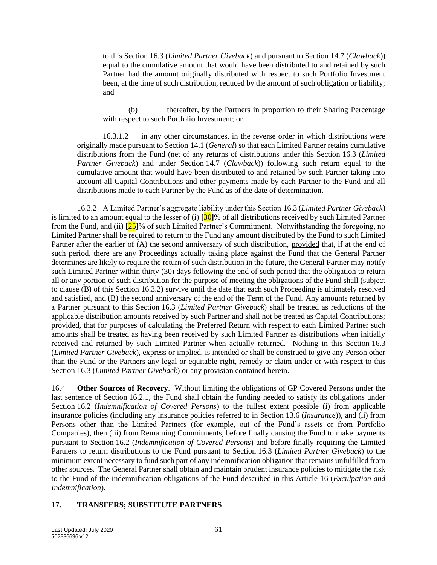to this Section [16.3](#page-62-0) (*Limited Partner Giveback*) and pursuant to Section [14.7](#page-52-0) (*Clawback*)) equal to the cumulative amount that would have been distributed to and retained by such Partner had the amount originally distributed with respect to such Portfolio Investment been, at the time of such distribution, reduced by the amount of such obligation or liability; and

(b) thereafter, by the Partners in proportion to their Sharing Percentage with respect to such Portfolio Investment; or

16.3.1.2 in any other circumstances, in the reverse order in which distributions were originally made pursuant to Section [14.1](#page-49-4) (*General*) so that each Limited Partner retains cumulative distributions from the Fund (net of any returns of distributions under this Section [16.3](#page-62-0) (*Limited Partner Giveback*) and under Section [14.7](#page-52-0) (*Clawback*)) following such return equal to the cumulative amount that would have been distributed to and retained by such Partner taking into account all Capital Contributions and other payments made by each Partner to the Fund and all distributions made to each Partner by the Fund as of the date of determination.

<span id="page-63-0"></span>16.3.2 A Limited Partner's aggregate liability under this Section [16.3](#page-62-0) (*Limited Partner Giveback*) is limited to an amount equal to the lesser of (i) **[**30**]**% of all distributions received by such Limited Partner from the Fund, and (ii) **[**25**]**% of such Limited Partner's Commitment. Notwithstanding the foregoing, no Limited Partner shall be required to return to the Fund any amount distributed by the Fund to such Limited Partner after the earlier of (A) the second anniversary of such distribution, provided that, if at the end of such period, there are any Proceedings actually taking place against the Fund that the General Partner determines are likely to require the return of such distribution in the future, the General Partner may notify such Limited Partner within thirty (30) days following the end of such period that the obligation to return all or any portion of such distribution for the purpose of meeting the obligations of the Fund shall (subject to clause (B) of this Section [16.3.2\)](#page-63-0) survive until the date that each such Proceeding is ultimately resolved and satisfied, and (B) the second anniversary of the end of the Term of the Fund. Any amounts returned by a Partner pursuant to this Section [16.3](#page-62-0) (*Limited Partner Giveback*) shall be treated as reductions of the applicable distribution amounts received by such Partner and shall not be treated as Capital Contributions; provided, that for purposes of calculating the Preferred Return with respect to each Limited Partner such amounts shall be treated as having been received by such Limited Partner as distributions when initially received and returned by such Limited Partner when actually returned. Nothing in this Section [16.3](#page-62-0) (*Limited Partner Giveback*), express or implied, is intended or shall be construed to give any Person other than the Fund or the Partners any legal or equitable right, remedy or claim under or with respect to this Section [16.3](#page-62-0) (*Limited Partner Giveback*) or any provision contained herein.

<span id="page-63-1"></span>16.4 **Other Sources of Recovery**. Without limiting the obligations of GP Covered Persons under the last sentence of Section [16.2.1,](#page-61-2) the Fund shall obtain the funding needed to satisfy its obligations under Section [16.2](#page-61-1) (*Indemnification of Covered Persons*) to the fullest extent possible (i) from applicable insurance policies (including any insurance policies referred to in Section [13.6](#page-49-3) (*Insurance*)), and (ii) from Persons other than the Limited Partners (for example, out of the Fund's assets or from Portfolio Companies), then (iii) from Remaining Commitments, before finally causing the Fund to make payments pursuant to Section [16.2](#page-61-1) (*Indemnification of Covered Persons*) and before finally requiring the Limited Partners to return distributions to the Fund pursuant to Section [16.3](#page-62-0) (*Limited Partner Giveback*) to the minimum extent necessary to fund such part of any indemnification obligation that remains unfulfilled from other sources. The General Partner shall obtain and maintain prudent insurance policies to mitigate the risk to the Fund of the indemnification obligations of the Fund described in this Article [16](#page-61-0) (*Exculpation and Indemnification*).

#### <span id="page-63-2"></span>**17. TRANSFERS; SUBSTITUTE PARTNERS**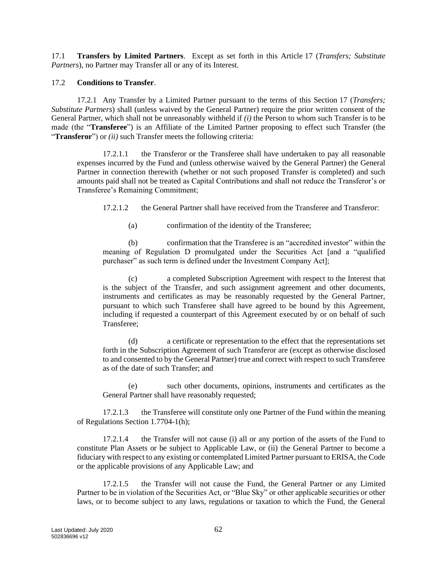17.1 **Transfers by Limited Partners**. Except as set forth in this Article [17](#page-63-2) (*Transfers; Substitute Partners*), no Partner may Transfer all or any of its Interest.

#### <span id="page-64-0"></span>17.2 **Conditions to Transfer**.

17.2.1 Any Transfer by a Limited Partner pursuant to the terms of this Section [17](#page-63-2) (*Transfers; Substitute Partners*) shall (unless waived by the General Partner) require the prior written consent of the General Partner, which shall not be unreasonably withheld if *(i)* the Person to whom such Transfer is to be made (the "**Transferee**") is an Affiliate of the Limited Partner proposing to effect such Transfer (the "**Transferor**") or *(ii)* such Transfer meets the following criteria:

17.2.1.1 the Transferor or the Transferee shall have undertaken to pay all reasonable expenses incurred by the Fund and (unless otherwise waived by the General Partner) the General Partner in connection therewith (whether or not such proposed Transfer is completed) and such amounts paid shall not be treated as Capital Contributions and shall not reduce the Transferor's or Transferee's Remaining Commitment;

17.2.1.2 the General Partner shall have received from the Transferee and Transferor:

(a) confirmation of the identity of the Transferee;

(b) confirmation that the Transferee is an "accredited investor" within the meaning of Regulation D promulgated under the Securities Act [and a "qualified purchaser" as such term is defined under the Investment Company Act];

(c) a completed Subscription Agreement with respect to the Interest that is the subject of the Transfer, and such assignment agreement and other documents, instruments and certificates as may be reasonably requested by the General Partner, pursuant to which such Transferee shall have agreed to be bound by this Agreement, including if requested a counterpart of this Agreement executed by or on behalf of such Transferee;

(d) a certificate or representation to the effect that the representations set forth in the Subscription Agreement of such Transferor are (except as otherwise disclosed to and consented to by the General Partner) true and correct with respect to such Transferee as of the date of such Transfer; and

(e) such other documents, opinions, instruments and certificates as the General Partner shall have reasonably requested;

17.2.1.3 the Transferee will constitute only one Partner of the Fund within the meaning of Regulations Section 1.7704-1(h);

17.2.1.4 the Transfer will not cause (i) all or any portion of the assets of the Fund to constitute Plan Assets or be subject to Applicable Law, or (ii) the General Partner to become a fiduciary with respect to any existing or contemplated Limited Partner pursuant to ERISA, the Code or the applicable provisions of any Applicable Law; and

17.2.1.5 the Transfer will not cause the Fund, the General Partner or any Limited Partner to be in violation of the Securities Act, or "Blue Sky" or other applicable securities or other laws, or to become subject to any laws, regulations or taxation to which the Fund, the General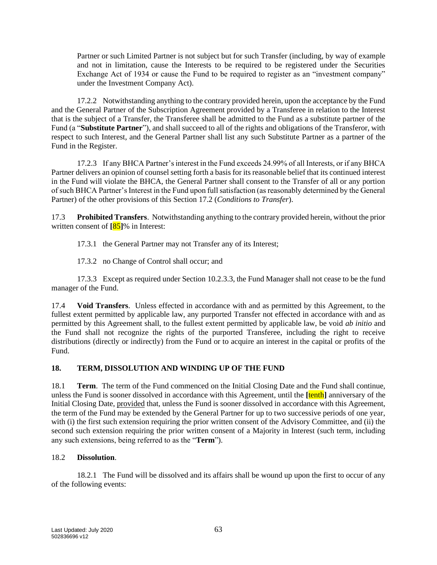Partner or such Limited Partner is not subject but for such Transfer (including, by way of example and not in limitation, cause the Interests to be required to be registered under the Securities Exchange Act of 1934 or cause the Fund to be required to register as an "investment company" under the Investment Company Act).

17.2.2 Notwithstanding anything to the contrary provided herein, upon the acceptance by the Fund and the General Partner of the Subscription Agreement provided by a Transferee in relation to the Interest that is the subject of a Transfer, the Transferee shall be admitted to the Fund as a substitute partner of the Fund (a "**Substitute Partner**"), and shall succeed to all of the rights and obligations of the Transferor, with respect to such Interest, and the General Partner shall list any such Substitute Partner as a partner of the Fund in the Register.

17.2.3 If any BHCA Partner's interest in the Fund exceeds 24.99% of all Interests, or if any BHCA Partner delivers an opinion of counsel setting forth a basis for its reasonable belief that its continued interest in the Fund will violate the BHCA, the General Partner shall consent to the Transfer of all or any portion of such BHCA Partner's Interest in the Fund upon full satisfaction (as reasonably determined by the General Partner) of the other provisions of this Section [17.2](#page-64-0) (*Conditions to Transfer*).

17.3 **Prohibited Transfers**. Notwithstanding anything to the contrary provided herein, without the prior written consent of **[**85**]**% in Interest:

17.3.1 the General Partner may not Transfer any of its Interest;

17.3.2 no Change of Control shall occur; and

17.3.3 Except as required under Sectio[n 10.2.3.3,](#page-43-1) the Fund Manager shall not cease to be the fund manager of the Fund.

17.4 **Void Transfers**. Unless effected in accordance with and as permitted by this Agreement, to the fullest extent permitted by applicable law, any purported Transfer not effected in accordance with and as permitted by this Agreement shall, to the fullest extent permitted by applicable law, be void *ab initio* and the Fund shall not recognize the rights of the purported Transferee, including the right to receive distributions (directly or indirectly) from the Fund or to acquire an interest in the capital or profits of the Fund.

## <span id="page-65-1"></span>**18. TERM, DISSOLUTION AND WINDING UP OF THE FUND**

<span id="page-65-0"></span>18.1 **Term**. The term of the Fund commenced on the Initial Closing Date and the Fund shall continue, unless the Fund is sooner dissolved in accordance with this Agreement, until the **[**tenth**]** anniversary of the Initial Closing Date, provided that, unless the Fund is sooner dissolved in accordance with this Agreement, the term of the Fund may be extended by the General Partner for up to two successive periods of one year, with (i) the first such extension requiring the prior written consent of the Advisory Committee, and (ii) the second such extension requiring the prior written consent of a Majority in Interest (such term, including any such extensions, being referred to as the "**Term**").

# <span id="page-65-2"></span>18.2 **Dissolution**.

18.2.1 The Fund will be dissolved and its affairs shall be wound up upon the first to occur of any of the following events: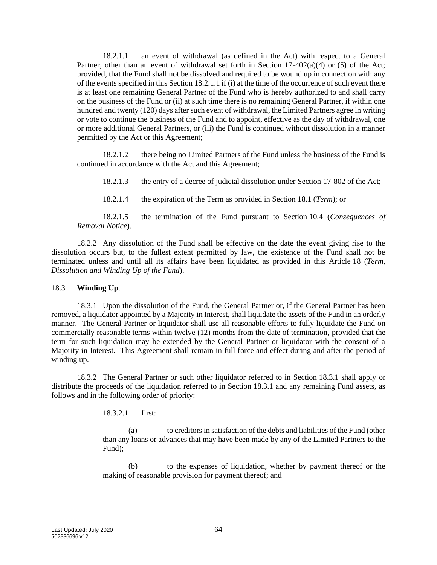<span id="page-66-1"></span>18.2.1.1 an event of withdrawal (as defined in the Act) with respect to a General Partner, other than an event of withdrawal set forth in Section  $17-402(a)(4)$  or (5) of the Act; provided, that the Fund shall not be dissolved and required to be wound up in connection with any of the events specified in this Section [18.2.1.1](#page-66-1) if (i) at the time of the occurrence of such event there is at least one remaining General Partner of the Fund who is hereby authorized to and shall carry on the business of the Fund or (ii) at such time there is no remaining General Partner, if within one hundred and twenty (120) days after such event of withdrawal, the Limited Partners agree in writing or vote to continue the business of the Fund and to appoint, effective as the day of withdrawal, one or more additional General Partners, or (iii) the Fund is continued without dissolution in a manner permitted by the Act or this Agreement;

18.2.1.2 there being no Limited Partners of the Fund unless the business of the Fund is continued in accordance with the Act and this Agreement;

18.2.1.3 the entry of a decree of judicial dissolution under Section 17-802 of the Act;

18.2.1.4 the expiration of the Term as provided in Section [18.1](#page-65-0) (*Term*); or

18.2.1.5 the termination of the Fund pursuant to Section [10.4](#page-44-1) (*Consequences of Removal Notice*).

18.2.2 Any dissolution of the Fund shall be effective on the date the event giving rise to the dissolution occurs but, to the fullest extent permitted by law, the existence of the Fund shall not be terminated unless and until all its affairs have been liquidated as provided in this Article [18](#page-65-1) (*Term, Dissolution and Winding Up of the Fund*).

#### <span id="page-66-0"></span>18.3 **Winding Up**.

<span id="page-66-2"></span>18.3.1 Upon the dissolution of the Fund, the General Partner or, if the General Partner has been removed, a liquidator appointed by a Majority in Interest, shall liquidate the assets of the Fund in an orderly manner. The General Partner or liquidator shall use all reasonable efforts to fully liquidate the Fund on commercially reasonable terms within twelve (12) months from the date of termination, provided that the term for such liquidation may be extended by the General Partner or liquidator with the consent of a Majority in Interest. This Agreement shall remain in full force and effect during and after the period of winding up.

18.3.2 The General Partner or such other liquidator referred to in Section [18.3.1](#page-66-2) shall apply or distribute the proceeds of the liquidation referred to in Section [18.3.1](#page-66-2) and any remaining Fund assets, as follows and in the following order of priority:

18.3.2.1 first:

(a) to creditors in satisfaction of the debts and liabilities of the Fund (other than any loans or advances that may have been made by any of the Limited Partners to the Fund);

(b) to the expenses of liquidation, whether by payment thereof or the making of reasonable provision for payment thereof; and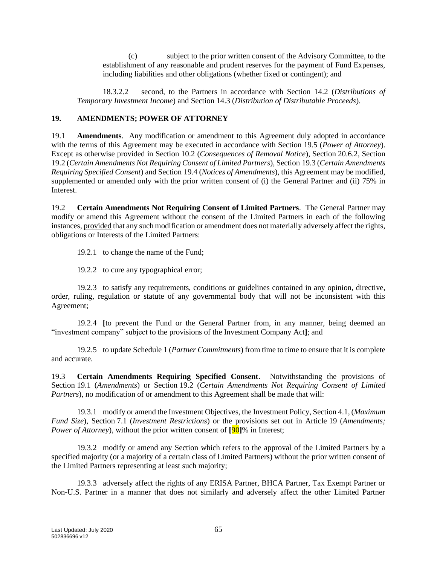(c) subject to the prior written consent of the Advisory Committee, to the establishment of any reasonable and prudent reserves for the payment of Fund Expenses, including liabilities and other obligations (whether fixed or contingent); and

18.3.2.2 second, to the Partners in accordance with Section [14.2](#page-49-2) (*Distributions of Temporary Investment Income*) and Section [14.3](#page-50-2) (*Distribution of Distributable Proceeds*).

## <span id="page-67-1"></span><span id="page-67-0"></span>**19. AMENDMENTS; POWER OF ATTORNEY**

<span id="page-67-4"></span>19.1 **Amendments**. Any modification or amendment to this Agreement duly adopted in accordance with the terms of this Agreement may be executed in accordance with Section [19.5](#page-68-0) (*Power of Attorney*). Except as otherwise provided in Section [10.2](#page-42-1) (*Consequences of Removal Notice*), Section [20.6.2,](#page-70-1) Section [19.2](#page-67-2) (*Certain Amendments Not Requiring Consent of Limited Partners*), Section [19.3](#page-67-3) (*Certain Amendments Requiring Specified Consent*) and Section [19.4](#page-68-1) (*Notices of Amendments*), this Agreement may be modified, supplemented or amended only with the prior written consent of (i) the General Partner and (ii) 75% in Interest.

<span id="page-67-2"></span>19.2 **Certain Amendments Not Requiring Consent of Limited Partners**. The General Partner may modify or amend this Agreement without the consent of the Limited Partners in each of the following instances, provided that any such modification or amendment does not materially adversely affect the rights, obligations or Interests of the Limited Partners:

19.2.1 to change the name of the Fund;

19.2.2 to cure any typographical error;

19.2.3 to satisfy any requirements, conditions or guidelines contained in any opinion, directive, order, ruling, regulation or statute of any governmental body that will not be inconsistent with this Agreement;

19.2.4 **[**to prevent the Fund or the General Partner from, in any manner, being deemed an "investment company" subject to the provisions of the Investment Company Act**]**; and

19.2.5 to update Schedule 1 (*Partner Commitments*) from time to time to ensure that it is complete and accurate.

<span id="page-67-3"></span>19.3 **Certain Amendments Requiring Specified Consent**. Notwithstanding the provisions of Section [19.1](#page-67-4) (*Amendments*) or Section [19.2](#page-67-2) (*Certain Amendments Not Requiring Consent of Limited Partners*), no modification of or amendment to this Agreement shall be made that will:

19.3.1 modify or amend the Investment Objectives, the Investment Policy, Sectio[n 4.1,](#page-24-0) (*Maximum Fund Size*), Section [7.1](#page-32-0) (*Investment Restrictions*) or the provisions set out in Article [19](#page-67-0) (*Amendments; Power of Attorney*), without the prior written consent of **[**90**]**% in Interest;

19.3.2 modify or amend any Section which refers to the approval of the Limited Partners by a specified majority (or a majority of a certain class of Limited Partners) without the prior written consent of the Limited Partners representing at least such majority;

19.3.3 adversely affect the rights of any ERISA Partner, BHCA Partner, Tax Exempt Partner or Non-U.S. Partner in a manner that does not similarly and adversely affect the other Limited Partner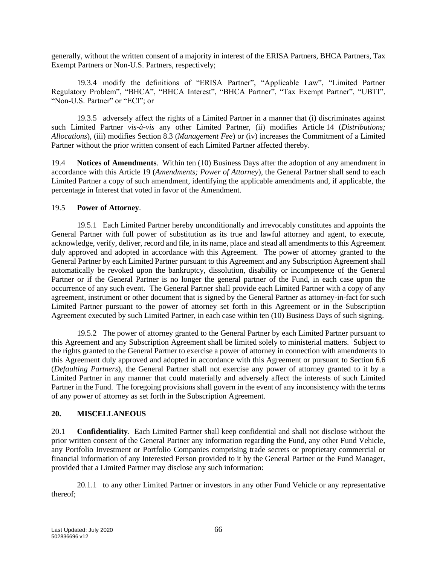generally, without the written consent of a majority in interest of the ERISA Partners, BHCA Partners, Tax Exempt Partners or Non-U.S. Partners, respectively;

19.3.4 modify the definitions of "ERISA Partner", "Applicable Law", "Limited Partner Regulatory Problem", "BHCA", "BHCA Interest", "BHCA Partner", "Tax Exempt Partner", "UBTI", "Non-U.S. Partner" or "ECI"; or

19.3.5 adversely affect the rights of a Limited Partner in a manner that (i) discriminates against such Limited Partner *vis-à-vis* any other Limited Partner, (ii) modifies Article [14](#page-49-0) (*Distributions; Allocations*), (iii) modifies Section [8.3](#page-36-2) (*Management Fee*) or (iv) increases the Commitment of a Limited Partner without the prior written consent of each Limited Partner affected thereby.

<span id="page-68-1"></span>19.4 **Notices of Amendments**. Within ten (10) Business Days after the adoption of any amendment in accordance with this Article [19](#page-67-0) (*Amendments; Power of Attorney*), the General Partner shall send to each Limited Partner a copy of such amendment, identifying the applicable amendments and, if applicable, the percentage in Interest that voted in favor of the Amendment.

## <span id="page-68-0"></span>19.5 **Power of Attorney**.

19.5.1 Each Limited Partner hereby unconditionally and irrevocably constitutes and appoints the General Partner with full power of substitution as its true and lawful attorney and agent, to execute, acknowledge, verify, deliver, record and file, in its name, place and stead all amendments to this Agreement duly approved and adopted in accordance with this Agreement. The power of attorney granted to the General Partner by each Limited Partner pursuant to this Agreement and any Subscription Agreement shall automatically be revoked upon the bankruptcy, dissolution, disability or incompetence of the General Partner or if the General Partner is no longer the general partner of the Fund, in each case upon the occurrence of any such event. The General Partner shall provide each Limited Partner with a copy of any agreement, instrument or other document that is signed by the General Partner as attorney-in-fact for such Limited Partner pursuant to the power of attorney set forth in this Agreement or in the Subscription Agreement executed by such Limited Partner, in each case within ten (10) Business Days of such signing.

19.5.2 The power of attorney granted to the General Partner by each Limited Partner pursuant to this Agreement and any Subscription Agreement shall be limited solely to ministerial matters. Subject to the rights granted to the General Partner to exercise a power of attorney in connection with amendments to this Agreement duly approved and adopted in accordance with this Agreement or pursuant to Section [6.6](#page-28-2) (*Defaulting Partners*), the General Partner shall not exercise any power of attorney granted to it by a Limited Partner in any manner that could materially and adversely affect the interests of such Limited Partner in the Fund. The foregoing provisions shall govern in the event of any inconsistency with the terms of any power of attorney as set forth in the Subscription Agreement.

# **20. MISCELLANEOUS**

<span id="page-68-2"></span>20.1 **Confidentiality**. Each Limited Partner shall keep confidential and shall not disclose without the prior written consent of the General Partner any information regarding the Fund, any other Fund Vehicle, any Portfolio Investment or Portfolio Companies comprising trade secrets or proprietary commercial or financial information of any Interested Person provided to it by the General Partner or the Fund Manager, provided that a Limited Partner may disclose any such information:

20.1.1 to any other Limited Partner or investors in any other Fund Vehicle or any representative thereof;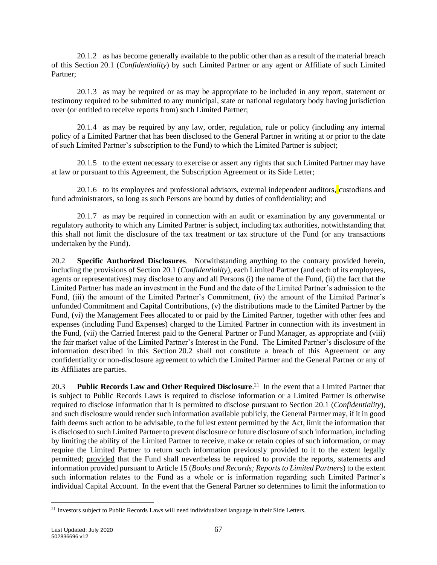20.1.2 as has become generally available to the public other than as a result of the material breach of this Section [20.1](#page-68-2) (*Confidentiality*) by such Limited Partner or any agent or Affiliate of such Limited Partner;

20.1.3 as may be required or as may be appropriate to be included in any report, statement or testimony required to be submitted to any municipal, state or national regulatory body having jurisdiction over (or entitled to receive reports from) such Limited Partner;

20.1.4 as may be required by any law, order, regulation, rule or policy (including any internal policy of a Limited Partner that has been disclosed to the General Partner in writing at or prior to the date of such Limited Partner's subscription to the Fund) to which the Limited Partner is subject;

20.1.5 to the extent necessary to exercise or assert any rights that such Limited Partner may have at law or pursuant to this Agreement, the Subscription Agreement or its Side Letter;

20.1.6 to its employees and professional advisors, external independent auditors, custodians and fund administrators, so long as such Persons are bound by duties of confidentiality; and

20.1.7 as may be required in connection with an audit or examination by any governmental or regulatory authority to which any Limited Partner is subject, including tax authorities, notwithstanding that this shall not limit the disclosure of the tax treatment or tax structure of the Fund (or any transactions undertaken by the Fund).

<span id="page-69-0"></span>20.2 **Specific Authorized Disclosures**. Notwithstanding anything to the contrary provided herein, including the provisions of Section [20.1](#page-68-2) (*Confidentiality*), each Limited Partner (and each of its employees, agents or representatives) may disclose to any and all Persons (i) the name of the Fund, (ii) the fact that the Limited Partner has made an investment in the Fund and the date of the Limited Partner's admission to the Fund, (iii) the amount of the Limited Partner's Commitment, (iv) the amount of the Limited Partner's unfunded Commitment and Capital Contributions, (v) the distributions made to the Limited Partner by the Fund, (vi) the Management Fees allocated to or paid by the Limited Partner, together with other fees and expenses (including Fund Expenses) charged to the Limited Partner in connection with its investment in the Fund, (vii) the Carried Interest paid to the General Partner or Fund Manager, as appropriate and (viii) the fair market value of the Limited Partner's Interest in the Fund. The Limited Partner's disclosure of the information described in this Section [20.2](#page-69-0) shall not constitute a breach of this Agreement or any confidentiality or non-disclosure agreement to which the Limited Partner and the General Partner or any of its Affiliates are parties.

20.3 **Public Records Law and Other Required Disclosure**. 21 In the event that a Limited Partner that is subject to Public Records Laws is required to disclose information or a Limited Partner is otherwise required to disclose information that it is permitted to disclose pursuant to Section [20.1](#page-68-2) (*Confidentiality*), and such disclosure would render such information available publicly, the General Partner may, if it in good faith deems such action to be advisable, to the fullest extent permitted by the Act, limit the information that is disclosed to such Limited Partner to prevent disclosure or future disclosure of such information, including by limiting the ability of the Limited Partner to receive, make or retain copies of such information, or may require the Limited Partner to return such information previously provided to it to the extent legally permitted; provided that the Fund shall nevertheless be required to provide the reports, statements and information provided pursuant to Articl[e 15](#page-56-2) (*Books and Records; Reports to Limited Partners*) to the extent such information relates to the Fund as a whole or is information regarding such Limited Partner's individual Capital Account. In the event that the General Partner so determines to limit the information to

<sup>&</sup>lt;sup>21</sup> Investors subject to Public Records Laws will need individualized language in their Side Letters.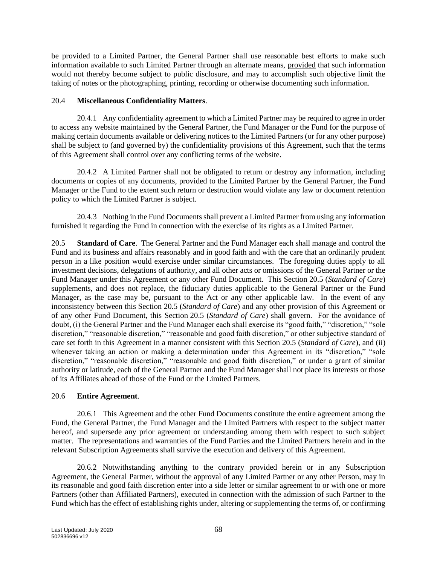be provided to a Limited Partner, the General Partner shall use reasonable best efforts to make such information available to such Limited Partner through an alternate means, provided that such information would not thereby become subject to public disclosure, and may to accomplish such objective limit the taking of notes or the photographing, printing, recording or otherwise documenting such information.

#### 20.4 **Miscellaneous Confidentiality Matters**.

20.4.1 Any confidentiality agreement to which a Limited Partner may be required to agree in order to access any website maintained by the General Partner, the Fund Manager or the Fund for the purpose of making certain documents available or delivering notices to the Limited Partners (or for any other purpose) shall be subject to (and governed by) the confidentiality provisions of this Agreement, such that the terms of this Agreement shall control over any conflicting terms of the website.

20.4.2 A Limited Partner shall not be obligated to return or destroy any information, including documents or copies of any documents, provided to the Limited Partner by the General Partner, the Fund Manager or the Fund to the extent such return or destruction would violate any law or document retention policy to which the Limited Partner is subject.

20.4.3 Nothing in the Fund Documents shall prevent a Limited Partner from using any information furnished it regarding the Fund in connection with the exercise of its rights as a Limited Partner.

<span id="page-70-0"></span>20.5 **Standard of Care**. The General Partner and the Fund Manager each shall manage and control the Fund and its business and affairs reasonably and in good faith and with the care that an ordinarily prudent person in a like position would exercise under similar circumstances. The foregoing duties apply to all investment decisions, delegations of authority, and all other acts or omissions of the General Partner or the Fund Manager under this Agreement or any other Fund Document. This Section [20.5](#page-70-0) (*Standard of Care*) supplements, and does not replace, the fiduciary duties applicable to the General Partner or the Fund Manager, as the case may be, pursuant to the Act or any other applicable law. In the event of any inconsistency between this Section [20.5](#page-70-0) (*Standard of Care*) and any other provision of this Agreement or of any other Fund Document, this Section [20.5](#page-70-0) (*Standard of Care*) shall govern. For the avoidance of doubt, (i) the General Partner and the Fund Manager each shall exercise its "good faith," "discretion," "sole discretion," "reasonable discretion," "reasonable and good faith discretion," or other subjective standard of care set forth in this Agreement in a manner consistent with this Section [20.5](#page-70-0) (*Standard of Care*), and (ii) whenever taking an action or making a determination under this Agreement in its "discretion," "sole discretion," "reasonable discretion," "reasonable and good faith discretion," or under a grant of similar authority or latitude, each of the General Partner and the Fund Manager shall not place its interests or those of its Affiliates ahead of those of the Fund or the Limited Partners.

## 20.6 **Entire Agreement**.

20.6.1 This Agreement and the other Fund Documents constitute the entire agreement among the Fund, the General Partner, the Fund Manager and the Limited Partners with respect to the subject matter hereof, and supersede any prior agreement or understanding among them with respect to such subject matter. The representations and warranties of the Fund Parties and the Limited Partners herein and in the relevant Subscription Agreements shall survive the execution and delivery of this Agreement.

<span id="page-70-1"></span>20.6.2 Notwithstanding anything to the contrary provided herein or in any Subscription Agreement, the General Partner, without the approval of any Limited Partner or any other Person, may in its reasonable and good faith discretion enter into a side letter or similar agreement to or with one or more Partners (other than Affiliated Partners), executed in connection with the admission of such Partner to the Fund which has the effect of establishing rights under, altering or supplementing the terms of, or confirming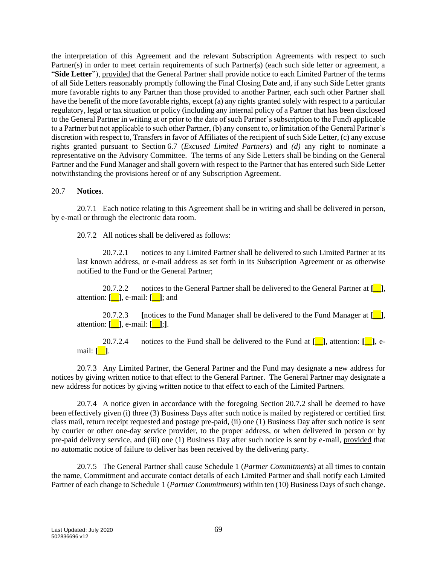the interpretation of this Agreement and the relevant Subscription Agreements with respect to such Partner(s) in order to meet certain requirements of such Partner(s) (each such side letter or agreement, a "**Side Letter**"), provided that the General Partner shall provide notice to each Limited Partner of the terms of all Side Letters reasonably promptly following the Final Closing Date and, if any such Side Letter grants more favorable rights to any Partner than those provided to another Partner, each such other Partner shall have the benefit of the more favorable rights, except (a) any rights granted solely with respect to a particular regulatory, legal or tax situation or policy (including any internal policy of a Partner that has been disclosed to the General Partner in writing at or prior to the date of such Partner's subscription to the Fund) applicable to a Partner but not applicable to such other Partner, (b) any consent to, or limitation of the General Partner's discretion with respect to, Transfers in favor of Affiliates of the recipient of such Side Letter, (c) any excuse rights granted pursuant to Section [6.7](#page-31-0) (*Excused Limited Partners*) and *(d)* any right to nominate a representative on the Advisory Committee. The terms of any Side Letters shall be binding on the General Partner and the Fund Manager and shall govern with respect to the Partner that has entered such Side Letter notwithstanding the provisions hereof or of any Subscription Agreement.

#### 20.7 **Notices**.

<span id="page-71-0"></span>20.7.1 Each notice relating to this Agreement shall be in writing and shall be delivered in person, by e-mail or through the electronic data room.

20.7.2 All notices shall be delivered as follows:

20.7.2.1 notices to any Limited Partner shall be delivered to such Limited Partner at its last known address, or e-mail address as set forth in its Subscription Agreement or as otherwise notified to the Fund or the General Partner;

20.7.2.2 notices to the General Partner shall be delivered to the General Partner at **[\_\_]**, attention: **[\_\_]**, e-mail: **[\_\_]**; and

20.7.2.3 **[**notices to the Fund Manager shall be delivered to the Fund Manager at **[\_\_]**, attention: **[\_\_]**, e-mail: **[\_\_]**;**]**.

20.7.2.4 notices to the Fund shall be delivered to the Fund at **[\_\_]**, attention: **[\_\_]**, email: **[\_\_]**.

20.7.3 Any Limited Partner, the General Partner and the Fund may designate a new address for notices by giving written notice to that effect to the General Partner. The General Partner may designate a new address for notices by giving written notice to that effect to each of the Limited Partners.

20.7.4 A notice given in accordance with the foregoing Section [20.7.2](#page-71-0) shall be deemed to have been effectively given (i) three (3) Business Days after such notice is mailed by registered or certified first class mail, return receipt requested and postage pre-paid, (ii) one (1) Business Day after such notice is sent by courier or other one-day service provider, to the proper address, or when delivered in person or by pre-paid delivery service, and (iii) one (1) Business Day after such notice is sent by e-mail, provided that no automatic notice of failure to deliver has been received by the delivering party.

20.7.5 The General Partner shall cause Schedule 1 (*Partner Commitments*) at all times to contain the name, Commitment and accurate contact details of each Limited Partner and shall notify each Limited Partner of each change to Schedule 1 (*Partner Commitments*) within ten (10) Business Days of such change.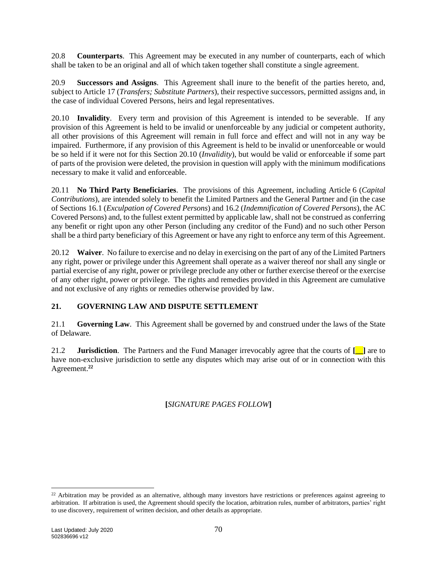20.8 **Counterparts**. This Agreement may be executed in any number of counterparts, each of which shall be taken to be an original and all of which taken together shall constitute a single agreement.

20.9 **Successors and Assigns**. This Agreement shall inure to the benefit of the parties hereto, and, subject to Article [17](#page-63-0) (*Transfers; Substitute Partners*), their respective successors, permitted assigns and, in the case of individual Covered Persons, heirs and legal representatives.

<span id="page-72-0"></span>20.10 **Invalidity**. Every term and provision of this Agreement is intended to be severable. If any provision of this Agreement is held to be invalid or unenforceable by any judicial or competent authority, all other provisions of this Agreement will remain in full force and effect and will not in any way be impaired. Furthermore, if any provision of this Agreement is held to be invalid or unenforceable or would be so held if it were not for this Section [20.10](#page-72-0) (*Invalidity*), but would be valid or enforceable if some part of parts of the provision were deleted, the provision in question will apply with the minimum modifications necessary to make it valid and enforceable.

20.11 **No Third Party Beneficiaries**. The provisions of this Agreement, including Article [6](#page-26-0) (*Capital Contributions*), are intended solely to benefit the Limited Partners and the General Partner and (in the case of Section[s 16.1](#page-61-0) (*Exculpation of Covered Persons*) an[d 16.2](#page-61-1) (*Indemnification of Covered Persons*), the AC Covered Persons) and, to the fullest extent permitted by applicable law, shall not be construed as conferring any benefit or right upon any other Person (including any creditor of the Fund) and no such other Person shall be a third party beneficiary of this Agreement or have any right to enforce any term of this Agreement.

20.12 **Waiver**. No failure to exercise and no delay in exercising on the part of any of the Limited Partners any right, power or privilege under this Agreement shall operate as a waiver thereof nor shall any single or partial exercise of any right, power or privilege preclude any other or further exercise thereof or the exercise of any other right, power or privilege. The rights and remedies provided in this Agreement are cumulative and not exclusive of any rights or remedies otherwise provided by law.

## **21. GOVERNING LAW AND DISPUTE SETTLEMENT**

21.1 **Governing Law**. This Agreement shall be governed by and construed under the laws of the State of Delaware.

21.2 **Jurisdiction**. The Partners and the Fund Manager irrevocably agree that the courts of **[\_\_]** are to have non-exclusive jurisdiction to settle any disputes which may arise out of or in connection with this Agreement.**<sup>22</sup>**

## **[***SIGNATURE PAGES FOLLOW***]**

<sup>&</sup>lt;sup>22</sup> Arbitration may be provided as an alternative, although many investors have restrictions or preferences against agreeing to arbitration. If arbitration is used, the Agreement should specify the location, arbitration rules, number of arbitrators, parties' right to use discovery, requirement of written decision, and other details as appropriate.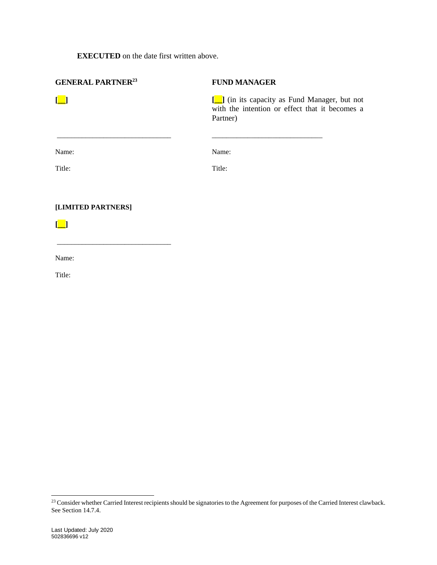**EXECUTED** on the date first written above.

| <b>GENERAL PARTNER<sup>23</sup></b>                      | <b>FUND MANAGER</b>                                                                                          |
|----------------------------------------------------------|--------------------------------------------------------------------------------------------------------------|
| $\left[\begin{array}{c} \blacksquare \end{array}\right]$ | [11] (in its capacity as Fund Manager, but not<br>with the intention or effect that it becomes a<br>Partner) |
|                                                          |                                                                                                              |
| Name:                                                    | Name:                                                                                                        |
| Title:                                                   | Title:                                                                                                       |
| [LIMITED PARTNERS]                                       |                                                                                                              |
| <u> </u>                                                 |                                                                                                              |

Name:

\_\_\_\_\_\_\_\_\_\_\_\_\_\_\_\_\_\_\_\_\_\_\_\_\_\_\_\_\_\_\_\_

Title:

 $^{23}$  Consider whether Carried Interest recipients should be signatories to the Agreement for purposes of the Carried Interest clawback. See Section 14.7.4.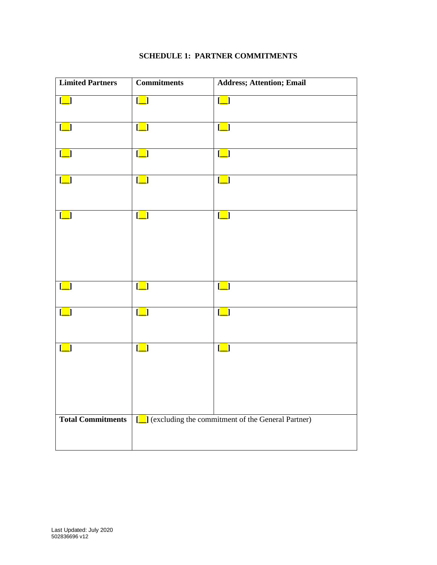| <b>Limited Partners</b>                             | $\label{1.1} {\bf Commitments}$                     | <b>Address; Attention; Email</b>                    |
|-----------------------------------------------------|-----------------------------------------------------|-----------------------------------------------------|
| $\begin{bmatrix} \boxed{\phantom{0}} \end{bmatrix}$ | $[\_]$                                              | $\boxed{\phantom{1}}$                               |
| $\left[\begin{array}{c} \end{array}\right]$         | $\begin{bmatrix} \boxed{\phantom{0}} \end{bmatrix}$ | $\begin{bmatrix} \boxed{\phantom{0}} \end{bmatrix}$ |
| $\left[\begin{array}{c} \end{array}\right]$         | $\left[\_\right]$                                   | $\begin{bmatrix} \boxed{\phantom{0}} \end{bmatrix}$ |
| $\begin{bmatrix} \boxed{\phantom{0}} \end{bmatrix}$ | $\left[\_\right]$                                   | $\left[\_\right]$                                   |
| $\lfloor \blacksquare \rfloor$                      | $\left[\_\right]$                                   | $\lfloor \_ \rfloor$                                |
| $\begin{bmatrix} \boxed{\phantom{0}} \end{bmatrix}$ | $\begin{bmatrix} \boxed{\phantom{0}} \end{bmatrix}$ | $\begin{bmatrix} \_ \end{bmatrix}$                  |
| $\begin{bmatrix} \_ \end{bmatrix}$                  | $\begin{bmatrix} \_ \end{bmatrix}$                  | $\begin{bmatrix} \_ \end{bmatrix}$                  |
| $\begin{bmatrix} \boxed{\phantom{0}} \end{bmatrix}$ | $\left[\_\right]$                                   | $\begin{bmatrix} \_ \end{bmatrix}$                  |
| <b>Total Commitments</b>                            | [vacuuding the commitment of the General Partner)   |                                                     |

## **SCHEDULE 1: PARTNER COMMITMENTS**